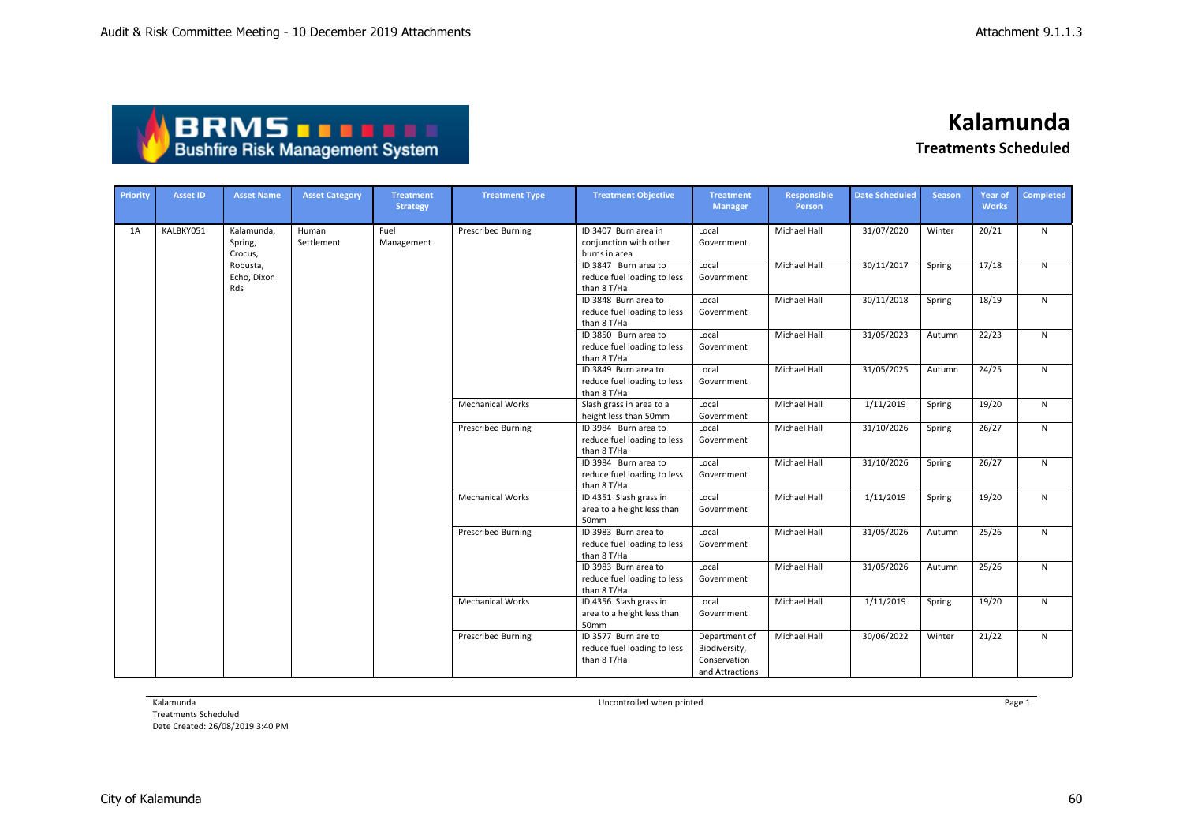| ABRMS THEFT                            |
|----------------------------------------|
| <b>Bushfire Risk Management System</b> |

| Priority | <b>Asset ID</b> | <b>Asset Name</b>                | <b>Asset Category</b> | <b>Treatment</b><br><b>Strategy</b> | <b>Treatment Type</b>     | <b>Treatment Objective</b>                                         | <b>Treatment</b><br><b>Manager</b>                                | Responsible<br>Person | <b>Date Scheduled</b> | <b>Season</b> | Year of<br><b>Works</b> | <b>Completed</b> |
|----------|-----------------|----------------------------------|-----------------------|-------------------------------------|---------------------------|--------------------------------------------------------------------|-------------------------------------------------------------------|-----------------------|-----------------------|---------------|-------------------------|------------------|
| 1A       | KALBKY051       | Kalamunda.<br>Spring,<br>Crocus, | Human<br>Settlement   | Fuel<br>Management                  | Prescribed Burning        | ID 3407 Burn area in<br>conjunction with other<br>burns in area    | Local<br>Government                                               | Michael Hall          | 31/07/2020            | Winter        | 20/21                   | $\mathsf{N}$     |
|          |                 | Robusta,<br>Echo. Dixon<br>Rds   |                       |                                     |                           | ID 3847 Burn area to<br>reduce fuel loading to less<br>than 8 T/Ha | Local<br>Government                                               | <b>Michael Hall</b>   | 30/11/2017            | Spring        | 17/18                   | N                |
|          |                 |                                  |                       |                                     |                           | ID 3848 Burn area to<br>reduce fuel loading to less<br>than 8 T/Ha | Local<br>Government                                               | Michael Hall          | 30/11/2018            | Spring        | 18/19                   | N                |
|          |                 |                                  |                       |                                     |                           | ID 3850 Burn area to<br>reduce fuel loading to less<br>than 8 T/Ha | Local<br>Government                                               | Michael Hall          | 31/05/2023            | Autumn        | 22/23                   | N.               |
|          |                 |                                  |                       |                                     |                           | ID 3849 Burn area to<br>reduce fuel loading to less<br>than 8 T/Ha | Local<br>Government                                               | <b>Michael Hall</b>   | 31/05/2025            | Autumn        | 24/25                   | N                |
|          |                 |                                  |                       |                                     | <b>Mechanical Works</b>   | Slash grass in area to a<br>height less than 50mm                  | Local<br>Government                                               | Michael Hall          | 1/11/2019             | Spring        | 19/20                   | $\mathsf{N}$     |
|          |                 |                                  |                       |                                     | <b>Prescribed Burning</b> | ID 3984 Burn area to<br>reduce fuel loading to less<br>than 8 T/Ha | Local<br>Government                                               | Michael Hall          | 31/10/2026            | Spring        | 26/27                   | N                |
|          |                 |                                  |                       |                                     |                           | ID 3984 Burn area to<br>reduce fuel loading to less<br>than 8 T/Ha | Local<br>Government                                               | <b>Michael Hall</b>   | 31/10/2026            | Spring        | 26/27                   | N                |
|          |                 |                                  |                       |                                     | <b>Mechanical Works</b>   | ID 4351 Slash grass in<br>area to a height less than<br>50mm       | Local<br>Government                                               | Michael Hall          | 1/11/2019             | Spring        | 19/20                   | N                |
|          |                 |                                  |                       |                                     | Prescribed Burning        | ID 3983 Burn area to<br>reduce fuel loading to less<br>than 8 T/Ha | Local<br>Government                                               | <b>Michael Hall</b>   | 31/05/2026            | Autumn        | 25/26                   | N                |
|          |                 |                                  |                       |                                     |                           | ID 3983 Burn area to<br>reduce fuel loading to less<br>than 8 T/Ha | Local<br>Government                                               | <b>Michael Hall</b>   | 31/05/2026            | Autumn        | 25/26                   | $\mathsf{N}$     |
|          |                 |                                  |                       |                                     | <b>Mechanical Works</b>   | ID 4356 Slash grass in<br>area to a height less than<br>50mm       | Local<br>Government                                               | Michael Hall          | 1/11/2019             | Spring        | 19/20                   | N                |
|          |                 |                                  |                       |                                     | <b>Prescribed Burning</b> | ID 3577 Burn are to<br>reduce fuel loading to less<br>than 8 T/Ha  | Department of<br>Biodiversity,<br>Conservation<br>and Attractions | <b>Michael Hall</b>   | 30/06/2022            | Winter        | 21/22                   | $\mathsf{N}$     |

Kalamunda

Treatments Scheduled Date Created: 26/08/2019 3:40 PM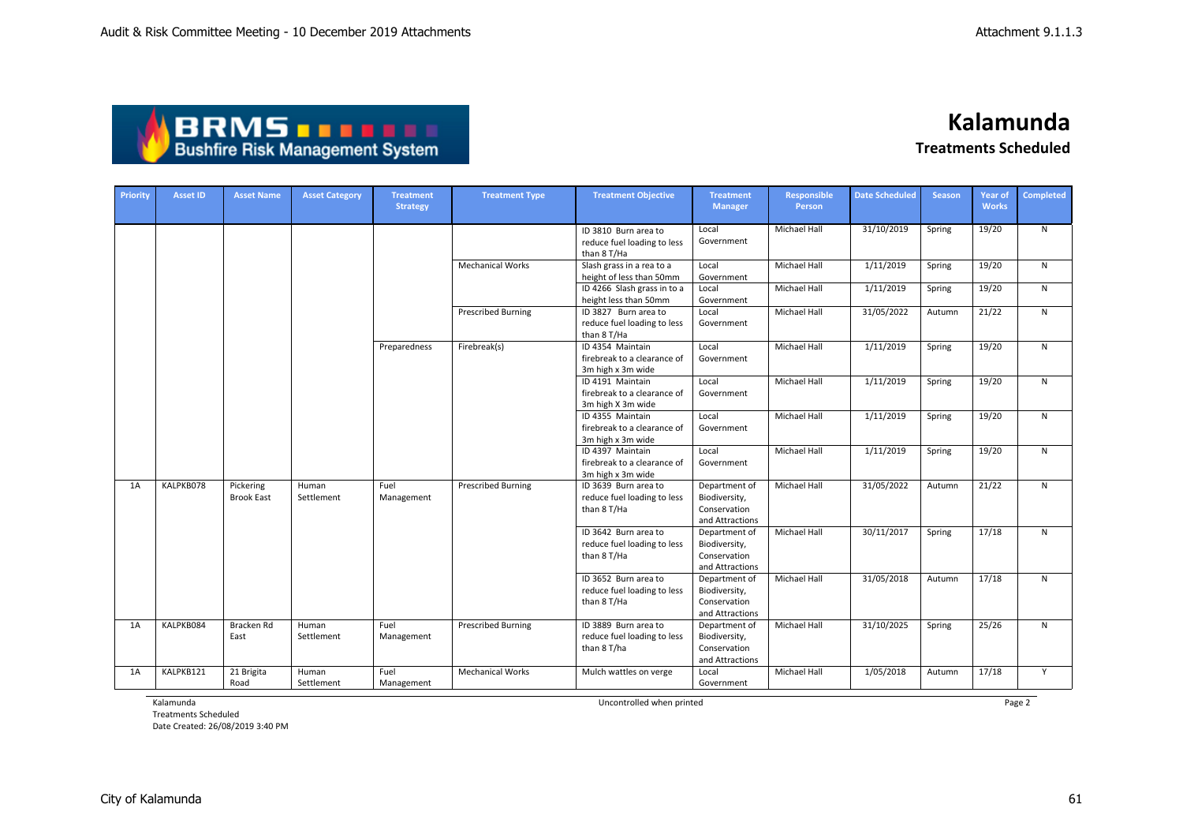

| Priority | <b>Asset ID</b> | <b>Asset Name</b>              | <b>Asset Category</b> | <b>Treatment</b><br><b>Strategy</b> | <b>Treatment Type</b>     | <b>Treatment Objective</b>                                           | <b>Treatment</b><br><b>Manager</b>                                | Responsible<br>Person | <b>Date Scheduled</b> | <b>Season</b> | Year of<br><b>Works</b> | <b>Completed</b> |
|----------|-----------------|--------------------------------|-----------------------|-------------------------------------|---------------------------|----------------------------------------------------------------------|-------------------------------------------------------------------|-----------------------|-----------------------|---------------|-------------------------|------------------|
|          |                 |                                |                       |                                     |                           | ID 3810 Burn area to<br>reduce fuel loading to less<br>than 8 T/Ha   | Local<br>Government                                               | Michael Hall          | 31/10/2019            | Spring        | 19/20                   | $\mathsf{N}$     |
|          |                 |                                |                       |                                     | <b>Mechanical Works</b>   | Slash grass in a rea to a<br>height of less than 50mm                | Local<br>Government                                               | Michael Hall          | 1/11/2019             | Spring        | 19/20                   | $\mathsf{N}$     |
|          |                 |                                |                       |                                     |                           | ID 4266 Slash grass in to a<br>height less than 50mm                 | Local<br>Government                                               | Michael Hall          | 1/11/2019             | Spring        | 19/20                   | ${\sf N}$        |
|          |                 |                                |                       |                                     | <b>Prescribed Burning</b> | ID 3827 Burn area to<br>reduce fuel loading to less<br>than 8 T/Ha   | Local<br>Government                                               | Michael Hall          | 31/05/2022            | Autumn        | 21/22                   | ${\sf N}$        |
|          |                 |                                |                       | Preparedness                        | Firebreak(s)              | ID 4354 Maintain<br>firebreak to a clearance of<br>3m high x 3m wide | Local<br>Government                                               | Michael Hall          | 1/11/2019             | Spring        | 19/20                   | ${\sf N}$        |
|          |                 |                                |                       |                                     |                           | ID 4191 Maintain<br>firebreak to a clearance of<br>3m high X 3m wide | Local<br>Government                                               | Michael Hall          | 1/11/2019             | Spring        | 19/20                   | ${\sf N}$        |
|          |                 |                                |                       |                                     |                           | ID 4355 Maintain<br>firebreak to a clearance of<br>3m high x 3m wide | Local<br>Government                                               | Michael Hall          | 1/11/2019             | Spring        | 19/20                   | ${\sf N}$        |
|          |                 |                                |                       |                                     |                           | ID 4397 Maintain<br>firebreak to a clearance of<br>3m high x 3m wide | Local<br>Government                                               | Michael Hall          | 1/11/2019             | Spring        | 19/20                   | ${\sf N}$        |
| 1A       | KALPKB078       | Pickering<br><b>Brook East</b> | Human<br>Settlement   | Fuel<br>Management                  | <b>Prescribed Burning</b> | ID 3639 Burn area to<br>reduce fuel loading to less<br>than 8 T/Ha   | Department of<br>Biodiversity,<br>Conservation<br>and Attractions | Michael Hall          | 31/05/2022            | Autumn        | 21/22                   | $\mathsf{N}$     |
|          |                 |                                |                       |                                     |                           | ID 3642 Burn area to<br>reduce fuel loading to less<br>than 8 T/Ha   | Department of<br>Biodiversity,<br>Conservation<br>and Attractions | Michael Hall          | 30/11/2017            | Spring        | 17/18                   | $\mathsf{N}$     |
|          |                 |                                |                       |                                     |                           | ID 3652 Burn area to<br>reduce fuel loading to less<br>than 8 T/Ha   | Department of<br>Biodiversity,<br>Conservation<br>and Attractions | Michael Hall          | 31/05/2018            | Autumn        | 17/18                   | $\mathsf{N}$     |
| 1A       | KALPKB084       | Bracken Rd<br>East             | Human<br>Settlement   | Fuel<br>Management                  | <b>Prescribed Burning</b> | ID 3889 Burn area to<br>reduce fuel loading to less<br>than 8 T/ha   | Department of<br>Biodiversity,<br>Conservation<br>and Attractions | <b>Michael Hall</b>   | 31/10/2025            | Spring        | 25/26                   | N                |
| 1A       | KALPKB121       | 21 Brigita<br>Road             | Human<br>Settlement   | Fuel<br>Management                  | <b>Mechanical Works</b>   | Mulch wattles on verge                                               | Local<br>Government                                               | Michael Hall          | 1/05/2018             | Autumn        | 17/18                   | Y                |

Kalamunda

Treatments Scheduled Date Created: 26/08/2019 3:40 PM Uncontrolled when printed Page 2

City of Kalamunda 61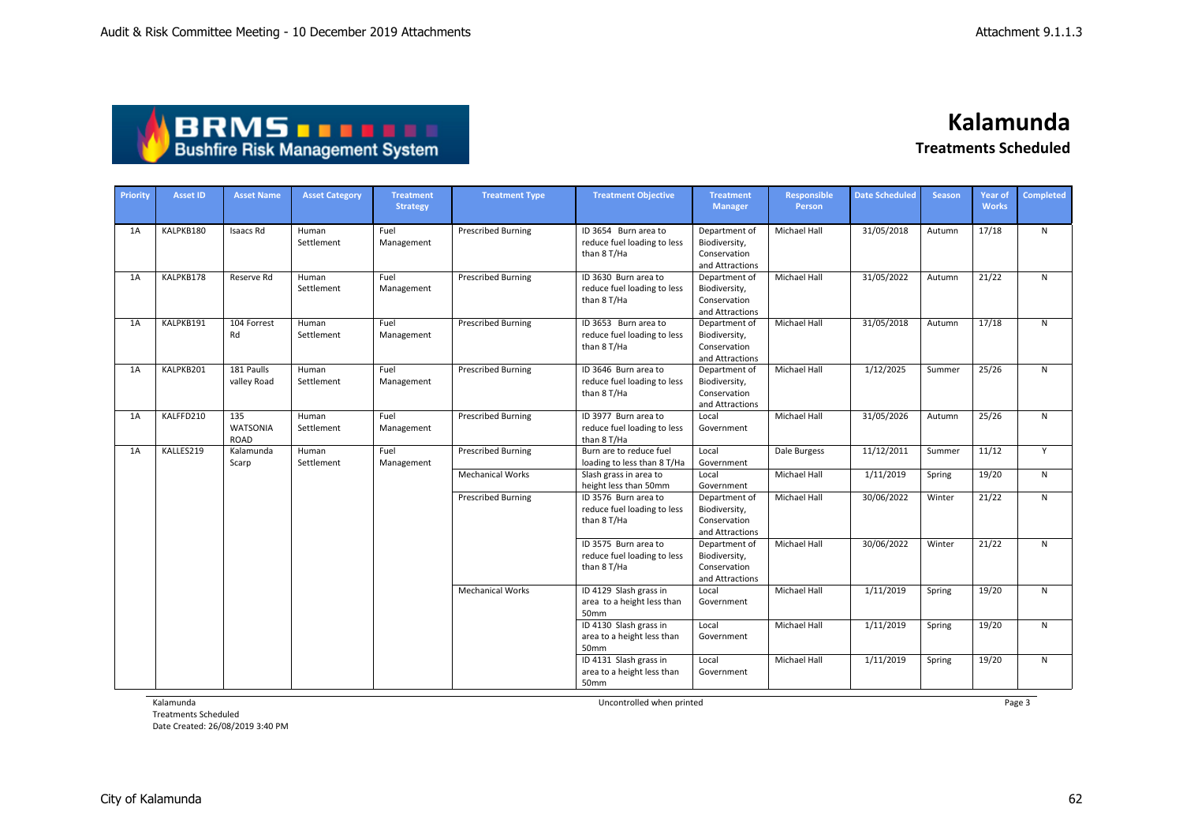| <b>ABRMS THEFT</b>                     |  |
|----------------------------------------|--|
| <b>Bushfire Risk Management System</b> |  |

| Priority | <b>Asset ID</b> | <b>Asset Name</b>                     | <b>Asset Category</b> | <b>Treatment</b><br><b>Strategy</b> | <b>Treatment Type</b>     | <b>Treatment Objective</b>                                         | <b>Treatment</b><br><b>Manager</b>                                | <b>Responsible</b><br><b>Person</b> | <b>Date Scheduled</b> | <b>Season</b> | <b>Year of</b><br><b>Works</b> | <b>Completed</b> |
|----------|-----------------|---------------------------------------|-----------------------|-------------------------------------|---------------------------|--------------------------------------------------------------------|-------------------------------------------------------------------|-------------------------------------|-----------------------|---------------|--------------------------------|------------------|
| 1A       | KALPKB180       | Isaacs Rd                             | Human<br>Settlement   | Fuel<br>Management                  | <b>Prescribed Burning</b> | ID 3654 Burn area to<br>reduce fuel loading to less<br>than 8 T/Ha | Department of<br>Biodiversity,<br>Conservation<br>and Attractions | Michael Hall                        | 31/05/2018            | Autumn        | 17/18                          | $\mathsf{N}$     |
| 1A       | KALPKB178       | Reserve Rd                            | Human<br>Settlement   | Fuel<br>Management                  | <b>Prescribed Burning</b> | ID 3630 Burn area to<br>reduce fuel loading to less<br>than 8 T/Ha | Department of<br>Biodiversity,<br>Conservation<br>and Attractions | Michael Hall                        | 31/05/2022            | Autumn        | 21/22                          | N                |
| 1A       | KALPKB191       | 104 Forrest<br>Rd                     | Human<br>Settlement   | Fuel<br>Management                  | <b>Prescribed Burning</b> | ID 3653 Burn area to<br>reduce fuel loading to less<br>than 8 T/Ha | Department of<br>Biodiversity,<br>Conservation<br>and Attractions | Michael Hall                        | 31/05/2018            | Autumn        | 17/18                          | N                |
| 1A       | KALPKB201       | 181 Paulls<br>valley Road             | Human<br>Settlement   | Fuel<br>Management                  | <b>Prescribed Burning</b> | ID 3646 Burn area to<br>reduce fuel loading to less<br>than 8 T/Ha | Department of<br>Biodiversity,<br>Conservation<br>and Attractions | Michael Hall                        | 1/12/2025             | Summer        | 25/26                          | N                |
| 1A       | KALFFD210       | 135<br><b>WATSONIA</b><br><b>ROAD</b> | Human<br>Settlement   | Fuel<br>Management                  | <b>Prescribed Burning</b> | ID 3977 Burn area to<br>reduce fuel loading to less<br>than 8 T/Ha | Local<br>Government                                               | Michael Hall                        | 31/05/2026            | Autumn        | 25/26                          | N                |
| 1A       | KALLES219       | Kalamunda<br>Scarp                    | Human<br>Settlement   | Fuel<br>Management                  | <b>Prescribed Burning</b> | Burn are to reduce fuel<br>loading to less than 8 T/Ha             | Local<br>Government                                               | Dale Burgess                        | 11/12/2011            | Summer        | 11/12                          | Y                |
|          |                 |                                       |                       |                                     | <b>Mechanical Works</b>   | Slash grass in area to<br>height less than 50mm                    | Local<br>Government                                               | Michael Hall                        | 1/11/2019             | Spring        | 19/20                          | N                |
|          |                 |                                       |                       |                                     | <b>Prescribed Burning</b> | ID 3576 Burn area to<br>reduce fuel loading to less<br>than 8 T/Ha | Department of<br>Biodiversity,<br>Conservation<br>and Attractions | Michael Hall                        | 30/06/2022            | Winter        | 21/22                          | N                |
|          |                 |                                       |                       |                                     |                           | ID 3575 Burn area to<br>reduce fuel loading to less<br>than 8 T/Ha | Department of<br>Biodiversity,<br>Conservation<br>and Attractions | Michael Hall                        | 30/06/2022            | Winter        | 21/22                          | N                |
|          |                 |                                       |                       |                                     | <b>Mechanical Works</b>   | ID 4129 Slash grass in<br>area to a height less than<br>50mm       | Local<br>Government                                               | <b>Michael Hall</b>                 | 1/11/2019             | Spring        | 19/20                          | N                |
|          |                 |                                       |                       |                                     |                           | ID 4130 Slash grass in<br>area to a height less than<br>50mm       | Local<br>Government                                               | Michael Hall                        | 1/11/2019             | Spring        | 19/20                          | N                |
|          |                 |                                       |                       |                                     |                           | ID 4131 Slash grass in<br>area to a height less than<br>50mm       | Local<br>Government                                               | Michael Hall                        | 1/11/2019             | Spring        | 19/20                          | N                |

Kalamunda

Treatments Scheduled Date Created: 26/08/2019 3:40 PM Uncontrolled when printed **Page 3** 

City of Kalamunda 62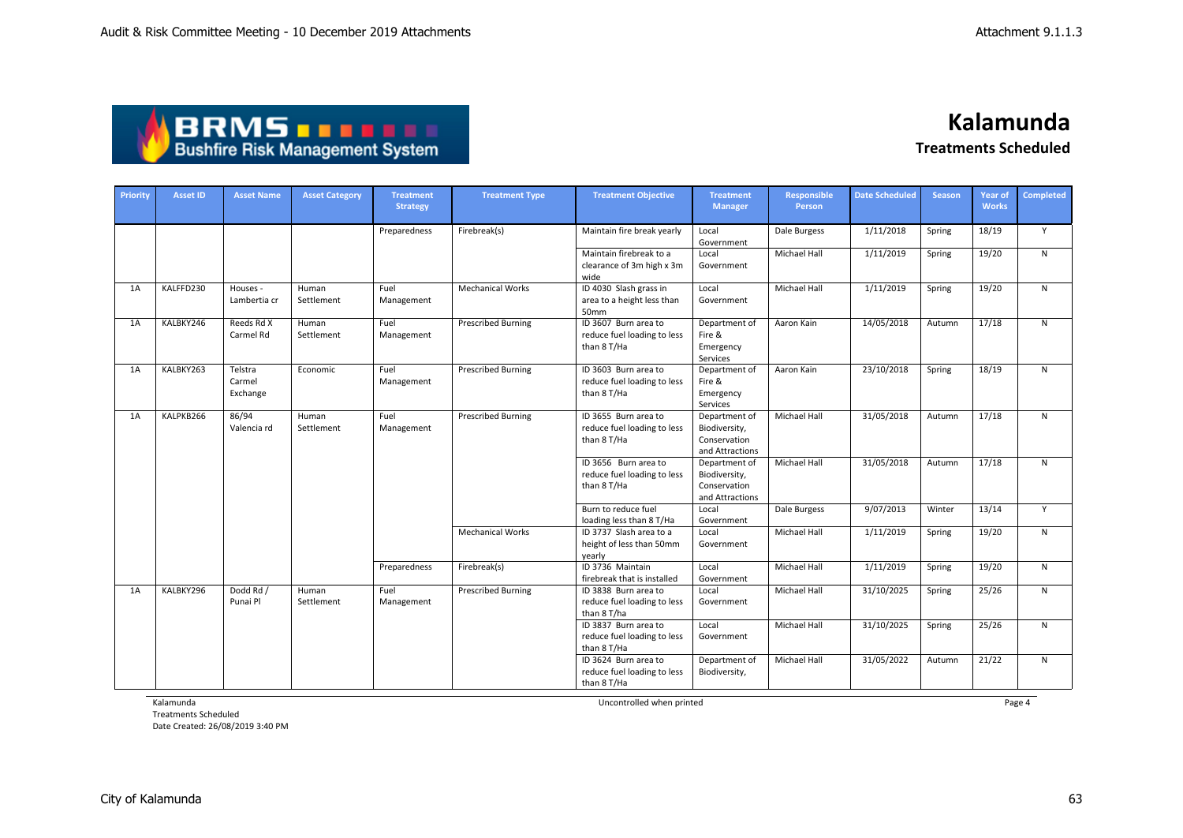| <b>ABRMS THEFT</b>                     |
|----------------------------------------|
| <b>Bushfire Risk Management System</b> |

| Priority | <b>Asset ID</b> | <b>Asset Name</b>             | <b>Asset Category</b> | <b>Treatment</b><br><b>Strategy</b> | <b>Treatment Type</b>     | <b>Treatment Objective</b>                                         | <b>Treatment</b><br><b>Manager</b>                                | Responsible<br>Person | <b>Date Scheduled</b> | <b>Season</b> | <b>Year of</b><br><b>Works</b> | <b>Completed</b> |
|----------|-----------------|-------------------------------|-----------------------|-------------------------------------|---------------------------|--------------------------------------------------------------------|-------------------------------------------------------------------|-----------------------|-----------------------|---------------|--------------------------------|------------------|
|          |                 |                               |                       | Preparedness                        | Firebreak(s)              | Maintain fire break yearly                                         | Local<br>Government                                               | Dale Burgess          | 1/11/2018             | Spring        | 18/19                          | Y                |
|          |                 |                               |                       |                                     |                           | Maintain firebreak to a<br>clearance of 3m high x 3m<br>wide       | Local<br>Government                                               | Michael Hall          | 1/11/2019             | Spring        | 19/20                          | N                |
| 1A       | KALFFD230       | Houses -<br>Lambertia cr      | Human<br>Settlement   | Fuel<br>Management                  | <b>Mechanical Works</b>   | ID 4030 Slash grass in<br>area to a height less than<br>50mm       | Local<br>Government                                               | Michael Hall          | 1/11/2019             | Spring        | 19/20                          | N                |
| 1A       | KALBKY246       | Reeds Rd X<br>Carmel Rd       | Human<br>Settlement   | Fuel<br>Management                  | <b>Prescribed Burning</b> | ID 3607 Burn area to<br>reduce fuel loading to less<br>than 8 T/Ha | Department of<br>Fire &<br>Emergency<br>Services                  | Aaron Kain            | 14/05/2018            | Autumn        | 17/18                          | N                |
| 1A       | KALBKY263       | Telstra<br>Carmel<br>Exchange | Economic              | Fuel<br>Management                  | <b>Prescribed Burning</b> | ID 3603 Burn area to<br>reduce fuel loading to less<br>than 8 T/Ha | Department of<br>Fire &<br>Emergency<br>Services                  | Aaron Kain            | 23/10/2018            | Spring        | 18/19                          | N                |
| 1A       | KALPKB266       | 86/94<br>Valencia rd          | Human<br>Settlement   | Fuel<br>Management                  | <b>Prescribed Burning</b> | ID 3655 Burn area to<br>reduce fuel loading to less<br>than 8 T/Ha | Department of<br>Biodiversity,<br>Conservation<br>and Attractions | Michael Hall          | 31/05/2018            | Autumn        | 17/18                          | N                |
|          |                 |                               |                       |                                     |                           | ID 3656 Burn area to<br>reduce fuel loading to less<br>than 8 T/Ha | Department of<br>Biodiversity,<br>Conservation<br>and Attractions | Michael Hall          | 31/05/2018            | Autumn        | 17/18                          | N                |
|          |                 |                               |                       |                                     |                           | Burn to reduce fuel<br>loading less than 8 T/Ha                    | Local<br>Government                                               | Dale Burgess          | 9/07/2013             | Winter        | 13/14                          | Y                |
|          |                 |                               |                       |                                     | <b>Mechanical Works</b>   | ID 3737 Slash area to a<br>height of less than 50mm<br>yearly      | Local<br>Government                                               | Michael Hall          | 1/11/2019             | Spring        | 19/20                          | N                |
|          |                 |                               |                       | Preparedness                        | Firebreak(s)              | ID 3736 Maintain<br>firebreak that is installed                    | Local<br>Government                                               | <b>Michael Hall</b>   | 1/11/2019             | Spring        | 19/20                          | $\mathsf{N}$     |
| 1A       | KALBKY296       | Dodd Rd /<br>Punai Pl         | Human<br>Settlement   | Fuel<br>Management                  | <b>Prescribed Burning</b> | ID 3838 Burn area to<br>reduce fuel loading to less<br>than 8 T/ha | Local<br>Government                                               | Michael Hall          | 31/10/2025            | Spring        | 25/26                          | $\mathsf{N}$     |
|          |                 |                               |                       |                                     |                           | ID 3837 Burn area to<br>reduce fuel loading to less<br>than 8 T/Ha | Local<br>Government                                               | <b>Michael Hall</b>   | 31/10/2025            | Spring        | 25/26                          | N                |
|          |                 |                               |                       |                                     |                           | ID 3624 Burn area to<br>reduce fuel loading to less<br>than 8 T/Ha | Department of<br>Biodiversity,                                    | <b>Michael Hall</b>   | 31/05/2022            | Autumn        | 21/22                          | N                |

Kalamunda

Treatments Scheduled Date Created: 26/08/2019 3:40 PM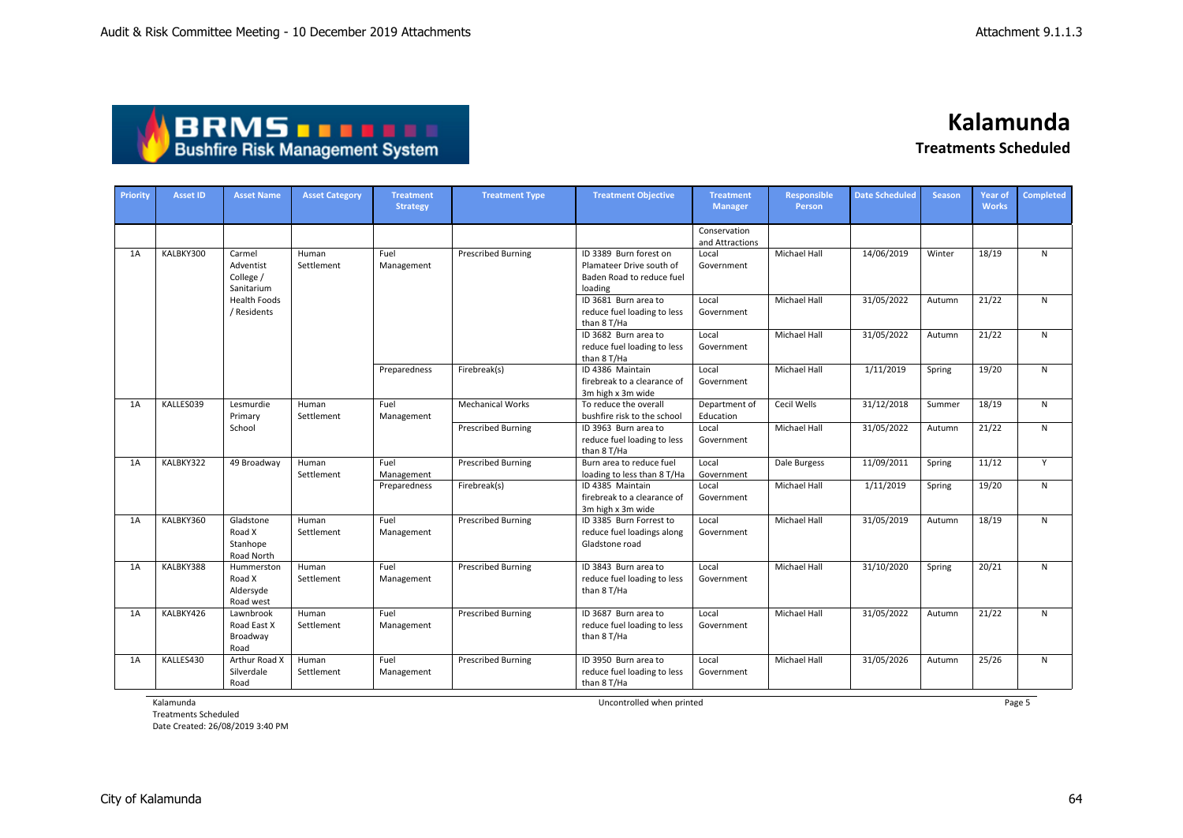| ABRMS THEFE                            |
|----------------------------------------|
| <b>Bushfire Risk Management System</b> |

**Kalamunda**

**Treatments Scheduled**

| Priority | <b>Asset ID</b> | <b>Asset Name</b>                              | <b>Asset Category</b> | <b>Treatment</b><br><b>Strategy</b> | <b>Treatment Type</b>     | <b>Treatment Objective</b>                                                                 | <b>Treatment</b><br><b>Manager</b> | <b>Responsible</b><br>Person | <b>Date Scheduled</b> | <b>Season</b> | <b>Year of</b><br><b>Works</b> | <b>Completed</b> |
|----------|-----------------|------------------------------------------------|-----------------------|-------------------------------------|---------------------------|--------------------------------------------------------------------------------------------|------------------------------------|------------------------------|-----------------------|---------------|--------------------------------|------------------|
|          |                 |                                                |                       |                                     |                           |                                                                                            | Conservation<br>and Attractions    |                              |                       |               |                                |                  |
| 1A       | KALBKY300       | Carmel<br>Adventist<br>College /<br>Sanitarium | Human<br>Settlement   | Fuel<br>Management                  | <b>Prescribed Burning</b> | ID 3389 Burn forest on<br>Plamateer Drive south of<br>Baden Road to reduce fuel<br>loading | Local<br>Government                | <b>Michael Hall</b>          | 14/06/2019            | Winter        | 18/19                          | N                |
|          |                 | <b>Health Foods</b><br>/ Residents             |                       |                                     |                           | ID 3681 Burn area to<br>reduce fuel loading to less<br>than 8 T/Ha                         | Local<br>Government                | <b>Michael Hall</b>          | 31/05/2022            | Autumn        | 21/22                          | N                |
|          |                 |                                                |                       |                                     |                           | ID 3682 Burn area to<br>reduce fuel loading to less<br>than 8 T/Ha                         | Local<br>Government                | <b>Michael Hall</b>          | 31/05/2022            | Autumn        | 21/22                          | $\mathsf{N}$     |
|          |                 |                                                |                       | Preparedness                        | Firebreak(s)              | ID 4386 Maintain<br>firebreak to a clearance of<br>3m high x 3m wide                       | Local<br>Government                | Michael Hall                 | 1/11/2019             | Spring        | 19/20                          | $\mathsf{N}$     |
| 1A       | KALLES039       | Lesmurdie<br>Primary                           | Human<br>Settlement   | Fuel<br>Management                  | <b>Mechanical Works</b>   | To reduce the overall<br>bushfire risk to the school                                       | Department of<br>Education         | Cecil Wells                  | 31/12/2018            | Summer        | 18/19                          | $\mathsf{N}$     |
|          |                 | School                                         |                       |                                     | <b>Prescribed Burning</b> | ID 3963 Burn area to<br>reduce fuel loading to less<br>than 8 T/Ha                         | Local<br>Government                | Michael Hall                 | 31/05/2022            | Autumn        | 21/22                          | ${\sf N}$        |
| 1A       | KALBKY322       | 49 Broadway                                    | Human<br>Settlement   | Fuel<br>Management                  | <b>Prescribed Burning</b> | Burn area to reduce fuel<br>loading to less than 8 T/Ha                                    | Local<br>Government                | Dale Burgess                 | 11/09/2011            | Spring        | 11/12                          | Y                |
|          |                 |                                                |                       | Preparedness                        | Firebreak(s)              | ID 4385 Maintain<br>firebreak to a clearance of<br>3m high x 3m wide                       | Local<br>Government                | Michael Hall                 | 1/11/2019             | Spring        | 19/20                          | ${\sf N}$        |
| 1A       | KALBKY360       | Gladstone<br>Road X<br>Stanhope<br>Road North  | Human<br>Settlement   | Fuel<br>Management                  | <b>Prescribed Burning</b> | ID 3385 Burn Forrest to<br>reduce fuel loadings along<br>Gladstone road                    | Local<br>Government                | <b>Michael Hall</b>          | 31/05/2019            | Autumn        | 18/19                          | $\mathsf{N}$     |
| 1A       | KALBKY388       | Hummerston<br>Road X<br>Aldersyde<br>Road west | Human<br>Settlement   | Fuel<br>Management                  | <b>Prescribed Burning</b> | ID 3843 Burn area to<br>reduce fuel loading to less<br>than 8 T/Ha                         | Local<br>Government                | <b>Michael Hall</b>          | 31/10/2020            | Spring        | 20/21                          | N                |
| 1A       | KALBKY426       | Lawnbrook<br>Road East X<br>Broadway<br>Road   | Human<br>Settlement   | Fuel<br>Management                  | <b>Prescribed Burning</b> | ID 3687 Burn area to<br>reduce fuel loading to less<br>than 8 T/Ha                         | Local<br>Government                | <b>Michael Hall</b>          | 31/05/2022            | Autumn        | 21/22                          | N                |
| 1A       | KALLES430       | Arthur Road X<br>Silverdale<br>Road            | Human<br>Settlement   | Fuel<br>Management                  | <b>Prescribed Burning</b> | ID 3950 Burn area to<br>reduce fuel loading to less<br>than 8 T/Ha                         | Local<br>Government                | Michael Hall                 | 31/05/2026            | Autumn        | 25/26                          | N                |

Kalamunda

Treatments Scheduled Date Created: 26/08/2019 3:40 PM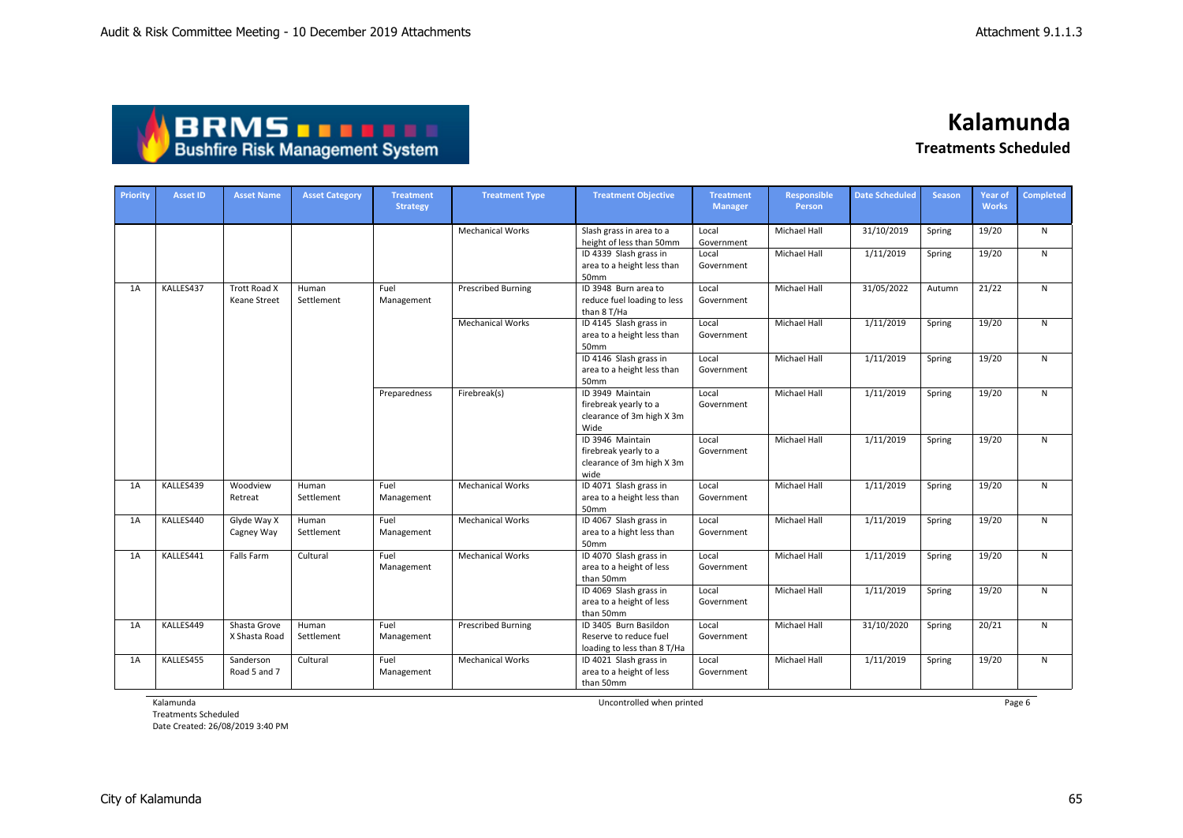| <b>ABRMS TELL!</b>                     |
|----------------------------------------|
| <b>Bushfire Risk Management System</b> |

| <b>Priority</b> | <b>Asset ID</b> | <b>Asset Name</b>             | <b>Asset Category</b> | <b>Treatment</b><br><b>Strategy</b> | <b>Treatment Type</b>     | <b>Treatment Objective</b>                                                     | <b>Treatment</b><br><b>Manager</b> | <b>Responsible</b><br>Person | <b>Date Scheduled</b> | <b>Season</b> | <b>Year of</b><br><b>Works</b> | <b>Completed</b> |
|-----------------|-----------------|-------------------------------|-----------------------|-------------------------------------|---------------------------|--------------------------------------------------------------------------------|------------------------------------|------------------------------|-----------------------|---------------|--------------------------------|------------------|
|                 |                 |                               |                       |                                     | <b>Mechanical Works</b>   | Slash grass in area to a<br>height of less than 50mm                           | Local<br>Government                | Michael Hall                 | 31/10/2019            | Spring        | 19/20                          | N                |
|                 |                 |                               |                       |                                     |                           | ID 4339 Slash grass in<br>area to a height less than<br>50mm                   | Local<br>Government                | Michael Hall                 | 1/11/2019             | Spring        | 19/20                          | $\mathsf{N}$     |
| 1A              | KALLES437       | Trott Road X<br>Keane Street  | Human<br>Settlement   | Fuel<br>Management                  | <b>Prescribed Burning</b> | ID 3948 Burn area to<br>reduce fuel loading to less<br>than 8 T/Ha             | Local<br>Government                | <b>Michael Hall</b>          | 31/05/2022            | Autumn        | 21/22                          | $\mathsf{N}$     |
|                 |                 |                               |                       |                                     | <b>Mechanical Works</b>   | ID 4145 Slash grass in<br>area to a height less than<br>50mm                   | Local<br>Government                | Michael Hall                 | 1/11/2019             | Spring        | 19/20                          | N                |
|                 |                 |                               |                       |                                     |                           | ID 4146 Slash grass in<br>area to a height less than<br>50mm                   | Local<br>Government                | Michael Hall                 | 1/11/2019             | Spring        | 19/20                          | N                |
|                 |                 |                               |                       | Preparedness                        | Firebreak(s)              | ID 3949 Maintain<br>firebreak yearly to a<br>clearance of 3m high X 3m<br>Wide | Local<br>Government                | Michael Hall                 | 1/11/2019             | Spring        | 19/20                          | N                |
|                 |                 |                               |                       |                                     |                           | ID 3946 Maintain<br>firebreak yearly to a<br>clearance of 3m high X 3m<br>wide | Local<br>Government                | <b>Michael Hall</b>          | 1/11/2019             | Spring        | 19/20                          | $\mathsf{N}$     |
| 1A              | KALLES439       | Woodview<br>Retreat           | Human<br>Settlement   | Fuel<br>Management                  | <b>Mechanical Works</b>   | ID 4071 Slash grass in<br>area to a height less than<br>50mm                   | Local<br>Government                | Michael Hall                 | 1/11/2019             | Spring        | 19/20                          | N                |
| 1A              | KALLES440       | Glyde Way X<br>Cagney Way     | Human<br>Settlement   | Fuel<br>Management                  | <b>Mechanical Works</b>   | ID 4067 Slash grass in<br>area to a hight less than<br>50mm                    | Local<br>Government                | <b>Michael Hall</b>          | 1/11/2019             | Spring        | 19/20                          | $\mathsf{N}$     |
| 1A              | KALLES441       | Falls Farm                    | Cultural              | Fuel<br>Management                  | <b>Mechanical Works</b>   | ID 4070 Slash grass in<br>area to a height of less<br>than 50mm                | Local<br>Government                | Michael Hall                 | 1/11/2019             | Spring        | 19/20                          | N                |
|                 |                 |                               |                       |                                     |                           | ID 4069 Slash grass in<br>area to a height of less<br>than 50mm                | Local<br>Government                | Michael Hall                 | 1/11/2019             | Spring        | 19/20                          | $\mathsf{N}$     |
| 1A              | KALLES449       | Shasta Grove<br>X Shasta Road | Human<br>Settlement   | Fuel<br>Management                  | <b>Prescribed Burning</b> | ID 3405 Burn Basildon<br>Reserve to reduce fuel<br>loading to less than 8 T/Ha | Local<br>Government                | Michael Hall                 | 31/10/2020            | Spring        | 20/21                          | $\mathsf{N}$     |
| 1A              | KALLES455       | Sanderson<br>Road 5 and 7     | Cultural              | Fuel<br>Management                  | <b>Mechanical Works</b>   | ID 4021 Slash grass in<br>area to a height of less<br>than 50mm                | Local<br>Government                | Michael Hall                 | 1/11/2019             | Spring        | 19/20                          | N                |

Kalamunda

Treatments Scheduled Date Created: 26/08/2019 3:40 PM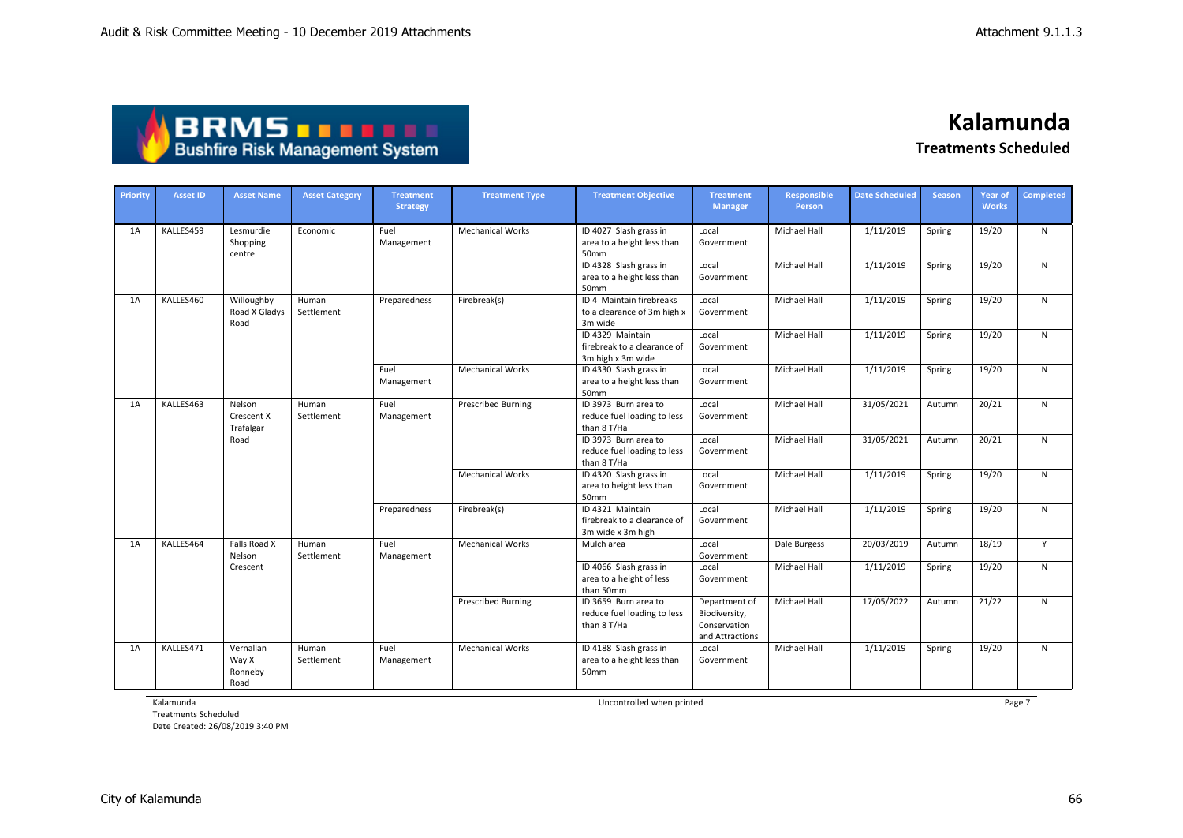| <b>ABRMS THEFT</b>                     |  |
|----------------------------------------|--|
| <b>Bushfire Risk Management System</b> |  |

| Priority | <b>Asset ID</b> | <b>Asset Name</b>                         | <b>Asset Category</b> | <b>Treatment</b><br><b>Strategy</b> | <b>Treatment Type</b>     | <b>Treatment Objective</b>                                           | <b>Treatment</b><br><b>Manager</b>                                | <b>Responsible</b><br><b>Person</b> | <b>Date Scheduled</b> | <b>Season</b> | <b>Year of</b><br><b>Works</b> | <b>Completed</b> |
|----------|-----------------|-------------------------------------------|-----------------------|-------------------------------------|---------------------------|----------------------------------------------------------------------|-------------------------------------------------------------------|-------------------------------------|-----------------------|---------------|--------------------------------|------------------|
| 1A       | KALLES459       | Lesmurdie<br>Shopping<br>centre           | Economic              | Fuel<br>Management                  | <b>Mechanical Works</b>   | ID 4027 Slash grass in<br>area to a height less than<br>50mm         | Local<br>Government                                               | Michael Hall                        | 1/11/2019             | Spring        | 19/20                          | N                |
|          |                 |                                           |                       |                                     |                           | ID 4328 Slash grass in<br>area to a height less than<br>50mm         | Local<br>Government                                               | Michael Hall                        | 1/11/2019             | Spring        | 19/20                          | N                |
| 1A       | KALLES460       | Willoughby<br>Road X Gladys<br>Road       | Human<br>Settlement   | Preparedness                        | Firebreak(s)              | ID 4 Maintain firebreaks<br>to a clearance of 3m high x<br>3m wide   | Local<br>Government                                               | Michael Hall                        | 1/11/2019             | Spring        | 19/20                          | N                |
|          |                 |                                           |                       |                                     |                           | ID 4329 Maintain<br>firebreak to a clearance of<br>3m high x 3m wide | Local<br>Government                                               | <b>Michael Hall</b>                 | 1/11/2019             | Spring        | 19/20                          | $\mathsf{N}$     |
|          |                 |                                           |                       | Fuel<br>Management                  | <b>Mechanical Works</b>   | ID 4330 Slash grass in<br>area to a height less than<br>50mm         | Local<br>Government                                               | Michael Hall                        | 1/11/2019             | Spring        | 19/20                          | N                |
| 1A       | KALLES463       | Nelson<br>Crescent X<br>Trafalgar<br>Road | Human<br>Settlement   | Fuel<br>Management                  | <b>Prescribed Burning</b> | ID 3973 Burn area to<br>reduce fuel loading to less<br>than 8 T/Ha   | Local<br>Government                                               | Michael Hall                        | 31/05/2021            | Autumn        | 20/21                          | $\mathsf{N}$     |
|          |                 |                                           |                       |                                     |                           | ID 3973 Burn area to<br>reduce fuel loading to less<br>than 8 T/Ha   | Local<br>Government                                               | <b>Michael Hall</b>                 | 31/05/2021            | Autumn        | 20/21                          | N                |
|          |                 |                                           |                       |                                     | <b>Mechanical Works</b>   | ID 4320 Slash grass in<br>area to height less than<br>50mm           | Local<br>Government                                               | <b>Michael Hall</b>                 | 1/11/2019             | Spring        | 19/20                          | $\mathsf{N}$     |
|          |                 |                                           |                       | Preparedness                        | Firebreak(s)              | ID 4321 Maintain<br>firebreak to a clearance of<br>3m wide x 3m high | Local<br>Government                                               | Michael Hall                        | 1/11/2019             | Spring        | 19/20                          | N                |
| 1A       | KALLES464       | Falls Road X<br>Nelson                    | Human<br>Settlement   | Fuel<br>Management                  | <b>Mechanical Works</b>   | Mulch area                                                           | Local<br>Government                                               | Dale Burgess                        | 20/03/2019            | Autumn        | 18/19                          | Y                |
|          |                 | Crescent                                  |                       |                                     |                           | ID 4066 Slash grass in<br>area to a height of less<br>than 50mm      | Local<br>Government                                               | Michael Hall                        | 1/11/2019             | Spring        | 19/20                          | N                |
|          |                 |                                           |                       |                                     | <b>Prescribed Burning</b> | ID 3659 Burn area to<br>reduce fuel loading to less<br>than 8 T/Ha   | Department of<br>Biodiversity,<br>Conservation<br>and Attractions | <b>Michael Hall</b>                 | 17/05/2022            | Autumn        | 21/22                          | N                |
| 1A       | KALLES471       | Vernallan<br>Way X<br>Ronneby<br>Road     | Human<br>Settlement   | Fuel<br>Management                  | <b>Mechanical Works</b>   | ID 4188 Slash grass in<br>area to a height less than<br>50mm         | Local<br>Government                                               | <b>Michael Hall</b>                 | 1/11/2019             | Spring        | 19/20                          | N                |

Kalamunda

Treatments Scheduled Date Created: 26/08/2019 3:40 PM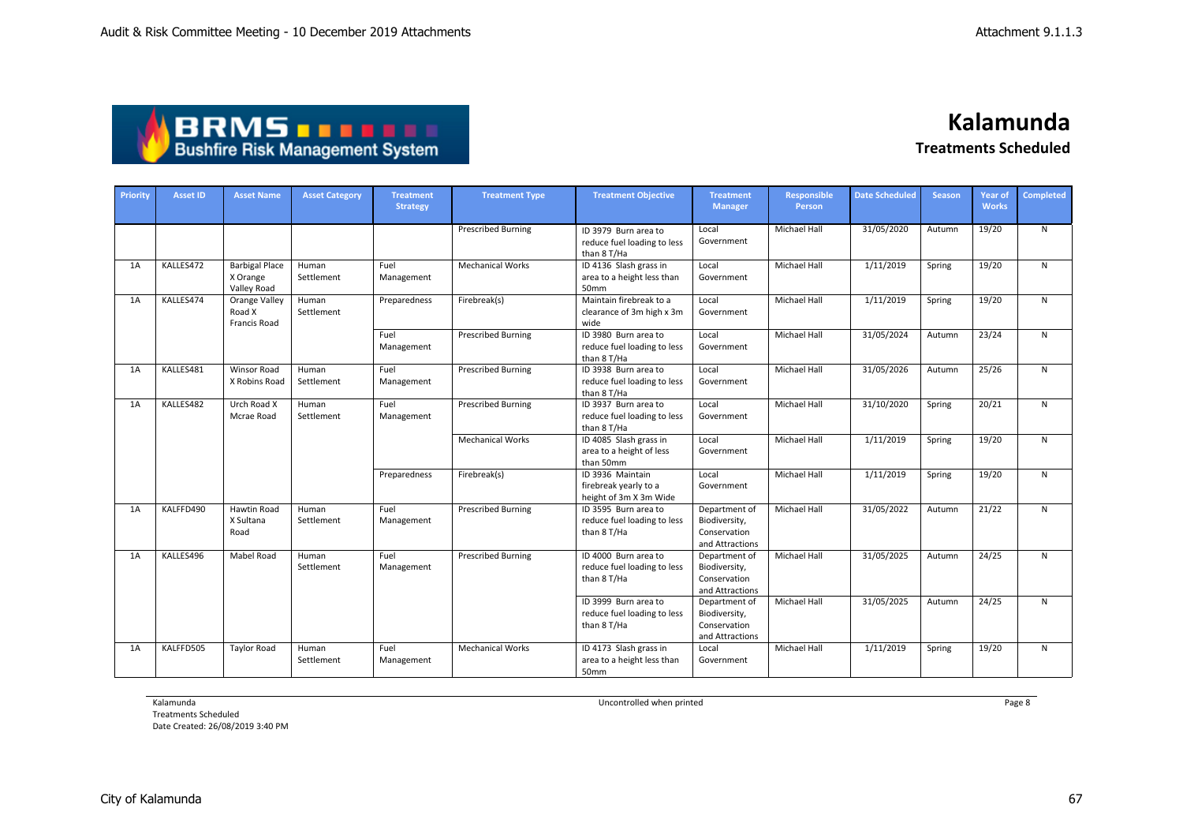| <b>ABRMS THEFT</b>                     |
|----------------------------------------|
| <b>Bushfire Risk Management System</b> |

| Priority | <b>Asset ID</b> | <b>Asset Name</b>                                | <b>Asset Category</b> | <b>Treatment</b><br><b>Strategy</b> | <b>Treatment Type</b>     | <b>Treatment Objective</b>                                          | <b>Treatment</b><br><b>Manager</b>                                | Responsible<br><b>Person</b> | <b>Date Scheduled</b> | <b>Season</b> | <b>Year of</b><br><b>Works</b> | Completed    |
|----------|-----------------|--------------------------------------------------|-----------------------|-------------------------------------|---------------------------|---------------------------------------------------------------------|-------------------------------------------------------------------|------------------------------|-----------------------|---------------|--------------------------------|--------------|
|          |                 |                                                  |                       |                                     | <b>Prescribed Burning</b> | ID 3979 Burn area to<br>reduce fuel loading to less<br>than 8 T/Ha  | Local<br>Government                                               | <b>Michael Hall</b>          | 31/05/2020            | Autumn        | 19/20                          | $\mathsf{N}$ |
| 1A       | KALLES472       | <b>Barbigal Place</b><br>X Orange<br>Valley Road | Human<br>Settlement   | Fuel<br>Management                  | <b>Mechanical Works</b>   | ID 4136 Slash grass in<br>area to a height less than<br>50mm        | Local<br>Government                                               | <b>Michael Hall</b>          | 1/11/2019             | Spring        | 19/20                          | N            |
| 1A       | KALLES474       | Orange Valley<br>Road X<br><b>Francis Road</b>   | Human<br>Settlement   | Preparedness                        | Firebreak(s)              | Maintain firebreak to a<br>clearance of 3m high x 3m<br>wide        | Local<br>Government                                               | <b>Michael Hall</b>          | 1/11/2019             | Spring        | 19/20                          | N            |
|          |                 |                                                  |                       | Fuel<br>Management                  | <b>Prescribed Burning</b> | ID 3980 Burn area to<br>reduce fuel loading to less<br>than 8 T/Ha  | Local<br>Government                                               | <b>Michael Hall</b>          | 31/05/2024            | Autumn        | 23/24                          | N            |
| 1A       | KALLES481       | <b>Winsor Road</b><br>X Robins Road              | Human<br>Settlement   | Fuel<br>Management                  | <b>Prescribed Burning</b> | ID 3938 Burn area to<br>reduce fuel loading to less<br>than 8 T/Ha  | Local<br>Government                                               | Michael Hall                 | 31/05/2026            | Autumn        | 25/26                          | N            |
| 1A       | KALLES482       | Urch Road X<br>Mcrae Road                        | Human<br>Settlement   | Fuel<br>Management                  | <b>Prescribed Burning</b> | ID 3937 Burn area to<br>reduce fuel loading to less<br>than 8 T/Ha  | Local<br>Government                                               | <b>Michael Hall</b>          | 31/10/2020            | Spring        | 20/21                          | N            |
|          |                 |                                                  |                       |                                     | <b>Mechanical Works</b>   | ID 4085 Slash grass in<br>area to a height of less<br>than 50mm     | Local<br>Government                                               | <b>Michael Hall</b>          | 1/11/2019             | Spring        | 19/20                          | N            |
|          |                 |                                                  |                       | Preparedness                        | Firebreak(s)              | ID 3936 Maintain<br>firebreak yearly to a<br>height of 3m X 3m Wide | Local<br>Government                                               | Michael Hall                 | 1/11/2019             | Spring        | 19/20                          | N            |
| 1A       | KALFFD490       | <b>Hawtin Road</b><br>X Sultana<br>Road          | Human<br>Settlement   | Fuel<br>Management                  | <b>Prescribed Burning</b> | ID 3595 Burn area to<br>reduce fuel loading to less<br>than 8 T/Ha  | Department of<br>Biodiversity,<br>Conservation<br>and Attractions | <b>Michael Hall</b>          | 31/05/2022            | Autumn        | 21/22                          | N            |
| 1A       | KALLES496       | Mabel Road                                       | Human<br>Settlement   | Fuel<br>Management                  | <b>Prescribed Burning</b> | ID 4000 Burn area to<br>reduce fuel loading to less<br>than 8 T/Ha  | Department of<br>Biodiversity,<br>Conservation<br>and Attractions | Michael Hall                 | 31/05/2025            | Autumn        | 24/25                          | N            |
|          |                 |                                                  |                       |                                     |                           | ID 3999 Burn area to<br>reduce fuel loading to less<br>than 8 T/Ha  | Department of<br>Biodiversity,<br>Conservation<br>and Attractions | <b>Michael Hall</b>          | 31/05/2025            | Autumn        | 24/25                          | N            |
| 1A       | KALFFD505       | <b>Taylor Road</b>                               | Human<br>Settlement   | Fuel<br>Management                  | <b>Mechanical Works</b>   | ID 4173 Slash grass in<br>area to a height less than<br>50mm        | Local<br>Government                                               | <b>Michael Hall</b>          | 1/11/2019             | Spring        | 19/20                          | N            |

Kalamunda

Treatments Scheduled Date Created: 26/08/2019 3:40 PM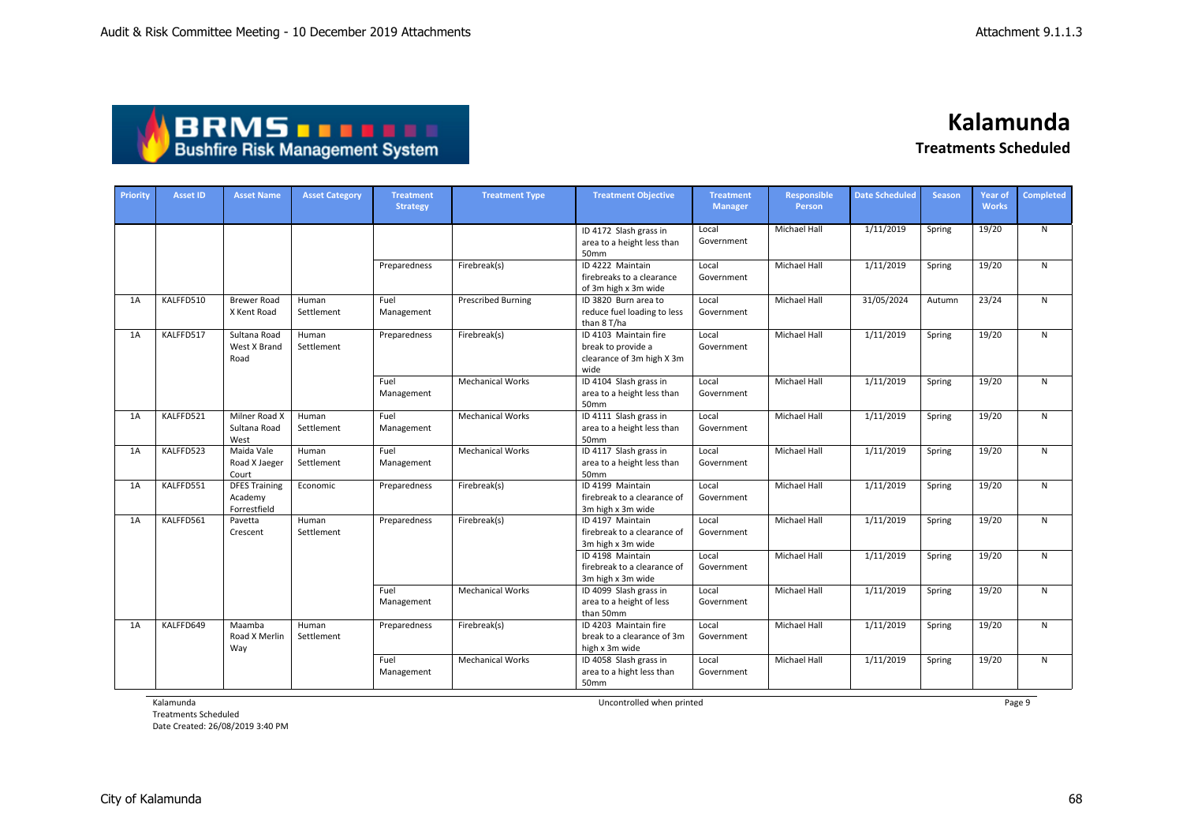| <b>ABRMSTTTT</b>                       |
|----------------------------------------|
| <b>Bushfire Risk Management System</b> |

| Priority | <b>Asset ID</b> | <b>Asset Name</b>                               | <b>Asset Category</b> | <b>Treatment</b><br><b>Strategy</b> | <b>Treatment Type</b>     | <b>Treatment Objective</b>                                                       | <b>Treatment</b><br><b>Manager</b> | <b>Responsible</b><br><b>Person</b> | <b>Date Scheduled</b> | <b>Season</b> | <b>Year of</b><br><b>Works</b> | <b>Completed</b> |
|----------|-----------------|-------------------------------------------------|-----------------------|-------------------------------------|---------------------------|----------------------------------------------------------------------------------|------------------------------------|-------------------------------------|-----------------------|---------------|--------------------------------|------------------|
|          |                 |                                                 |                       |                                     |                           | ID 4172 Slash grass in<br>area to a height less than<br>50mm                     | Local<br>Government                | Michael Hall                        | 1/11/2019             | Spring        | 19/20                          | N                |
|          |                 |                                                 |                       | Preparedness                        | Firebreak(s)              | ID 4222 Maintain<br>firebreaks to a clearance<br>of 3m high x 3m wide            | Local<br>Government                | Michael Hall                        | 1/11/2019             | Spring        | 19/20                          | N                |
| 1A       | KALFFD510       | <b>Brewer Road</b><br>X Kent Road               | Human<br>Settlement   | Fuel<br>Management                  | <b>Prescribed Burning</b> | ID 3820 Burn area to<br>reduce fuel loading to less<br>than 8 T/ha               | Local<br>Government                | Michael Hall                        | 31/05/2024            | Autumn        | 23/24                          | N                |
| 1A       | KALFFD517       | Sultana Road<br>West X Brand<br>Road            | Human<br>Settlement   | Preparedness                        | Firebreak(s)              | ID 4103 Maintain fire<br>break to provide a<br>clearance of 3m high X 3m<br>wide | Local<br>Government                | Michael Hall                        | 1/11/2019             | Spring        | 19/20                          | N                |
|          |                 |                                                 |                       | Fuel<br>Management                  | <b>Mechanical Works</b>   | ID 4104 Slash grass in<br>area to a height less than<br>50mm                     | Local<br>Government                | Michael Hall                        | 1/11/2019             | Spring        | 19/20                          | N                |
| 1A       | KALFFD521       | Milner Road X<br>Sultana Road<br>West           | Human<br>Settlement   | Fuel<br>Management                  | <b>Mechanical Works</b>   | ID 4111 Slash grass in<br>area to a height less than<br>50mm                     | Local<br>Government                | <b>Michael Hall</b>                 | 1/11/2019             | Spring        | 19/20                          | N                |
| 1A       | KALFFD523       | Maida Vale<br>Road X Jaeger<br>Court            | Human<br>Settlement   | Fuel<br>Management                  | <b>Mechanical Works</b>   | ID 4117 Slash grass in<br>area to a height less than<br>50mm                     | Local<br>Government                | <b>Michael Hall</b>                 | 1/11/2019             | Spring        | 19/20                          | N                |
| 1A       | KALFFD551       | <b>DFES Training</b><br>Academy<br>Forrestfield | Economic              | Preparedness                        | Firebreak(s)              | ID 4199 Maintain<br>firebreak to a clearance of<br>3m high x 3m wide             | Local<br>Government                | <b>Michael Hall</b>                 | 1/11/2019             | Spring        | 19/20                          | N                |
| 1A       | KALFFD561       | Pavetta<br>Crescent                             | Human<br>Settlement   | Preparedness                        | Firebreak(s)              | ID 4197 Maintain<br>firebreak to a clearance of<br>3m high x 3m wide             | Local<br>Government                | <b>Michael Hall</b>                 | 1/11/2019             | Spring        | 19/20                          | N                |
|          |                 |                                                 |                       |                                     |                           | ID 4198 Maintain<br>firebreak to a clearance of<br>3m high x 3m wide             | Local<br>Government                | Michael Hall                        | 1/11/2019             | Spring        | 19/20                          | N                |
|          |                 |                                                 |                       | Fuel<br>Management                  | <b>Mechanical Works</b>   | ID 4099 Slash grass in<br>area to a height of less<br>than 50mm                  | Local<br>Government                | <b>Michael Hall</b>                 | 1/11/2019             | Spring        | 19/20                          | N                |
| 1A       | KALFFD649       | Maamba<br>Road X Merlin<br>Way                  | Human<br>Settlement   | Preparedness                        | Firebreak(s)              | ID 4203 Maintain fire<br>break to a clearance of 3m<br>high x 3m wide            | Local<br>Government                | <b>Michael Hall</b>                 | 1/11/2019             | Spring        | 19/20                          | N                |
|          |                 |                                                 |                       | Fuel<br>Management                  | <b>Mechanical Works</b>   | ID 4058 Slash grass in<br>area to a hight less than<br>50mm                      | Local<br>Government                | <b>Michael Hall</b>                 | 1/11/2019             | Spring        | 19/20                          | N                |

Kalamunda

Treatments Scheduled Date Created: 26/08/2019 3:40 PM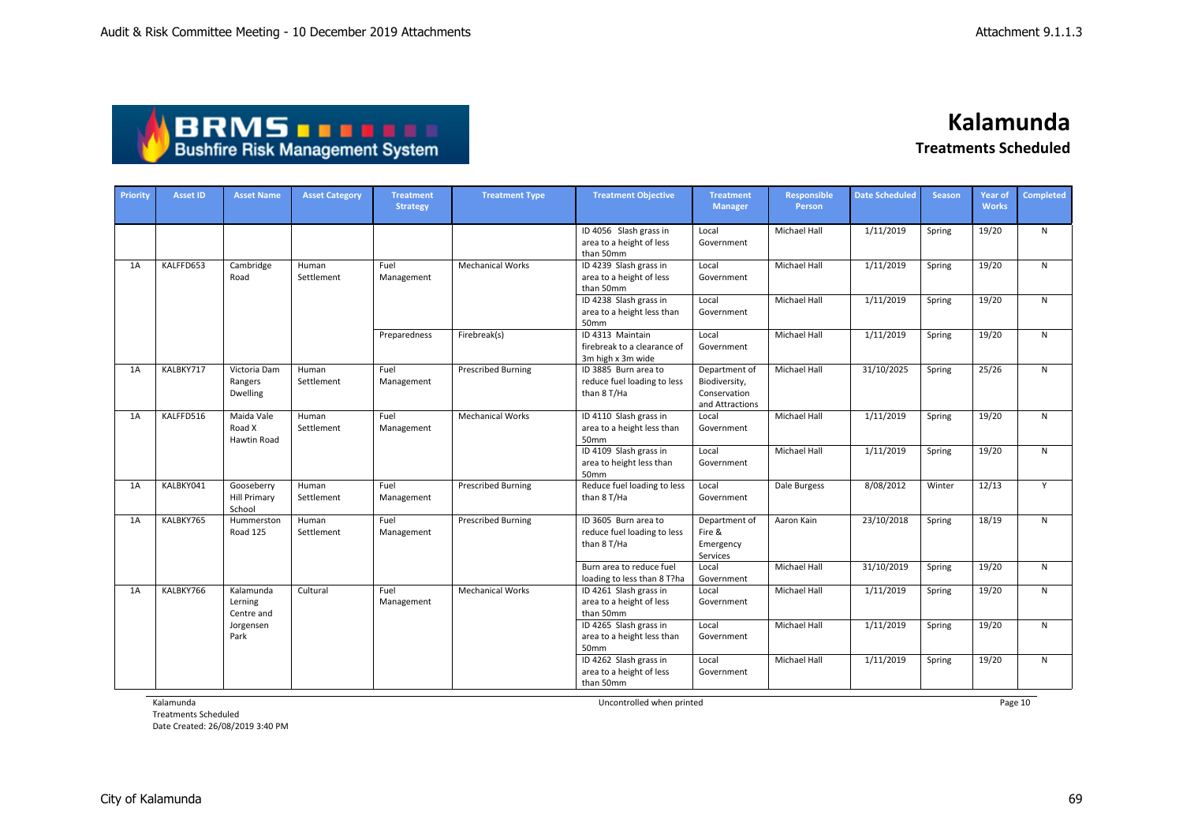| <b>ABRMS THEFT</b>                     |
|----------------------------------------|
| <b>Bushfire Risk Management System</b> |

| Priority | <b>Asset ID</b> | <b>Asset Name</b>                           | <b>Asset Category</b> | <b>Treatment</b><br><b>Strategy</b> | <b>Treatment Type</b>     | <b>Treatment Objective</b>                                           | <b>Treatment</b><br><b>Manager</b>                                | Responsible<br>Person | <b>Date Scheduled</b> | <b>Season</b> | Year of<br><b>Works</b> | <b>Completed</b> |
|----------|-----------------|---------------------------------------------|-----------------------|-------------------------------------|---------------------------|----------------------------------------------------------------------|-------------------------------------------------------------------|-----------------------|-----------------------|---------------|-------------------------|------------------|
|          |                 |                                             |                       |                                     |                           | ID 4056 Slash grass in<br>area to a height of less<br>than 50mm      | Local<br>Government                                               | Michael Hall          | 1/11/2019             | Spring        | 19/20                   | N                |
| 1A       | KALFFD653       | Cambridge<br>Road                           | Human<br>Settlement   | Fuel<br>Management                  | <b>Mechanical Works</b>   | ID 4239 Slash grass in<br>area to a height of less<br>than 50mm      | Local<br>Government                                               | Michael Hall          | 1/11/2019             | Spring        | 19/20                   | N                |
|          |                 |                                             |                       |                                     |                           | ID 4238 Slash grass in<br>area to a height less than<br>50mm         | Local<br>Government                                               | <b>Michael Hall</b>   | 1/11/2019             | Spring        | 19/20                   | N                |
|          |                 |                                             |                       | Preparedness                        | Firebreak(s)              | ID 4313 Maintain<br>firebreak to a clearance of<br>3m high x 3m wide | Local<br>Government                                               | Michael Hall          | 1/11/2019             | Spring        | 19/20                   | N                |
| 1A       | KALBKY717       | Victoria Dam<br>Rangers<br>Dwelling         | Human<br>Settlement   | Fuel<br>Management                  | <b>Prescribed Burning</b> | ID 3885 Burn area to<br>reduce fuel loading to less<br>than 8 T/Ha   | Department of<br>Biodiversity,<br>Conservation<br>and Attractions | <b>Michael Hall</b>   | 31/10/2025            | Spring        | 25/26                   | N                |
| 1A       | KALFFD516       | Maida Vale<br>Road X<br><b>Hawtin Road</b>  | Human<br>Settlement   | Fuel<br>Management                  | <b>Mechanical Works</b>   | ID 4110 Slash grass in<br>area to a height less than<br>50mm         | Local<br>Government                                               | <b>Michael Hall</b>   | 1/11/2019             | Spring        | 19/20                   | N                |
|          |                 |                                             |                       |                                     |                           | ID 4109 Slash grass in<br>area to height less than<br>50mm           | Local<br>Government                                               | Michael Hall          | 1/11/2019             | Spring        | 19/20                   | N                |
| 1A       | KALBKY041       | Gooseberry<br><b>Hill Primary</b><br>School | Human<br>Settlement   | Fuel<br>Management                  | <b>Prescribed Burning</b> | Reduce fuel loading to less<br>than 8 T/Ha                           | Local<br>Government                                               | Dale Burgess          | 8/08/2012             | Winter        | 12/13                   | Y                |
| 1A       | KALBKY765       | Hummerston<br>Road 125                      | Human<br>Settlement   | Fuel<br>Management                  | <b>Prescribed Burning</b> | ID 3605 Burn area to<br>reduce fuel loading to less<br>than 8 T/Ha   | Department of<br>Fire &<br>Emergency<br>Services                  | Aaron Kain            | 23/10/2018            | Spring        | 18/19                   | N                |
|          |                 |                                             |                       |                                     |                           | Burn area to reduce fuel<br>loading to less than 8 T?ha              | Local<br>Government                                               | Michael Hall          | 31/10/2019            | Spring        | 19/20                   | N                |
| 1A       | KALBKY766       | Kalamunda<br>Lerning<br>Centre and          | Cultural              | Fuel<br>Management                  | <b>Mechanical Works</b>   | ID 4261 Slash grass in<br>area to a height of less<br>than 50mm      | Local<br>Government                                               | Michael Hall          | 1/11/2019             | Spring        | 19/20                   | N                |
|          |                 | Jorgensen<br>Park                           |                       |                                     |                           | ID 4265 Slash grass in<br>area to a height less than<br>50mm         | Local<br>Government                                               | <b>Michael Hall</b>   | 1/11/2019             | Spring        | 19/20                   | N                |
|          |                 |                                             |                       |                                     |                           | ID 4262 Slash grass in<br>area to a height of less<br>than 50mm      | Local<br>Government                                               | <b>Michael Hall</b>   | 1/11/2019             | Spring        | 19/20                   | N                |

Kalamunda

Treatments Scheduled Date Created: 26/08/2019 3:40 PM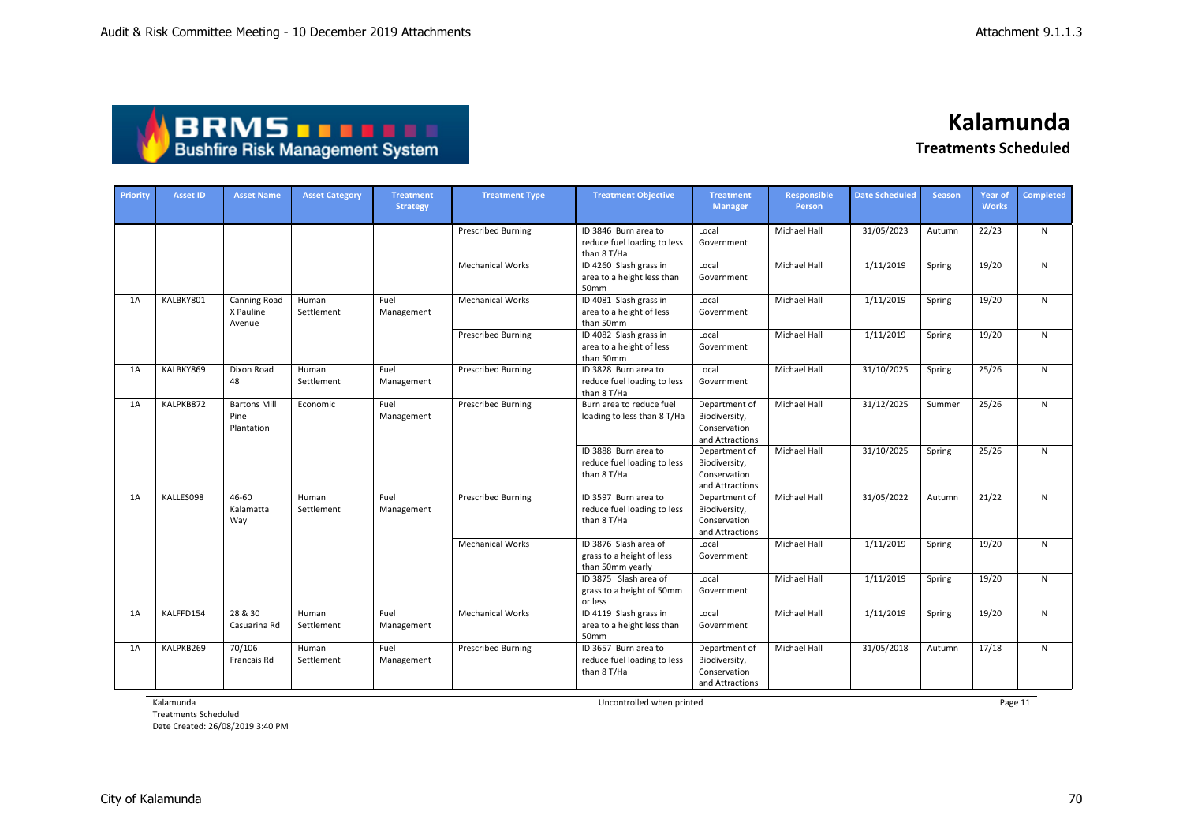| <b>ABRMSTTTT</b>                       |
|----------------------------------------|
| <b>Bushfire Risk Management System</b> |

| Priority | <b>Asset ID</b> | <b>Asset Name</b>                          | <b>Asset Category</b> | <b>Treatment</b><br><b>Strategy</b> | <b>Treatment Type</b>     | <b>Treatment Objective</b>                                             | <b>Treatment</b><br><b>Manager</b>                                | <b>Responsible</b><br>Person | <b>Date Scheduled</b> | <b>Season</b> | <b>Year of</b><br><b>Works</b> | <b>Completed</b> |
|----------|-----------------|--------------------------------------------|-----------------------|-------------------------------------|---------------------------|------------------------------------------------------------------------|-------------------------------------------------------------------|------------------------------|-----------------------|---------------|--------------------------------|------------------|
|          |                 |                                            |                       |                                     | <b>Prescribed Burning</b> | ID 3846 Burn area to<br>reduce fuel loading to less<br>than 8 T/Ha     | Local<br>Government                                               | Michael Hall                 | 31/05/2023            | Autumn        | 22/23                          | N                |
|          |                 |                                            |                       |                                     | <b>Mechanical Works</b>   | ID 4260 Slash grass in<br>area to a height less than<br>50mm           | Local<br>Government                                               | Michael Hall                 | 1/11/2019             | Spring        | 19/20                          | N                |
| 1A       | KALBKY801       | <b>Canning Road</b><br>X Pauline<br>Avenue | Human<br>Settlement   | Fuel<br>Management                  | <b>Mechanical Works</b>   | ID 4081 Slash grass in<br>area to a height of less<br>than 50mm        | Local<br>Government                                               | <b>Michael Hall</b>          | 1/11/2019             | Spring        | 19/20                          | N                |
|          |                 |                                            |                       |                                     | <b>Prescribed Burning</b> | ID 4082 Slash grass in<br>area to a height of less<br>than 50mm        | Local<br>Government                                               | Michael Hall                 | 1/11/2019             | Spring        | 19/20                          | N                |
| 1A       | KALBKY869       | Dixon Road<br>48                           | Human<br>Settlement   | Fuel<br>Management                  | <b>Prescribed Burning</b> | ID 3828 Burn area to<br>reduce fuel loading to less<br>than 8 T/Ha     | Local<br>Government                                               | <b>Michael Hall</b>          | 31/10/2025            | Spring        | 25/26                          | N                |
| 1A       | KALPKB872       | <b>Bartons Mill</b><br>Pine<br>Plantation  | Economic              | Fuel<br>Management                  | <b>Prescribed Burning</b> | Burn area to reduce fuel<br>loading to less than 8 T/Ha                | Department of<br>Biodiversity,<br>Conservation<br>and Attractions | <b>Michael Hall</b>          | 31/12/2025            | Summer        | 25/26                          | N                |
|          |                 |                                            |                       |                                     |                           | ID 3888 Burn area to<br>reduce fuel loading to less<br>than 8 T/Ha     | Department of<br>Biodiversity,<br>Conservation<br>and Attractions | Michael Hall                 | 31/10/2025            | Spring        | 25/26                          | N                |
| 1A       | KALLES098       | 46-60<br>Kalamatta<br>Way                  | Human<br>Settlement   | Fuel<br>Management                  | <b>Prescribed Burning</b> | ID 3597 Burn area to<br>reduce fuel loading to less<br>than 8 T/Ha     | Department of<br>Biodiversity,<br>Conservation<br>and Attractions | Michael Hall                 | 31/05/2022            | Autumn        | 21/22                          | N                |
|          |                 |                                            |                       |                                     | <b>Mechanical Works</b>   | ID 3876 Slash area of<br>grass to a height of less<br>than 50mm yearly | Local<br>Government                                               | <b>Michael Hall</b>          | 1/11/2019             | Spring        | 19/20                          | N                |
|          |                 |                                            |                       |                                     |                           | ID 3875 Slash area of<br>grass to a height of 50mm<br>or less          | Local<br>Government                                               | <b>Michael Hall</b>          | 1/11/2019             | Spring        | 19/20                          | N.               |
| 1A       | KALFFD154       | 28 & 30<br>Casuarina Rd                    | Human<br>Settlement   | Fuel<br>Management                  | <b>Mechanical Works</b>   | ID 4119 Slash grass in<br>area to a height less than<br>50mm           | Local<br>Government                                               | <b>Michael Hall</b>          | 1/11/2019             | Spring        | 19/20                          | N                |
| 1A       | KALPKB269       | 70/106<br>Francais Rd                      | Human<br>Settlement   | Fuel<br>Management                  | <b>Prescribed Burning</b> | ID 3657 Burn area to<br>reduce fuel loading to less<br>than 8 T/Ha     | Department of<br>Biodiversity,<br>Conservation<br>and Attractions | <b>Michael Hall</b>          | 31/05/2018            | Autumn        | 17/18                          | N                |

Kalamunda

Treatments Scheduled Date Created: 26/08/2019 3:40 PM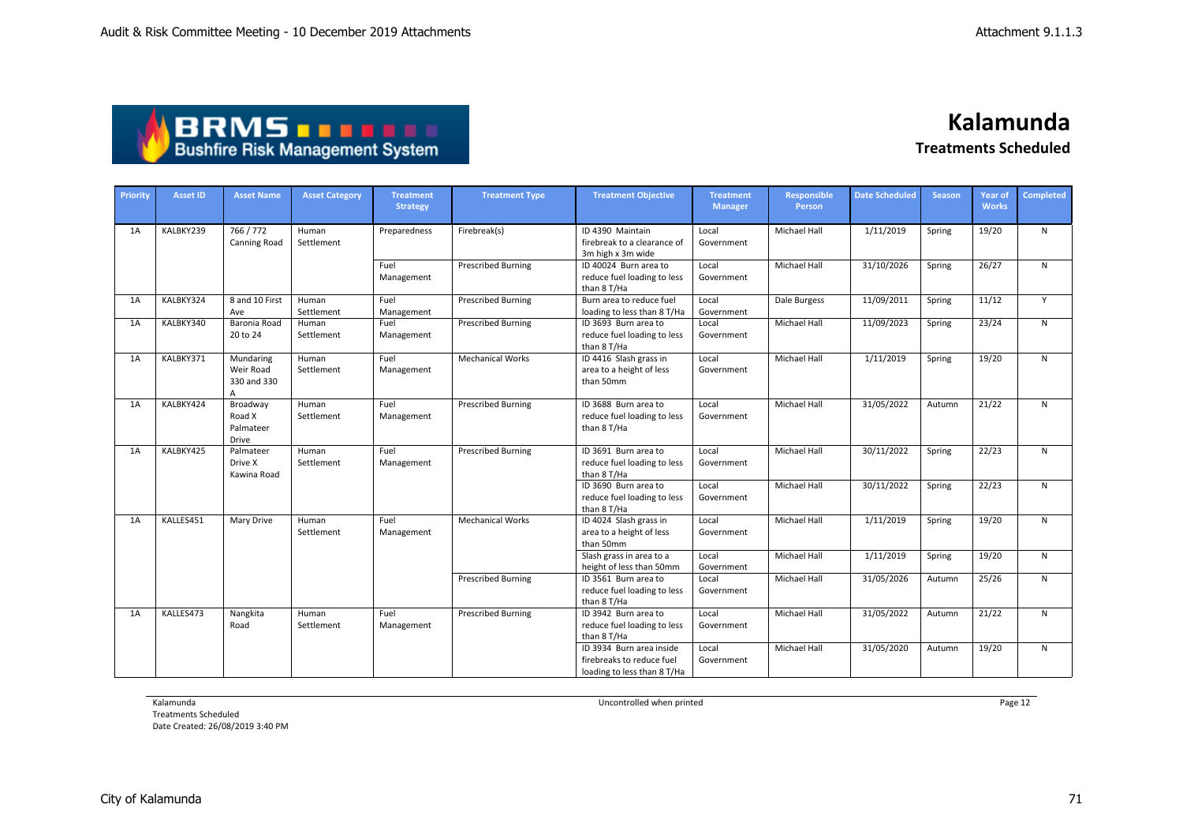## **BRMS DRMS DRMS**

**Kalamunda Treatments Scheduled**

| Priority | <b>Asset ID</b> | <b>Asset Name</b>                          | <b>Asset Category</b> | <b>Treatment</b><br><b>Strategy</b> | <b>Treatment Type</b>     | <b>Treatment Objective</b>                                                           | <b>Treatment</b><br><b>Manager</b> | <b>Responsible</b><br><b>Person</b> | <b>Date Scheduled</b> | <b>Season</b> | <b>Year of</b><br><b>Works</b> | <b>Completed</b> |
|----------|-----------------|--------------------------------------------|-----------------------|-------------------------------------|---------------------------|--------------------------------------------------------------------------------------|------------------------------------|-------------------------------------|-----------------------|---------------|--------------------------------|------------------|
| 1A       | KALBKY239       | 766 / 772<br><b>Canning Road</b>           | Human<br>Settlement   | Preparedness                        | Firebreak(s)              | ID 4390 Maintain<br>firebreak to a clearance of<br>3m high x 3m wide                 | Local<br>Government                | Michael Hall                        | 1/11/2019             | Spring        | 19/20                          | $\mathsf{N}$     |
|          |                 |                                            |                       | Fuel<br>Management                  | <b>Prescribed Burning</b> | ID 40024 Burn area to<br>reduce fuel loading to less<br>than 8 T/Ha                  | Local<br>Government                | Michael Hall                        | 31/10/2026            | Spring        | 26/27                          | N                |
| 1A       | KALBKY324       | 8 and 10 First<br>Ave                      | Human<br>Settlement   | Fuel<br>Management                  | <b>Prescribed Burning</b> | Burn area to reduce fuel<br>loading to less than 8 T/Ha                              | Local<br>Government                | Dale Burgess                        | 11/09/2011            | Spring        | 11/12                          | Y                |
| 1A       | KALBKY340       | Baronia Road<br>20 to 24                   | Human<br>Settlement   | Fuel<br>Management                  | <b>Prescribed Burning</b> | ID 3693 Burn area to<br>reduce fuel loading to less<br>than 8 T/Ha                   | Local<br>Government                | Michael Hall                        | 11/09/2023            | Spring        | 23/24                          | N                |
| 1A       | KALBKY371       | Mundaring<br>Weir Road<br>330 and 330<br>A | Human<br>Settlement   | Fuel<br>Management                  | <b>Mechanical Works</b>   | ID 4416 Slash grass in<br>area to a height of less<br>than 50mm                      | Local<br>Government                | Michael Hall                        | 1/11/2019             | Spring        | 19/20                          | N                |
| 1A       | KALBKY424       | Broadway<br>Road X<br>Palmateer<br>Drive   | Human<br>Settlement   | Fuel<br>Management                  | <b>Prescribed Burning</b> | ID 3688 Burn area to<br>reduce fuel loading to less<br>than 8 T/Ha                   | Local<br>Government                | Michael Hall                        | 31/05/2022            | Autumn        | 21/22                          | N                |
| 1A       | KALBKY425       | Palmateer<br>Drive X<br>Kawina Road        | Human<br>Settlement   | Fuel<br>Management                  | <b>Prescribed Burning</b> | ID 3691 Burn area to<br>reduce fuel loading to less<br>than 8 T/Ha                   | Local<br>Government                | Michael Hall                        | 30/11/2022            | Spring        | 22/23                          | N                |
|          |                 |                                            |                       |                                     |                           | ID 3690 Burn area to<br>reduce fuel loading to less<br>than 8 T/Ha                   | Local<br>Government                | Michael Hall                        | 30/11/2022            | Spring        | 22/23                          | N                |
| 1A       | KALLES451       | Mary Drive                                 | Human<br>Settlement   | Fuel<br>Management                  | <b>Mechanical Works</b>   | ID 4024 Slash grass in<br>area to a height of less<br>than 50mm                      | Local<br>Government                | Michael Hall                        | 1/11/2019             | Spring        | 19/20                          | N                |
|          |                 |                                            |                       |                                     |                           | Slash grass in area to a<br>height of less than 50mm                                 | Local<br>Government                | <b>Michael Hall</b>                 | 1/11/2019             | Spring        | 19/20                          | N                |
|          |                 |                                            |                       |                                     | <b>Prescribed Burning</b> | ID 3561 Burn area to<br>reduce fuel loading to less<br>than 8 T/Ha                   | Local<br>Government                | Michael Hall                        | 31/05/2026            | Autumn        | 25/26                          | N                |
| 1A       | KALLES473       | Nangkita<br>Road                           | Human<br>Settlement   | Fuel<br>Management                  | <b>Prescribed Burning</b> | ID 3942 Burn area to<br>reduce fuel loading to less<br>than 8 T/Ha                   | Local<br>Government                | Michael Hall                        | 31/05/2022            | Autumn        | 21/22                          | N                |
|          |                 |                                            |                       |                                     |                           | ID 3934 Burn area inside<br>firebreaks to reduce fuel<br>loading to less than 8 T/Ha | Local<br>Government                | <b>Michael Hall</b>                 | 31/05/2020            | Autumn        | 19/20                          | N                |

Kalamunda

Treatments Scheduled Date Created: 26/08/2019 3:40 PM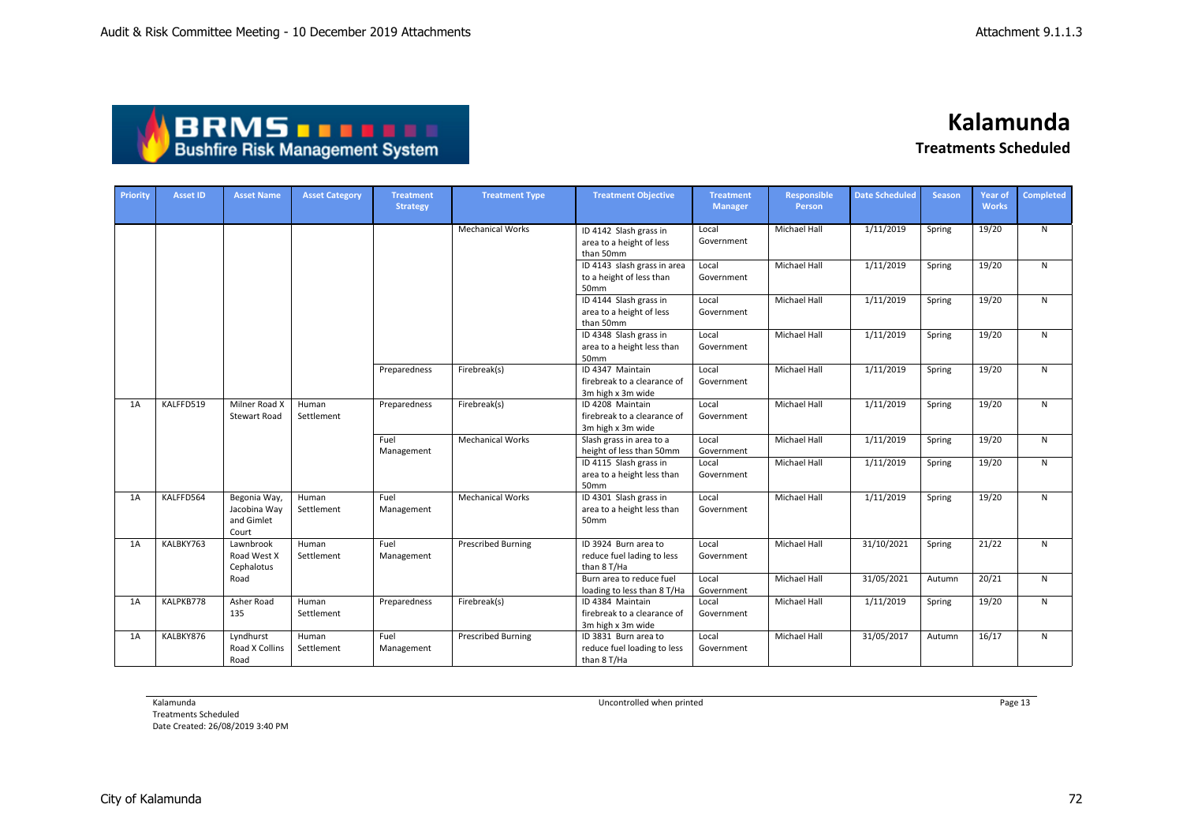| <b>ABRMS TELL!</b>                     |
|----------------------------------------|
| <b>Bushfire Risk Management System</b> |

| Priority | <b>Asset ID</b> | <b>Asset Name</b>                                   | <b>Asset Category</b> | <b>Treatment</b><br><b>Strategy</b> | <b>Treatment Type</b>     | <b>Treatment Objective</b>                                           | <b>Treatment</b><br><b>Manager</b> | <b>Responsible</b><br>Person | <b>Date Scheduled</b> | <b>Season</b> | Year of<br><b>Works</b> | Completed    |
|----------|-----------------|-----------------------------------------------------|-----------------------|-------------------------------------|---------------------------|----------------------------------------------------------------------|------------------------------------|------------------------------|-----------------------|---------------|-------------------------|--------------|
|          |                 |                                                     |                       |                                     | <b>Mechanical Works</b>   | ID 4142 Slash grass in<br>area to a height of less<br>than 50mm      | Local<br>Government                | <b>Michael Hall</b>          | 1/11/2019             | Spring        | 19/20                   | $\mathsf{N}$ |
|          |                 |                                                     |                       |                                     |                           | ID 4143 slash grass in area<br>to a height of less than<br>50mm      | Local<br>Government                | <b>Michael Hall</b>          | 1/11/2019             | Spring        | 19/20                   | N            |
|          |                 |                                                     |                       |                                     |                           | ID 4144 Slash grass in<br>area to a height of less<br>than 50mm      | Local<br>Government                | Michael Hall                 | 1/11/2019             | Spring        | 19/20                   | ${\sf N}$    |
|          |                 |                                                     |                       |                                     |                           | ID 4348 Slash grass in<br>area to a height less than<br>50mm         | Local<br>Government                | <b>Michael Hall</b>          | 1/11/2019             | Spring        | 19/20                   | $\mathsf{N}$ |
|          |                 |                                                     |                       | Preparedness                        | Firebreak(s)              | ID 4347 Maintain<br>firebreak to a clearance of<br>3m high x 3m wide | Local<br>Government                | <b>Michael Hall</b>          | 1/11/2019             | Spring        | 19/20                   | $\mathsf{N}$ |
| 1A       | KALFFD519       | Milner Road X<br><b>Stewart Road</b>                | Human<br>Settlement   | Preparedness                        | Firebreak(s)              | ID 4208 Maintain<br>firebreak to a clearance of<br>3m high x 3m wide | Local<br>Government                | Michael Hall                 | 1/11/2019             | Spring        | 19/20                   | N            |
|          |                 |                                                     |                       | Fuel<br>Management                  | <b>Mechanical Works</b>   | Slash grass in area to a<br>height of less than 50mm                 | Local<br>Government                | Michael Hall                 | 1/11/2019             | Spring        | 19/20                   | N            |
|          |                 |                                                     |                       |                                     |                           | ID 4115 Slash grass in<br>area to a height less than<br>50mm         | Local<br>Government                | Michael Hall                 | 1/11/2019             | Spring        | 19/20                   | $\mathsf{N}$ |
| 1A       | KALFFD564       | Begonia Way,<br>Jacobina Way<br>and Gimlet<br>Court | Human<br>Settlement   | Fuel<br>Management                  | <b>Mechanical Works</b>   | ID 4301 Slash grass in<br>area to a height less than<br>50mm         | Local<br>Government                | Michael Hall                 | 1/11/2019             | Spring        | 19/20                   | N            |
| 1A       | KALBKY763       | Lawnbrook<br>Road West X<br>Cephalotus              | Human<br>Settlement   | Fuel<br>Management                  | <b>Prescribed Burning</b> | ID 3924 Burn area to<br>reduce fuel lading to less<br>than 8 T/Ha    | Local<br>Government                | <b>Michael Hall</b>          | 31/10/2021            | Spring        | 21/22                   | N            |
|          |                 | Road                                                |                       |                                     |                           | Burn area to reduce fuel<br>loading to less than 8 T/Ha              | Local<br>Government                | Michael Hall                 | 31/05/2021            | Autumn        | 20/21                   | N            |
| 1A       | KALPKB778       | Asher Road<br>135                                   | Human<br>Settlement   | Preparedness                        | Firebreak(s)              | ID 4384 Maintain<br>firebreak to a clearance of<br>3m high x 3m wide | Local<br>Government                | Michael Hall                 | 1/11/2019             | Spring        | 19/20                   | $\mathsf{N}$ |
| 1A       | KALBKY876       | Lyndhurst<br>Road X Collins<br>Road                 | Human<br>Settlement   | Fuel<br>Management                  | <b>Prescribed Burning</b> | ID 3831 Burn area to<br>reduce fuel loading to less<br>than 8 T/Ha   | Local<br>Government                | <b>Michael Hall</b>          | 31/05/2017            | Autumn        | 16/17                   | $\mathsf{N}$ |

Kalamunda

Treatments Scheduled Date Created: 26/08/2019 3:40 PM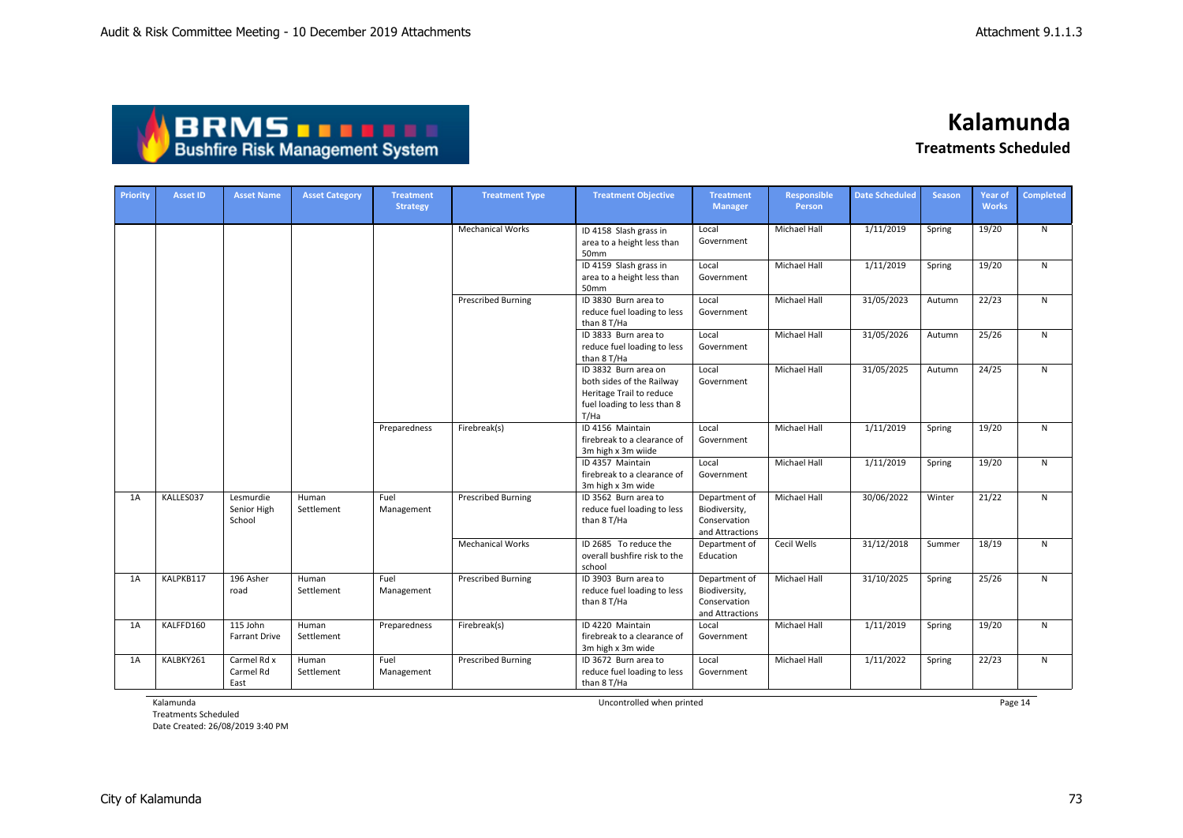| <b>ABRMS THEFT</b>                     |
|----------------------------------------|
| <b>Bushfire Risk Management System</b> |

| Priority | <b>Asset ID</b> | <b>Asset Name</b>                  | <b>Asset Category</b> | <b>Treatment</b><br><b>Strategy</b> | <b>Treatment Type</b>     | <b>Treatment Objective</b>                                                                                           | <b>Treatment</b><br><b>Manager</b>                                | <b>Responsible</b><br>Person | <b>Date Scheduled</b> | <b>Season</b> | Year of<br><b>Works</b> | <b>Completed</b> |
|----------|-----------------|------------------------------------|-----------------------|-------------------------------------|---------------------------|----------------------------------------------------------------------------------------------------------------------|-------------------------------------------------------------------|------------------------------|-----------------------|---------------|-------------------------|------------------|
|          |                 |                                    |                       |                                     | <b>Mechanical Works</b>   | ID 4158 Slash grass in<br>area to a height less than<br>50mm                                                         | Local<br>Government                                               | <b>Michael Hall</b>          | 1/11/2019             | Spring        | 19/20                   | N                |
|          |                 |                                    |                       |                                     |                           | ID 4159 Slash grass in<br>area to a height less than<br>50mm                                                         | Local<br>Government                                               | Michael Hall                 | 1/11/2019             | Spring        | 19/20                   | N                |
|          |                 |                                    |                       |                                     | <b>Prescribed Burning</b> | ID 3830 Burn area to<br>reduce fuel loading to less<br>than 8 T/Ha                                                   | Local<br>Government                                               | Michael Hall                 | 31/05/2023            | Autumn        | 22/23                   | $\mathsf{N}$     |
|          |                 |                                    |                       |                                     |                           | ID 3833 Burn area to<br>reduce fuel loading to less<br>than 8 T/Ha                                                   | Local<br>Government                                               | Michael Hall                 | 31/05/2026            | Autumn        | 25/26                   | $\mathsf{N}$     |
|          |                 |                                    |                       |                                     |                           | ID 3832 Burn area on<br>both sides of the Railway<br>Heritage Trail to reduce<br>fuel loading to less than 8<br>T/Ha | Local<br>Government                                               | Michael Hall                 | 31/05/2025            | Autumn        | 24/25                   | $\mathsf{N}$     |
|          |                 |                                    |                       | Preparedness                        | Firebreak(s)              | ID 4156 Maintain<br>firebreak to a clearance of<br>3m high x 3m wiide                                                | Local<br>Government                                               | Michael Hall                 | 1/11/2019             | Spring        | 19/20                   | N                |
|          |                 |                                    |                       |                                     |                           | ID 4357 Maintain<br>firebreak to a clearance of<br>3m high x 3m wide                                                 | Local<br>Government                                               | Michael Hall                 | 1/11/2019             | Spring        | 19/20                   | ${\sf N}$        |
| 1A       | KALLES037       | Lesmurdie<br>Senior High<br>School | Human<br>Settlement   | Fuel<br>Management                  | <b>Prescribed Burning</b> | ID 3562 Burn area to<br>reduce fuel loading to less<br>than 8 T/Ha                                                   | Department of<br>Biodiversity,<br>Conservation<br>and Attractions | Michael Hall                 | 30/06/2022            | Winter        | 21/22                   | $\mathsf{N}$     |
|          |                 |                                    |                       |                                     | <b>Mechanical Works</b>   | ID 2685 To reduce the<br>overall bushfire risk to the<br>school                                                      | Department of<br>Education                                        | Cecil Wells                  | 31/12/2018            | Summer        | 18/19                   | ${\sf N}$        |
| 1A       | KALPKB117       | 196 Asher<br>road                  | Human<br>Settlement   | Fuel<br>Management                  | <b>Prescribed Burning</b> | ID 3903 Burn area to<br>reduce fuel loading to less<br>than 8 T/Ha                                                   | Department of<br>Biodiversity,<br>Conservation<br>and Attractions | <b>Michael Hall</b>          | 31/10/2025            | Spring        | 25/26                   | N                |
| 1A       | KALFFD160       | 115 John<br>Farrant Drive          | Human<br>Settlement   | Preparedness                        | Firebreak(s)              | ID 4220 Maintain<br>firebreak to a clearance of<br>3m high x 3m wide                                                 | Local<br>Government                                               | <b>Michael Hall</b>          | 1/11/2019             | Spring        | 19/20                   | ${\sf N}$        |
| 1A       | KALBKY261       | Carmel Rd x<br>Carmel Rd<br>East   | Human<br>Settlement   | Fuel<br>Management                  | <b>Prescribed Burning</b> | ID 3672 Burn area to<br>reduce fuel loading to less<br>than 8 T/Ha                                                   | Local<br>Government                                               | <b>Michael Hall</b>          | 1/11/2022             | Spring        | 22/23                   | N                |

Kalamunda

Treatments Scheduled Date Created: 26/08/2019 3:40 PM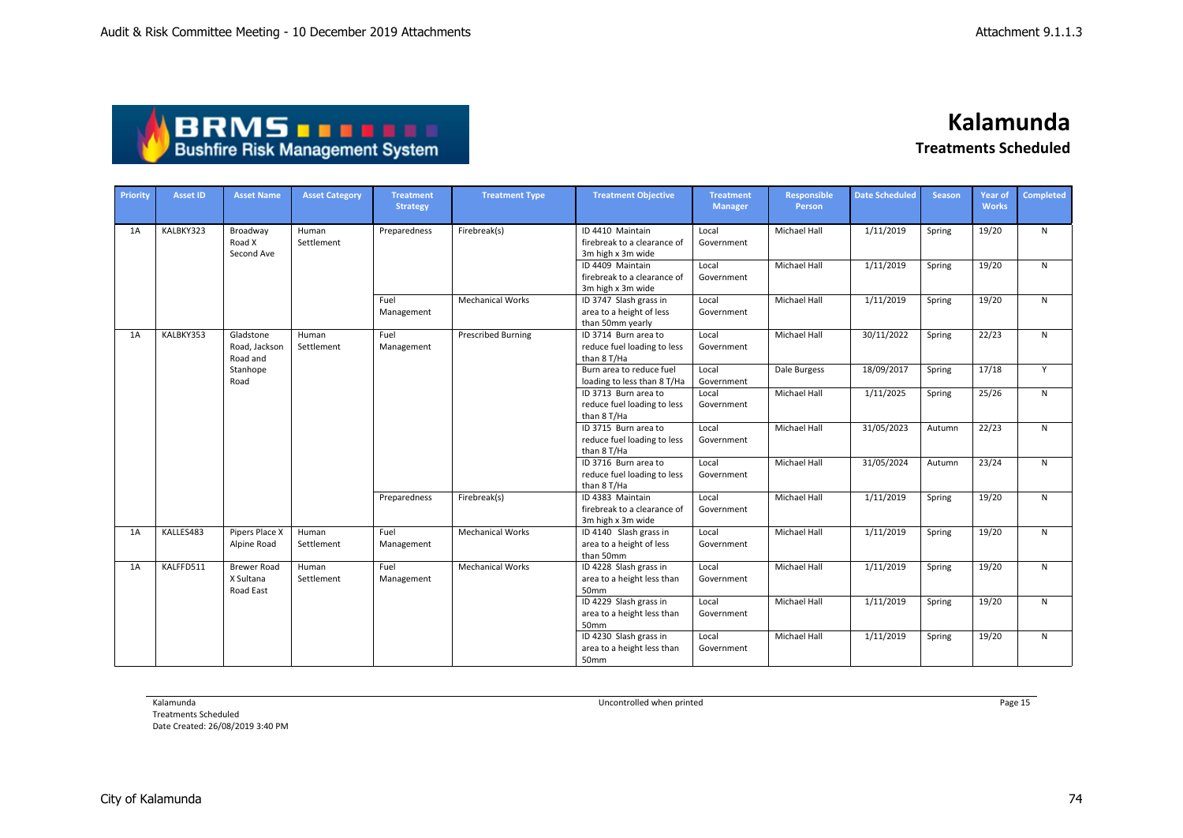| <b>ABRMS THEFT</b>                     |  |
|----------------------------------------|--|
| <b>Bushfire Risk Management System</b> |  |

| <b>Priority</b> | <b>Asset ID</b> | <b>Asset Name</b>                            | <b>Asset Category</b> | <b>Treatment</b><br><b>Strategy</b> | <b>Treatment Type</b>     | <b>Treatment Objective</b>                                             | <b>Treatment</b><br>Manager | <b>Responsible</b><br>Person | <b>Date Scheduled</b> | <b>Season</b> | Year of<br><b>Works</b> | <b>Completed</b> |
|-----------------|-----------------|----------------------------------------------|-----------------------|-------------------------------------|---------------------------|------------------------------------------------------------------------|-----------------------------|------------------------------|-----------------------|---------------|-------------------------|------------------|
| 1A              | KALBKY323       | Broadway<br>Road X<br>Second Ave             | Human<br>Settlement   | Preparedness                        | Firebreak(s)              | ID 4410 Maintain<br>firebreak to a clearance of<br>3m high x 3m wide   | Local<br>Government         | <b>Michael Hall</b>          | 1/11/2019             | Spring        | 19/20                   | $\mathsf{N}$     |
|                 |                 |                                              |                       |                                     |                           | ID 4409 Maintain<br>firebreak to a clearance of<br>3m high x 3m wide   | Local<br>Government         | <b>Michael Hall</b>          | 1/11/2019             | Spring        | 19/20                   | N                |
|                 |                 |                                              |                       | Fuel<br>Management                  | <b>Mechanical Works</b>   | ID 3747 Slash grass in<br>area to a height of less<br>than 50mm yearly | Local<br>Government         | Michael Hall                 | 1/11/2019             | Spring        | 19/20                   | N                |
| 1A              | KALBKY353       | Gladstone<br>Road, Jackson<br>Road and       | Human<br>Settlement   | Fuel<br>Management                  | <b>Prescribed Burning</b> | ID 3714 Burn area to<br>reduce fuel loading to less<br>than 8 T/Ha     | Local<br>Government         | Michael Hall                 | 30/11/2022            | Spring        | 22/23                   | $\mathsf{N}$     |
|                 |                 | Stanhope<br>Road                             |                       |                                     |                           | Burn area to reduce fuel<br>loading to less than 8 T/Ha                | Local<br>Government         | Dale Burgess                 | 18/09/2017            | Spring        | 17/18                   | Y                |
|                 |                 |                                              |                       |                                     |                           | ID 3713 Burn area to<br>reduce fuel loading to less<br>than 8 T/Ha     | Local<br>Government         | Michael Hall                 | 1/11/2025             | Spring        | 25/26                   | N                |
|                 |                 |                                              |                       |                                     |                           | ID 3715 Burn area to<br>reduce fuel loading to less<br>than 8 T/Ha     | Local<br>Government         | Michael Hall                 | 31/05/2023            | Autumn        | 22/23                   | N                |
|                 |                 |                                              |                       |                                     |                           | ID 3716 Burn area to<br>reduce fuel loading to less<br>than 8 T/Ha     | Local<br>Government         | <b>Michael Hall</b>          | 31/05/2024            | Autumn        | 23/24                   | $\mathsf{N}$     |
|                 |                 |                                              |                       | Preparedness                        | Firebreak(s)              | ID 4383 Maintain<br>firebreak to a clearance of<br>3m high x 3m wide   | Local<br>Government         | Michael Hall                 | 1/11/2019             | Spring        | 19/20                   | $\mathsf{N}$     |
| 1A              | KALLES483       | Pipers Place X<br>Alpine Road                | Human<br>Settlement   | Fuel<br>Management                  | <b>Mechanical Works</b>   | ID 4140 Slash grass in<br>area to a height of less<br>than 50mm        | Local<br>Government         | <b>Michael Hall</b>          | 1/11/2019             | Spring        | 19/20                   | $\mathsf{N}$     |
| 1A              | KALFFD511       | <b>Brewer Road</b><br>X Sultana<br>Road East | Human<br>Settlement   | Fuel<br>Management                  | <b>Mechanical Works</b>   | ID 4228 Slash grass in<br>area to a height less than<br>50mm           | Local<br>Government         | Michael Hall                 | 1/11/2019             | Spring        | 19/20                   | ${\sf N}$        |
|                 |                 |                                              |                       |                                     |                           | ID 4229 Slash grass in<br>area to a height less than<br>50mm           | Local<br>Government         | Michael Hall                 | 1/11/2019             | Spring        | 19/20                   | N                |
|                 |                 |                                              |                       |                                     |                           | ID 4230 Slash grass in<br>area to a height less than<br>50mm           | Local<br>Government         | <b>Michael Hall</b>          | 1/11/2019             | Spring        | 19/20                   | $\mathsf{N}$     |

Kalamunda

Treatments Scheduled

Date Created: 26/08/2019 3:40 PM

City of Kalamunda 74

Uncontrolled when printed **Page 15** Page 15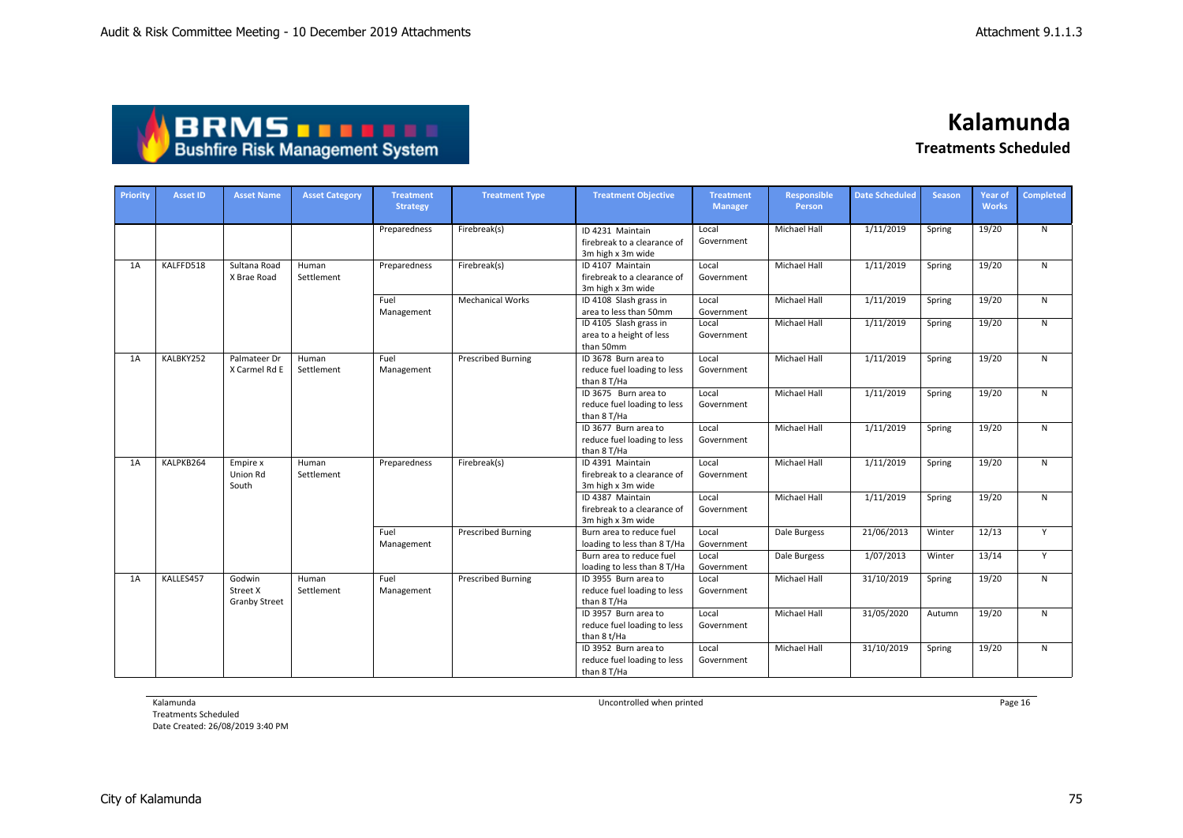| <b>ABRMS</b>                           |
|----------------------------------------|
| <b>Bushfire Risk Management System</b> |

| Priority | <b>Asset ID</b> | <b>Asset Name</b>                          | <b>Asset Category</b> | <b>Treatment</b><br><b>Strategy</b> | <b>Treatment Type</b>     | <b>Treatment Objective</b>                                           | <b>Treatment</b><br><b>Manager</b> | <b>Responsible</b><br>Person | <b>Date Scheduled</b> | <b>Season</b> | <b>Year of</b><br><b>Works</b> | <b>Completed</b> |
|----------|-----------------|--------------------------------------------|-----------------------|-------------------------------------|---------------------------|----------------------------------------------------------------------|------------------------------------|------------------------------|-----------------------|---------------|--------------------------------|------------------|
|          |                 |                                            |                       | Preparedness                        | Firebreak(s)              | ID 4231 Maintain<br>firebreak to a clearance of<br>3m high x 3m wide | Local<br>Government                | Michael Hall                 | 1/11/2019             | Spring        | 19/20                          | N                |
| 1A       | KALFFD518       | Sultana Road<br>X Brae Road                | Human<br>Settlement   | Preparedness                        | Firebreak(s)              | ID 4107 Maintain<br>firebreak to a clearance of<br>3m high x 3m wide | Local<br>Government                | Michael Hall                 | 1/11/2019             | Spring        | 19/20                          | N                |
|          |                 |                                            |                       | Fuel<br>Management                  | <b>Mechanical Works</b>   | ID 4108 Slash grass in<br>area to less than 50mm                     | Local<br>Government                | Michael Hall                 | 1/11/2019             | Spring        | 19/20                          | $\mathsf{N}$     |
|          |                 |                                            |                       |                                     |                           | ID 4105 Slash grass in<br>area to a height of less<br>than 50mm      | Local<br>Government                | Michael Hall                 | 1/11/2019             | Spring        | 19/20                          | N.               |
| 1A       | KALBKY252       | Palmateer Dr<br>X Carmel Rd E              | Human<br>Settlement   | Fuel<br>Management                  | <b>Prescribed Burning</b> | ID 3678 Burn area to<br>reduce fuel loading to less<br>than 8 T/Ha   | Local<br>Government                | <b>Michael Hall</b>          | 1/11/2019             | Spring        | 19/20                          | $\mathsf{N}$     |
|          |                 |                                            |                       |                                     |                           | ID 3675 Burn area to<br>reduce fuel loading to less<br>than 8 T/Ha   | Local<br>Government                | Michael Hall                 | 1/11/2019             | Spring        | 19/20                          | N                |
|          |                 |                                            |                       |                                     |                           | ID 3677 Burn area to<br>reduce fuel loading to less<br>than 8 T/Ha   | Local<br>Government                | <b>Michael Hall</b>          | 1/11/2019             | Spring        | 19/20                          | N                |
| 1A       | KALPKB264       | Empire x<br>Union Rd<br>South              | Human<br>Settlement   | Preparedness                        | Firebreak(s)              | ID 4391 Maintain<br>firebreak to a clearance of<br>3m high x 3m wide | Local<br>Government                | <b>Michael Hall</b>          | 1/11/2019             | Spring        | 19/20                          | N                |
|          |                 |                                            |                       |                                     |                           | ID 4387 Maintain<br>firebreak to a clearance of<br>3m high x 3m wide | Local<br>Government                | <b>Michael Hall</b>          | 1/11/2019             | Spring        | 19/20                          | N                |
|          |                 |                                            |                       | Fuel<br>Management                  | <b>Prescribed Burning</b> | Burn area to reduce fuel<br>loading to less than 8 T/Ha              | Local<br>Government                | Dale Burgess                 | 21/06/2013            | Winter        | 12/13                          | Y                |
|          |                 |                                            |                       |                                     |                           | Burn area to reduce fuel<br>loading to less than 8 T/Ha              | Local<br>Government                | Dale Burgess                 | 1/07/2013             | Winter        | 13/14                          | Y                |
| 1A       | KALLES457       | Godwin<br>Street X<br><b>Granby Street</b> | Human<br>Settlement   | Fuel<br>Management                  | <b>Prescribed Burning</b> | ID 3955 Burn area to<br>reduce fuel loading to less<br>than 8 T/Ha   | Local<br>Government                | Michael Hall                 | 31/10/2019            | Spring        | 19/20                          | N                |
|          |                 |                                            |                       |                                     |                           | ID 3957 Burn area to<br>reduce fuel loading to less<br>than 8 t/Ha   | Local<br>Government                | Michael Hall                 | 31/05/2020            | Autumn        | 19/20                          | $\mathsf{N}$     |
|          |                 |                                            |                       |                                     |                           | ID 3952 Burn area to<br>reduce fuel loading to less<br>than 8 T/Ha   | Local<br>Government                | <b>Michael Hall</b>          | 31/10/2019            | Spring        | 19/20                          | N                |

Kalamunda

Treatments Scheduled Date Created: 26/08/2019 3:40 PM Uncontrolled when printed **Page 16** Page 16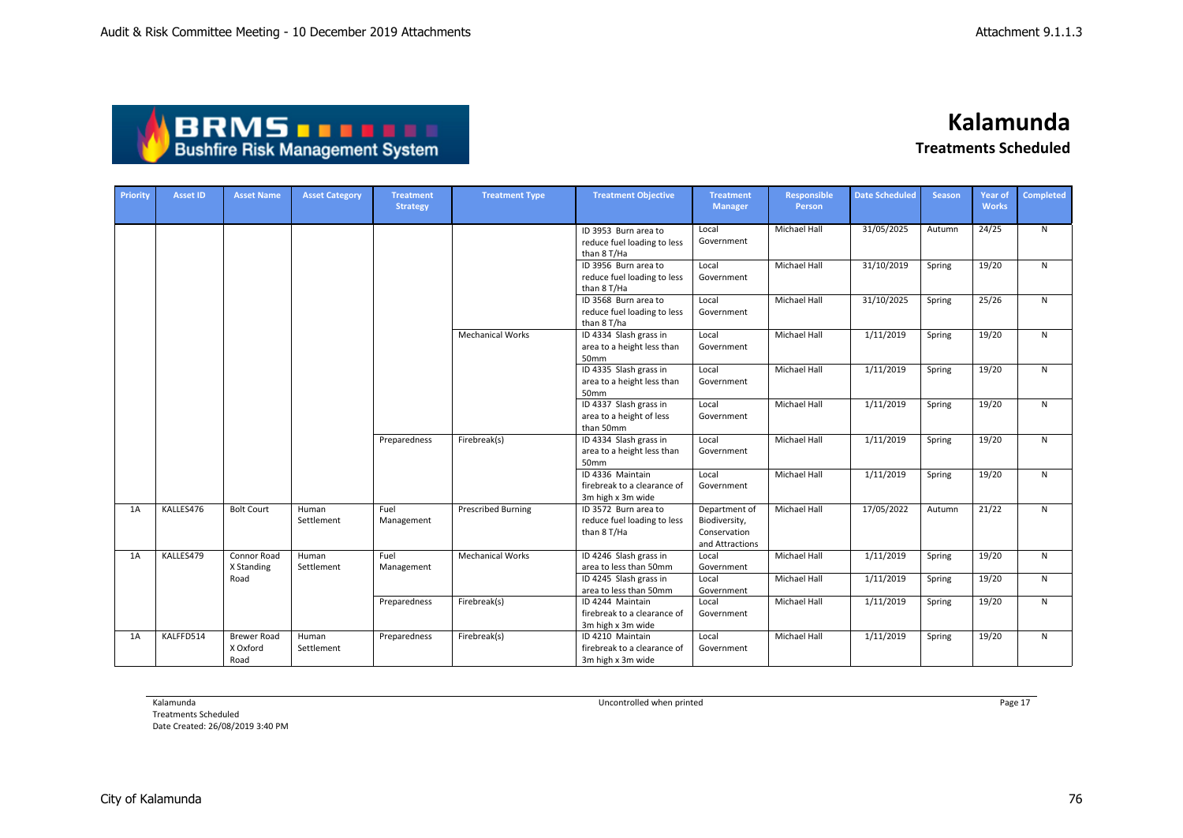

| <b>Priority</b> | <b>Asset ID</b> | <b>Asset Name</b>                      | <b>Asset Category</b> | <b>Treatment</b><br><b>Strategy</b> | <b>Treatment Type</b>     | <b>Treatment Objective</b>                                           | <b>Treatment</b><br><b>Manager</b>                                | <b>Responsible</b><br>Person | <b>Date Scheduled</b> | <b>Season</b> | <b>Year of</b><br><b>Works</b> | Completed |
|-----------------|-----------------|----------------------------------------|-----------------------|-------------------------------------|---------------------------|----------------------------------------------------------------------|-------------------------------------------------------------------|------------------------------|-----------------------|---------------|--------------------------------|-----------|
|                 |                 |                                        |                       |                                     |                           | ID 3953 Burn area to<br>reduce fuel loading to less<br>than 8 T/Ha   | Local<br>Government                                               | <b>Michael Hall</b>          | 31/05/2025            | Autumn        | 24/25                          | N         |
|                 |                 |                                        |                       |                                     |                           | ID 3956 Burn area to<br>reduce fuel loading to less<br>than 8 T/Ha   | Local<br>Government                                               | Michael Hall                 | 31/10/2019            | Spring        | 19/20                          | N         |
|                 |                 |                                        |                       |                                     |                           | ID 3568 Burn area to<br>reduce fuel loading to less<br>than 8 T/ha   | Local<br>Government                                               | Michael Hall                 | 31/10/2025            | Spring        | 25/26                          | N         |
|                 |                 |                                        |                       |                                     | <b>Mechanical Works</b>   | ID 4334 Slash grass in<br>area to a height less than<br>50mm         | Local<br>Government                                               | <b>Michael Hall</b>          | 1/11/2019             | Spring        | 19/20                          | N         |
|                 |                 |                                        |                       |                                     |                           | ID 4335 Slash grass in<br>area to a height less than<br>50mm         | Local<br>Government                                               | Michael Hall                 | 1/11/2019             | Spring        | 19/20                          | N         |
|                 |                 |                                        |                       |                                     |                           | ID 4337 Slash grass in<br>area to a height of less<br>than 50mm      | Local<br>Government                                               | Michael Hall                 | 1/11/2019             | Spring        | 19/20                          | N         |
|                 |                 |                                        |                       | Preparedness                        | Firebreak(s)              | ID 4334 Slash grass in<br>area to a height less than<br>50mm         | Local<br>Government                                               | Michael Hall                 | 1/11/2019             | Spring        | 19/20                          | ${\sf N}$ |
|                 |                 |                                        |                       |                                     |                           | ID 4336 Maintain<br>firebreak to a clearance of<br>3m high x 3m wide | Local<br>Government                                               | Michael Hall                 | 1/11/2019             | Spring        | 19/20                          | N         |
| 1A              | KALLES476       | <b>Bolt Court</b>                      | Human<br>Settlement   | Fuel<br>Management                  | <b>Prescribed Burning</b> | ID 3572 Burn area to<br>reduce fuel loading to less<br>than 8 T/Ha   | Department of<br>Biodiversity,<br>Conservation<br>and Attractions | <b>Michael Hall</b>          | 17/05/2022            | Autumn        | 21/22                          | N         |
| 1A              | KALLES479       | <b>Connor Road</b><br>X Standing       | Human<br>Settlement   | Fuel<br>Management                  | <b>Mechanical Works</b>   | ID 4246 Slash grass in<br>area to less than 50mm                     | Local<br>Government                                               | <b>Michael Hall</b>          | 1/11/2019             | Spring        | 19/20                          | N         |
|                 |                 | Road                                   |                       |                                     |                           | ID 4245 Slash grass in<br>area to less than 50mm                     | Local<br>Government                                               | Michael Hall                 | 1/11/2019             | Spring        | 19/20                          | N         |
|                 |                 |                                        |                       | Preparedness                        | Firebreak(s)              | ID 4244 Maintain<br>firebreak to a clearance of<br>3m high x 3m wide | Local<br>Government                                               | <b>Michael Hall</b>          | 1/11/2019             | Spring        | 19/20                          | N         |
| 1A              | KALFFD514       | <b>Brewer Road</b><br>X Oxford<br>Road | Human<br>Settlement   | Preparedness                        | Firebreak(s)              | ID 4210 Maintain<br>firebreak to a clearance of<br>3m high x 3m wide | Local<br>Government                                               | Michael Hall                 | 1/11/2019             | Spring        | 19/20                          | N         |

Kalamunda

Treatments Scheduled Date Created: 26/08/2019 3:40 PM Uncontrolled when printed **Page 17** Page 17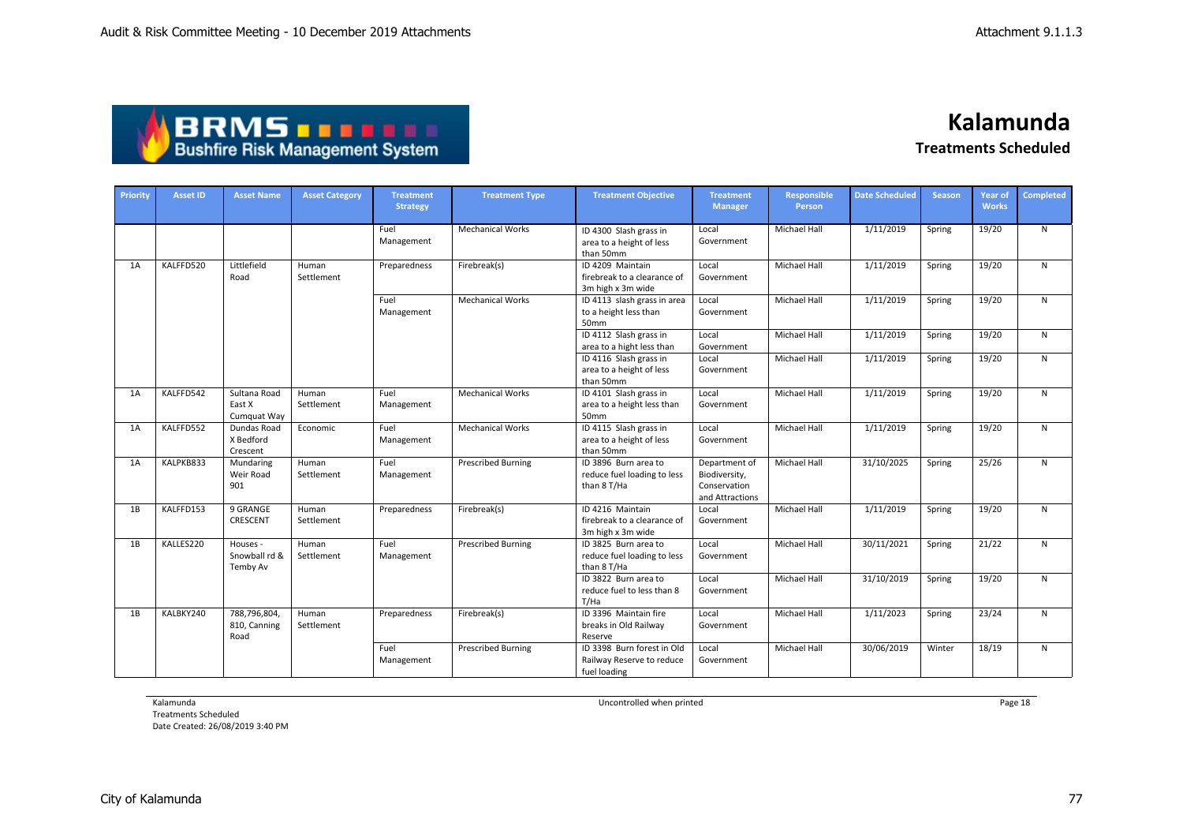| <b>ABRMS THEFT</b>                     |
|----------------------------------------|
| <b>Bushfire Risk Management System</b> |

| Priority | <b>Asset ID</b> | <b>Asset Name</b>                     | <b>Asset Category</b> | <b>Treatment</b><br><b>Strategy</b> | <b>Treatment Type</b>     | <b>Treatment Objective</b>                                              | <b>Treatment</b><br><b>Manager</b>                                | <b>Responsible</b><br>Person | <b>Date Scheduled</b> | <b>Season</b> | Year of<br><b>Works</b> | <b>Completed</b> |
|----------|-----------------|---------------------------------------|-----------------------|-------------------------------------|---------------------------|-------------------------------------------------------------------------|-------------------------------------------------------------------|------------------------------|-----------------------|---------------|-------------------------|------------------|
|          |                 |                                       |                       | Fuel<br>Management                  | <b>Mechanical Works</b>   | ID 4300 Slash grass in<br>area to a height of less<br>than 50mm         | Local<br>Government                                               | <b>Michael Hall</b>          | 1/11/2019             | Spring        | 19/20                   | $\mathsf{N}$     |
| 1A       | KALFFD520       | Littlefield<br>Road                   | Human<br>Settlement   | Preparedness                        | Firebreak(s)              | ID 4209 Maintain<br>firebreak to a clearance of<br>3m high x 3m wide    | Local<br>Government                                               | <b>Michael Hall</b>          | 1/11/2019             | Spring        | 19/20                   | $\mathsf{N}$     |
|          |                 |                                       |                       | Fuel<br>Management                  | <b>Mechanical Works</b>   | ID 4113 slash grass in area<br>to a height less than<br>50mm            | Local<br>Government                                               | Michael Hall                 | 1/11/2019             | Spring        | 19/20                   | $\mathsf{N}$     |
|          |                 |                                       |                       |                                     |                           | ID 4112 Slash grass in<br>area to a hight less than                     | Local<br>Government                                               | <b>Michael Hall</b>          | 1/11/2019             | Spring        | 19/20                   | $\mathsf{N}$     |
|          |                 |                                       |                       |                                     |                           | ID 4116 Slash grass in<br>area to a height of less<br>than 50mm         | Local<br>Government                                               | <b>Michael Hall</b>          | 1/11/2019             | Spring        | 19/20                   | $\mathsf{N}$     |
| 1A       | KALFFD542       | Sultana Road<br>East X<br>Cumquat Way | Human<br>Settlement   | Fuel<br>Management                  | <b>Mechanical Works</b>   | ID 4101 Slash grass in<br>area to a height less than<br>50mm            | Local<br>Government                                               | <b>Michael Hall</b>          | 1/11/2019             | Spring        | 19/20                   | $\mathsf{N}$     |
| 1A       | KALFFD552       | Dundas Road<br>X Bedford<br>Crescent  | Economic              | Fuel<br>Management                  | <b>Mechanical Works</b>   | ID 4115 Slash grass in<br>area to a height of less<br>than 50mm         | Local<br>Government                                               | <b>Michael Hall</b>          | 1/11/2019             | Spring        | 19/20                   | $\mathsf{N}$     |
| 1A       | KALPKB833       | Mundaring<br>Weir Road<br>901         | Human<br>Settlement   | Fuel<br>Management                  | <b>Prescribed Burning</b> | ID 3896 Burn area to<br>reduce fuel loading to less<br>than 8 T/Ha      | Department of<br>Biodiversity,<br>Conservation<br>and Attractions | Michael Hall                 | 31/10/2025            | Spring        | 25/26                   | $\mathsf{N}$     |
| 1B       | KALFFD153       | 9 GRANGE<br>CRESCENT                  | Human<br>Settlement   | Preparedness                        | Firebreak(s)              | ID 4216 Maintain<br>firebreak to a clearance of<br>3m high x 3m wide    | Local<br>Government                                               | <b>Michael Hall</b>          | 1/11/2019             | Spring        | 19/20                   | $\mathsf{N}$     |
| 1B       | KALLES220       | Houses -<br>Snowball rd &<br>Temby Av | Human<br>Settlement   | Fuel<br>Management                  | <b>Prescribed Burning</b> | ID 3825 Burn area to<br>reduce fuel loading to less<br>than 8 T/Ha      | Local<br>Government                                               | <b>Michael Hall</b>          | 30/11/2021            | Spring        | 21/22                   | $\mathsf{N}$     |
|          |                 |                                       |                       |                                     |                           | ID 3822 Burn area to<br>reduce fuel to less than 8<br>T/Ha              | Local<br>Government                                               | Michael Hall                 | 31/10/2019            | Spring        | 19/20                   | $\mathsf{N}$     |
| 1B       | KALBKY240       | 788,796,804,<br>810, Canning<br>Road  | Human<br>Settlement   | Preparedness                        | Firebreak(s)              | ID 3396 Maintain fire<br>breaks in Old Railway<br>Reserve               | Local<br>Government                                               | <b>Michael Hall</b>          | 1/11/2023             | Spring        | 23/24                   | $\mathsf{N}$     |
|          |                 |                                       |                       | Fuel<br>Management                  | <b>Prescribed Burning</b> | ID 3398 Burn forest in Old<br>Railway Reserve to reduce<br>fuel loading | Local<br>Government                                               | <b>Michael Hall</b>          | 30/06/2019            | Winter        | 18/19                   | $\mathsf{N}$     |

Kalamunda

Treatments Scheduled Date Created: 26/08/2019 3:40 PM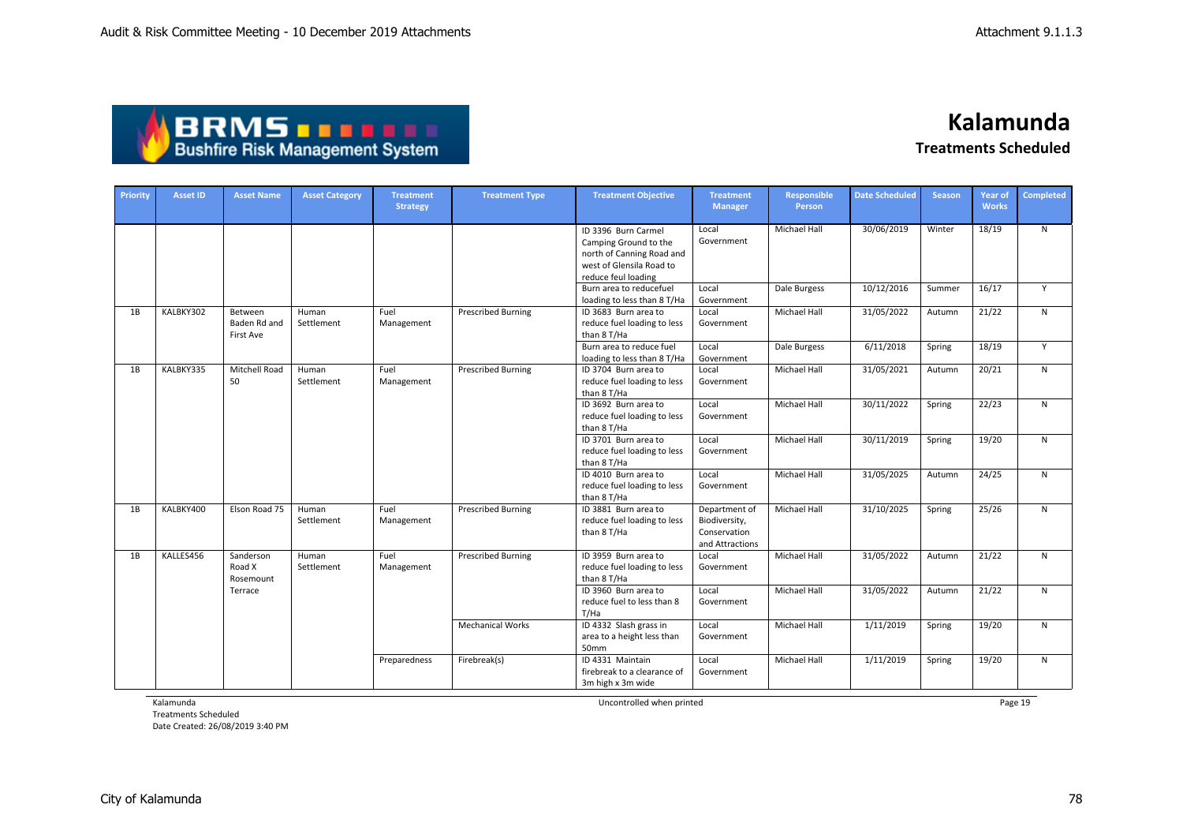## **BRMS DRMS DRMS**

### **Kalamunda Treatments Scheduled**

| Priority | Asset ID  | <b>Asset Name</b>                    | <b>Asset Category</b> | <b>Treatment</b><br><b>Strategy</b> | <b>Treatment Type</b>     | <b>Treatment Objective</b>                                                                                                   | <b>Treatment</b><br><b>Manager</b>                                | Responsible<br>Person | <b>Date Scheduled</b> | <b>Season</b> | Year of<br><b>Works</b> | <b>Completed</b> |
|----------|-----------|--------------------------------------|-----------------------|-------------------------------------|---------------------------|------------------------------------------------------------------------------------------------------------------------------|-------------------------------------------------------------------|-----------------------|-----------------------|---------------|-------------------------|------------------|
|          |           |                                      |                       |                                     |                           | ID 3396 Burn Carmel<br>Camping Ground to the<br>north of Canning Road and<br>west of Glensila Road to<br>reduce feul loading | Local<br>Government                                               | <b>Michael Hall</b>   | 30/06/2019            | Winter        | 18/19                   | $\mathsf{N}$     |
|          |           |                                      |                       |                                     |                           | Burn area to reducefuel<br>loading to less than 8 T/Ha                                                                       | Local<br>Government                                               | Dale Burgess          | 10/12/2016            | Summer        | 16/17                   | Y                |
| 1B       | KALBKY302 | Between<br>Baden Rd and<br>First Ave | Human<br>Settlement   | Fuel<br>Management                  | <b>Prescribed Burning</b> | ID 3683 Burn area to<br>reduce fuel loading to less<br>than 8 T/Ha                                                           | Local<br>Government                                               | Michael Hall          | 31/05/2022            | Autumn        | 21/22                   | N                |
|          |           |                                      |                       |                                     |                           | Burn area to reduce fuel<br>loading to less than 8 T/Ha                                                                      | Local<br>Government                                               | Dale Burgess          | 6/11/2018             | Spring        | 18/19                   | Y                |
| 1B       | KALBKY335 | Mitchell Road<br>50                  | Human<br>Settlement   | Fuel<br>Management                  | <b>Prescribed Burning</b> | ID 3704 Burn area to<br>reduce fuel loading to less<br>than 8 T/Ha                                                           | Local<br>Government                                               | Michael Hall          | 31/05/2021            | Autumn        | 20/21                   | $\mathsf{N}$     |
|          |           |                                      |                       |                                     |                           | ID 3692 Burn area to<br>reduce fuel loading to less<br>than 8 T/Ha                                                           | Local<br>Government                                               | <b>Michael Hall</b>   | 30/11/2022            | Spring        | 22/23                   | $\mathsf{N}$     |
|          |           |                                      |                       |                                     |                           | ID 3701 Burn area to<br>reduce fuel loading to less<br>than 8 T/Ha                                                           | Local<br>Government                                               | <b>Michael Hall</b>   | 30/11/2019            | Spring        | 19/20                   | N                |
|          |           |                                      |                       |                                     |                           | ID 4010 Burn area to<br>reduce fuel loading to less<br>than 8 T/Ha                                                           | Local<br>Government                                               | Michael Hall          | 31/05/2025            | Autumn        | 24/25                   | $\mathsf{N}$     |
| 1B       | KALBKY400 | Elson Road 75                        | Human<br>Settlement   | Fuel<br>Management                  | <b>Prescribed Burning</b> | ID 3881 Burn area to<br>reduce fuel loading to less<br>than 8 T/Ha                                                           | Department of<br>Biodiversity,<br>Conservation<br>and Attractions | Michael Hall          | 31/10/2025            | Spring        | 25/26                   | $\mathsf{N}$     |
| 1B       | KALLES456 | Sanderson<br>Road X<br>Rosemount     | Human<br>Settlement   | Fuel<br>Management                  | <b>Prescribed Burning</b> | ID 3959 Burn area to<br>reduce fuel loading to less<br>than 8 T/Ha                                                           | Local<br>Government                                               | Michael Hall          | 31/05/2022            | Autumn        | 21/22                   | $\mathsf{N}$     |
|          |           | Terrace                              |                       |                                     |                           | ID 3960 Burn area to<br>reduce fuel to less than 8<br>T/Ha                                                                   | Local<br>Government                                               | Michael Hall          | 31/05/2022            | Autumn        | 21/22                   | $\mathsf{N}$     |
|          |           |                                      |                       |                                     | <b>Mechanical Works</b>   | ID 4332 Slash grass in<br>area to a height less than<br>50mm                                                                 | Local<br>Government                                               | <b>Michael Hall</b>   | 1/11/2019             | Spring        | 19/20                   | N                |
|          |           |                                      |                       | Preparedness                        | Firebreak(s)              | ID 4331 Maintain<br>firebreak to a clearance of<br>3m high x 3m wide                                                         | Local<br>Government                                               | <b>Michael Hall</b>   | 1/11/2019             | Spring        | 19/20                   | N                |

Kalamunda

Treatments Scheduled Date Created: 26/08/2019 3:40 PM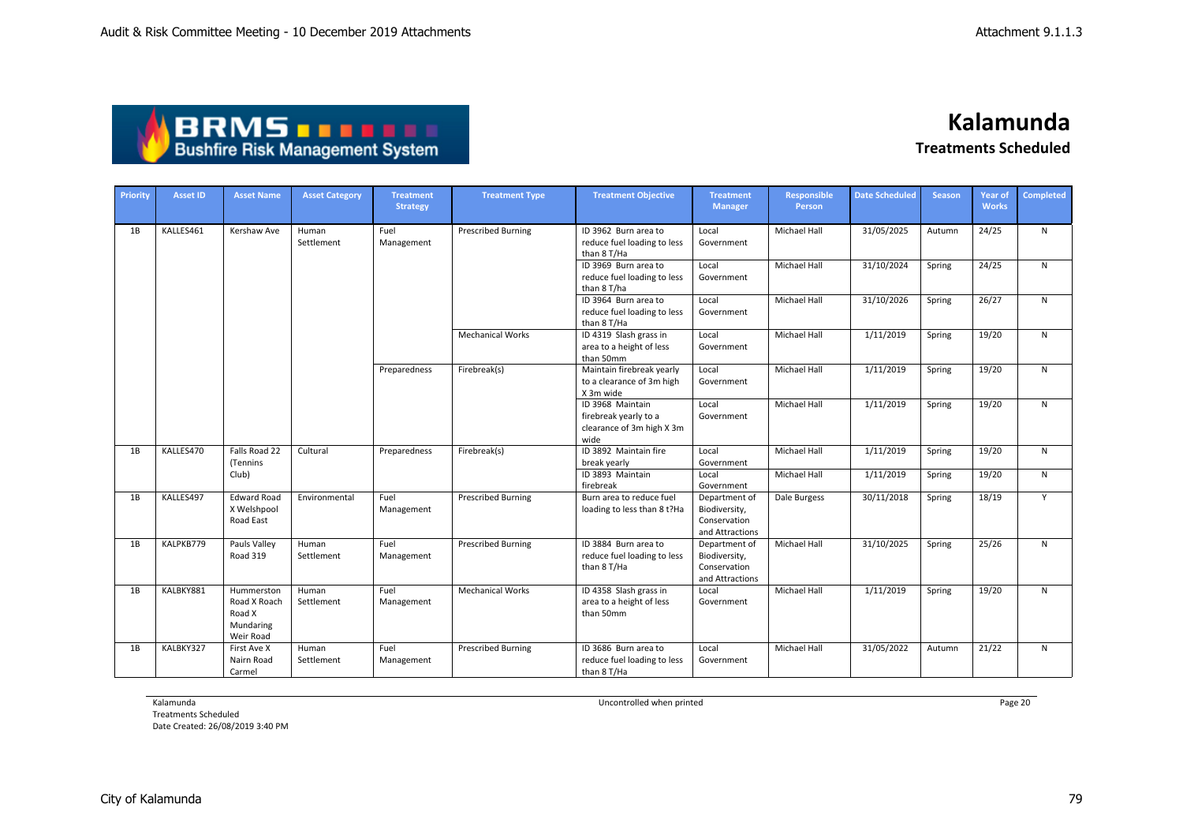| <b>ABRMS THEFE</b>                     |
|----------------------------------------|
| <b>Bushfire Risk Management System</b> |

| Priority | <b>Asset ID</b> | <b>Asset Name</b>                                              | <b>Asset Category</b> | <b>Treatment</b><br><b>Strategy</b> | <b>Treatment Type</b>     | <b>Treatment Objective</b>                                                     | <b>Treatment</b><br><b>Manager</b>                                | <b>Responsible</b><br>Person | <b>Date Scheduled</b> | <b>Season</b> | <b>Year of</b><br><b>Works</b> | Completed |
|----------|-----------------|----------------------------------------------------------------|-----------------------|-------------------------------------|---------------------------|--------------------------------------------------------------------------------|-------------------------------------------------------------------|------------------------------|-----------------------|---------------|--------------------------------|-----------|
| 1B       | KALLES461       | Kershaw Ave                                                    | Human<br>Settlement   | Fuel<br>Management                  | <b>Prescribed Burning</b> | ID 3962 Burn area to<br>reduce fuel loading to less<br>than 8 T/Ha             | Local<br>Government                                               | Michael Hall                 | 31/05/2025            | Autumn        | 24/25                          | N         |
|          |                 |                                                                |                       |                                     |                           | ID 3969 Burn area to<br>reduce fuel loading to less<br>than 8 T/ha             | Local<br>Government                                               | Michael Hall                 | 31/10/2024            | Spring        | 24/25                          | ${\sf N}$ |
|          |                 |                                                                |                       |                                     |                           | ID 3964 Burn area to<br>reduce fuel loading to less<br>than 8 T/Ha             | Local<br>Government                                               | Michael Hall                 | 31/10/2026            | Spring        | 26/27                          | ${\sf N}$ |
|          |                 |                                                                |                       |                                     | <b>Mechanical Works</b>   | ID 4319 Slash grass in<br>area to a height of less<br>than 50mm                | Local<br>Government                                               | <b>Michael Hall</b>          | 1/11/2019             | Spring        | 19/20                          | N         |
|          |                 |                                                                |                       | Preparedness                        | Firebreak(s)              | Maintain firebreak yearly<br>to a clearance of 3m high<br>X 3m wide            | Local<br>Government                                               | <b>Michael Hall</b>          | 1/11/2019             | Spring        | 19/20                          | N         |
|          |                 |                                                                |                       |                                     |                           | ID 3968 Maintain<br>firebreak yearly to a<br>clearance of 3m high X 3m<br>wide | Local<br>Government                                               | <b>Michael Hall</b>          | 1/11/2019             | Spring        | 19/20                          | N         |
| 1B       | KALLES470       | Falls Road 22<br>(Tennins                                      | Cultural              | Preparedness                        | Firebreak(s)              | ID 3892 Maintain fire<br>break yearly                                          | Local<br>Government                                               | <b>Michael Hall</b>          | 1/11/2019             | Spring        | 19/20                          | N         |
|          |                 | Club)                                                          |                       |                                     |                           | ID 3893 Maintain<br>firebreak                                                  | Local<br>Government                                               | Michael Hall                 | 1/11/2019             | Spring        | 19/20                          | N         |
| 1B       | KALLES497       | <b>Edward Road</b><br>X Welshpool<br>Road East                 | Environmental         | Fuel<br>Management                  | <b>Prescribed Burning</b> | Burn area to reduce fuel<br>loading to less than 8 t?Ha                        | Department of<br>Biodiversity,<br>Conservation<br>and Attractions | Dale Burgess                 | 30/11/2018            | Spring        | 18/19                          | Y         |
| 1B       | KALPKB779       | Pauls Valley<br><b>Road 319</b>                                | Human<br>Settlement   | Fuel<br>Management                  | <b>Prescribed Burning</b> | ID 3884 Burn area to<br>reduce fuel loading to less<br>than 8 T/Ha             | Department of<br>Biodiversity,<br>Conservation<br>and Attractions | Michael Hall                 | 31/10/2025            | Spring        | 25/26                          | N         |
| 1B       | KALBKY881       | Hummerston<br>Road X Roach<br>Road X<br>Mundaring<br>Weir Road | Human<br>Settlement   | Fuel<br>Management                  | <b>Mechanical Works</b>   | ID 4358 Slash grass in<br>area to a height of less<br>than 50mm                | Local<br>Government                                               | <b>Michael Hall</b>          | 1/11/2019             | Spring        | 19/20                          | N         |
| 1B       | KALBKY327       | First Ave X<br>Nairn Road<br>Carmel                            | Human<br>Settlement   | Fuel<br>Management                  | <b>Prescribed Burning</b> | ID 3686 Burn area to<br>reduce fuel loading to less<br>than 8 T/Ha             | Local<br>Government                                               | <b>Michael Hall</b>          | 31/05/2022            | Autumn        | 21/22                          | N         |

Kalamunda

Treatments Scheduled Date Created: 26/08/2019 3:40 PM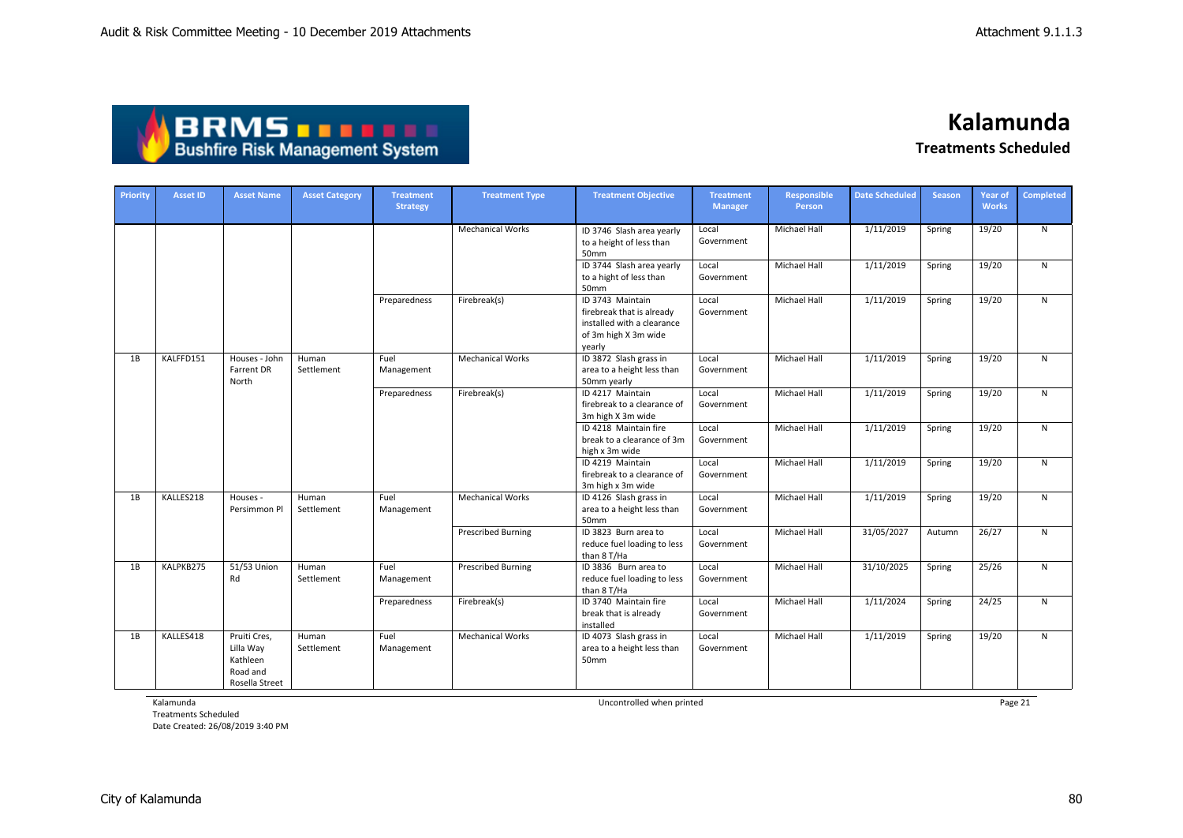| <b>ABRMS THEFT</b>                     |
|----------------------------------------|
| <b>Bushfire Risk Management System</b> |

| <b>Priority</b> | <b>Asset ID</b> | <b>Asset Name</b>                                                   | <b>Asset Category</b> | <b>Treatment</b><br><b>Strategy</b> | <b>Treatment Type</b>     | <b>Treatment Objective</b>                                                                                    | <b>Treatment</b><br><b>Manager</b> | <b>Responsible</b><br>Person | <b>Date Scheduled</b> | <b>Season</b> | <b>Year of</b><br><b>Works</b> | <b>Completed</b> |
|-----------------|-----------------|---------------------------------------------------------------------|-----------------------|-------------------------------------|---------------------------|---------------------------------------------------------------------------------------------------------------|------------------------------------|------------------------------|-----------------------|---------------|--------------------------------|------------------|
|                 |                 |                                                                     |                       |                                     | <b>Mechanical Works</b>   | ID 3746 Slash area yearly<br>to a height of less than<br>50mm                                                 | Local<br>Government                | <b>Michael Hall</b>          | 1/11/2019             | Spring        | 19/20                          | N                |
|                 |                 |                                                                     |                       |                                     |                           | ID 3744 Slash area yearly<br>to a hight of less than<br>50mm                                                  | Local<br>Government                | <b>Michael Hall</b>          | 1/11/2019             | Spring        | 19/20                          | N                |
|                 |                 |                                                                     |                       | Preparedness                        | Firebreak(s)              | ID 3743 Maintain<br>firebreak that is already<br>installed with a clearance<br>of 3m high X 3m wide<br>yearly | Local<br>Government                | <b>Michael Hall</b>          | 1/11/2019             | Spring        | 19/20                          | $\mathsf{N}$     |
| 1B              | KALFFD151       | Houses - John<br>Farrent DR<br>North                                | Human<br>Settlement   | Fuel<br>Management                  | <b>Mechanical Works</b>   | ID 3872 Slash grass in<br>area to a height less than<br>50mm yearly                                           | Local<br>Government                | Michael Hall                 | 1/11/2019             | Spring        | 19/20                          | $\mathsf{N}$     |
|                 |                 |                                                                     |                       | Preparedness                        | Firebreak(s)              | ID 4217 Maintain<br>firebreak to a clearance of<br>3m high X 3m wide                                          | Local<br>Government                | Michael Hall                 | 1/11/2019             | Spring        | 19/20                          | N.               |
|                 |                 |                                                                     |                       |                                     |                           | ID 4218 Maintain fire<br>break to a clearance of 3m<br>high x 3m wide                                         | Local<br>Government                | Michael Hall                 | 1/11/2019             | Spring        | 19/20                          | $\mathsf{N}$     |
|                 |                 |                                                                     |                       |                                     |                           | ID 4219 Maintain<br>firebreak to a clearance of<br>3m high x 3m wide                                          | Local<br>Government                | <b>Michael Hall</b>          | 1/11/2019             | Spring        | 19/20                          | $\mathsf{N}$     |
| 1B              | KALLES218       | Houses -<br>Persimmon Pl                                            | Human<br>Settlement   | Fuel<br>Management                  | <b>Mechanical Works</b>   | ID 4126 Slash grass in<br>area to a height less than<br>50mm                                                  | Local<br>Government                | Michael Hall                 | 1/11/2019             | Spring        | 19/20                          | N                |
|                 |                 |                                                                     |                       |                                     | <b>Prescribed Burning</b> | ID 3823 Burn area to<br>reduce fuel loading to less<br>than 8 T/Ha                                            | Local<br>Government                | <b>Michael Hall</b>          | 31/05/2027            | Autumn        | 26/27                          | N                |
| 1B              | KALPKB275       | 51/53 Union<br>Rd                                                   | Human<br>Settlement   | Fuel<br>Management                  | <b>Prescribed Burning</b> | ID 3836 Burn area to<br>reduce fuel loading to less<br>than 8 T/Ha                                            | Local<br>Government                | <b>Michael Hall</b>          | 31/10/2025            | Spring        | 25/26                          | N.               |
|                 |                 |                                                                     |                       | Preparedness                        | Firebreak(s)              | ID 3740 Maintain fire<br>break that is already<br>installed                                                   | Local<br>Government                | Michael Hall                 | 1/11/2024             | Spring        | 24/25                          | N                |
| 1B              | KALLES418       | Pruiti Cres,<br>Lilla Way<br>Kathleen<br>Road and<br>Rosella Street | Human<br>Settlement   | Fuel<br>Management                  | <b>Mechanical Works</b>   | ID 4073 Slash grass in<br>area to a height less than<br>50mm                                                  | Local<br>Government                | Michael Hall                 | 1/11/2019             | Spring        | 19/20                          | $\mathsf{N}$     |

Kalamunda

Treatments Scheduled Date Created: 26/08/2019 3:40 PM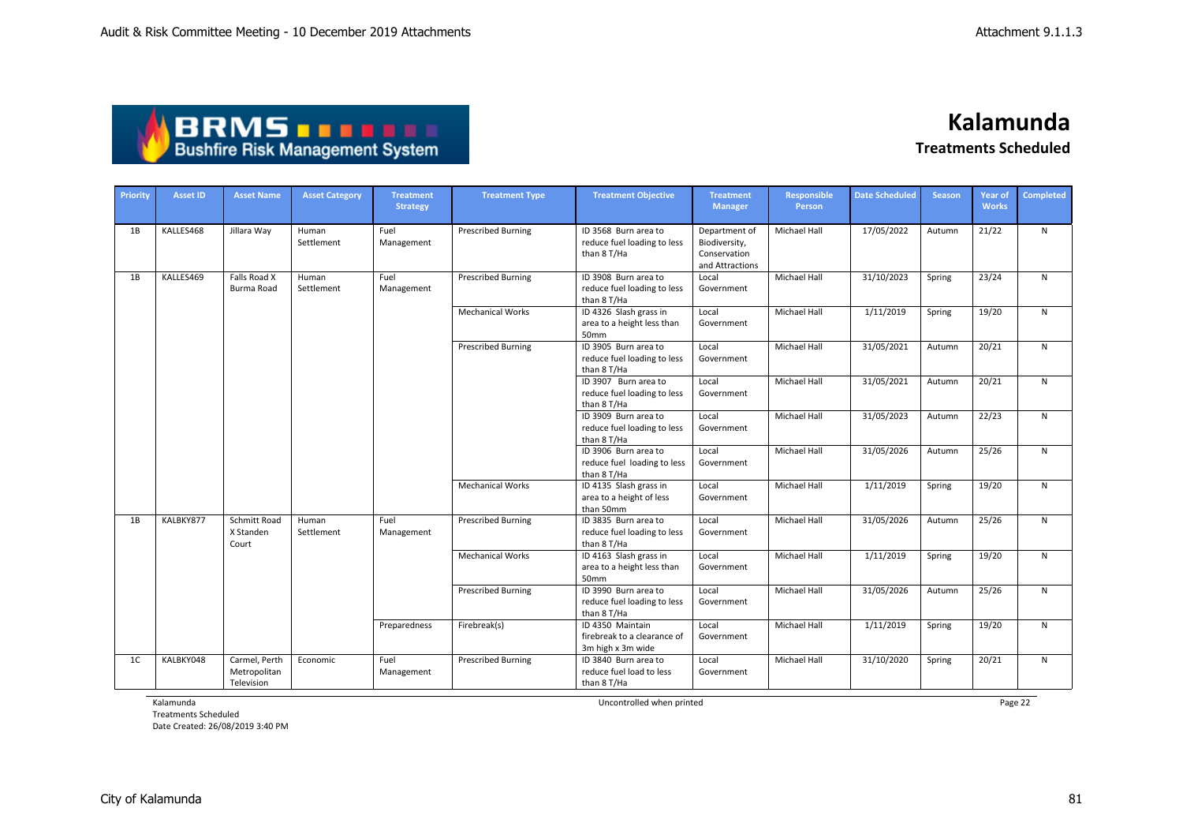| ABRMS <b>TELLE</b>                     |  |
|----------------------------------------|--|
| <b>Bushfire Risk Management System</b> |  |

| <b>Priority</b> | <b>Asset ID</b> | <b>Asset Name</b>                           | <b>Asset Category</b> | <b>Treatment</b><br><b>Strategy</b> | <b>Treatment Type</b>     | <b>Treatment Objective</b>                                           | <b>Treatment</b><br><b>Manager</b>                                | Responsible<br><b>Person</b> | <b>Date Scheduled</b> | <b>Season</b> | Year of<br><b>Works</b> | <b>Completed</b> |
|-----------------|-----------------|---------------------------------------------|-----------------------|-------------------------------------|---------------------------|----------------------------------------------------------------------|-------------------------------------------------------------------|------------------------------|-----------------------|---------------|-------------------------|------------------|
| 1B              | KALLES468       | Jillara Way                                 | Human<br>Settlement   | Fuel<br>Management                  | <b>Prescribed Burning</b> | ID 3568 Burn area to<br>reduce fuel loading to less<br>than 8 T/Ha   | Department of<br>Biodiversity,<br>Conservation<br>and Attractions | <b>Michael Hall</b>          | 17/05/2022            | Autumn        | 21/22                   | N                |
| 1B              | KALLES469       | Falls Road X<br>Burma Road                  | Human<br>Settlement   | Fuel<br>Management                  | <b>Prescribed Burning</b> | ID 3908 Burn area to<br>reduce fuel loading to less<br>than 8 T/Ha   | Local<br>Government                                               | <b>Michael Hall</b>          | 31/10/2023            | Spring        | 23/24                   | N                |
|                 |                 |                                             |                       |                                     | <b>Mechanical Works</b>   | ID 4326 Slash grass in<br>area to a height less than<br>50mm         | Local<br>Government                                               | <b>Michael Hall</b>          | 1/11/2019             | Spring        | 19/20                   | $\mathsf{N}$     |
|                 |                 |                                             |                       |                                     | <b>Prescribed Burning</b> | ID 3905 Burn area to<br>reduce fuel loading to less<br>than 8 T/Ha   | Local<br>Government                                               | <b>Michael Hall</b>          | 31/05/2021            | Autumn        | 20/21                   | $\mathsf{N}$     |
|                 |                 |                                             |                       |                                     |                           | ID 3907 Burn area to<br>reduce fuel loading to less<br>than 8 T/Ha   | Local<br>Government                                               | Michael Hall                 | 31/05/2021            | Autumn        | 20/21                   | N                |
|                 |                 |                                             |                       |                                     |                           | ID 3909 Burn area to<br>reduce fuel loading to less<br>than 8 T/Ha   | Local<br>Government                                               | <b>Michael Hall</b>          | 31/05/2023            | Autumn        | 22/23                   | N                |
|                 |                 |                                             |                       |                                     |                           | ID 3906 Burn area to<br>reduce fuel loading to less<br>than 8 T/Ha   | Local<br>Government                                               | <b>Michael Hall</b>          | 31/05/2026            | Autumn        | 25/26                   | N                |
|                 |                 |                                             |                       |                                     | <b>Mechanical Works</b>   | ID 4135 Slash grass in<br>area to a height of less<br>than 50mm      | Local<br>Government                                               | Michael Hall                 | 1/11/2019             | Spring        | 19/20                   | N                |
| 1B              | KALBKY877       | Schmitt Road<br>X Standen<br>Court          | Human<br>Settlement   | Fuel<br>Management                  | <b>Prescribed Burning</b> | ID 3835 Burn area to<br>reduce fuel loading to less<br>than 8 T/Ha   | Local<br>Government                                               | <b>Michael Hall</b>          | 31/05/2026            | Autumn        | 25/26                   | $\mathsf{N}$     |
|                 |                 |                                             |                       |                                     | <b>Mechanical Works</b>   | ID 4163 Slash grass in<br>area to a height less than<br>50mm         | Local<br>Government                                               | Michael Hall                 | 1/11/2019             | Spring        | 19/20                   | N                |
|                 |                 |                                             |                       |                                     | <b>Prescribed Burning</b> | ID 3990 Burn area to<br>reduce fuel loading to less<br>than 8 T/Ha   | Local<br>Government                                               | <b>Michael Hall</b>          | 31/05/2026            | Autumn        | 25/26                   | $\mathsf{N}$     |
|                 |                 |                                             |                       | Preparedness                        | Firebreak(s)              | ID 4350 Maintain<br>firebreak to a clearance of<br>3m high x 3m wide | Local<br>Government                                               | <b>Michael Hall</b>          | 1/11/2019             | Spring        | 19/20                   | N                |
| 1 <sup>C</sup>  | KALBKY048       | Carmel, Perth<br>Metropolitan<br>Television | Economic              | Fuel<br>Management                  | <b>Prescribed Burning</b> | ID 3840 Burn area to<br>reduce fuel load to less<br>than 8 T/Ha      | Local<br>Government                                               | <b>Michael Hall</b>          | 31/10/2020            | Spring        | 20/21                   | $\mathsf{N}$     |

Kalamunda

Treatments Scheduled Date Created: 26/08/2019 3:40 PM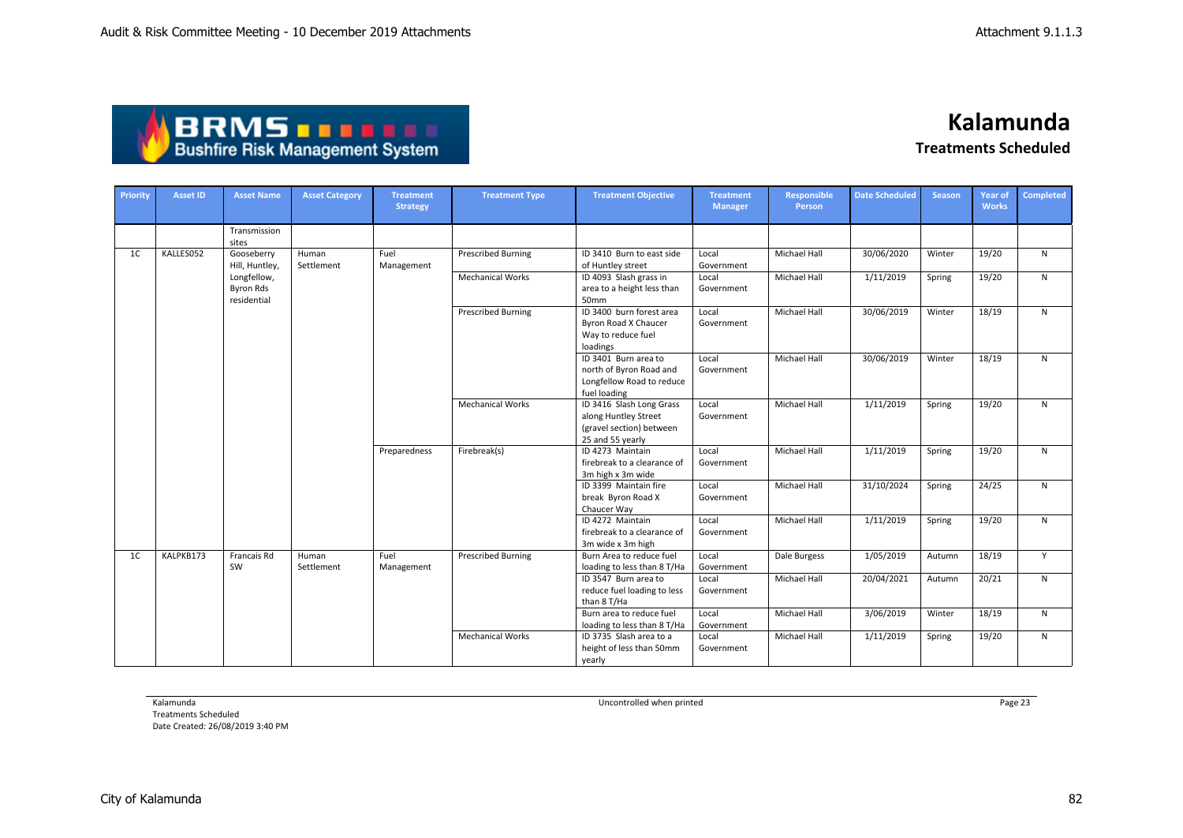| <b>ABRMS DEELL</b>                     |
|----------------------------------------|
| <b>Bushfire Risk Management System</b> |

**Kalamunda**

**Treatments Scheduled**

| Priority       | <b>Asset ID</b> | <b>Asset Name</b>                       | <b>Asset Category</b> | <b>Treatment</b><br><b>Strategy</b> | <b>Treatment Type</b>     | <b>Treatment Objective</b>                                                                       | <b>Treatment</b><br><b>Manager</b> | <b>Responsible</b><br>Person | <b>Date Scheduled</b> | <b>Season</b> | <b>Year of</b><br><b>Works</b> | Completed    |
|----------------|-----------------|-----------------------------------------|-----------------------|-------------------------------------|---------------------------|--------------------------------------------------------------------------------------------------|------------------------------------|------------------------------|-----------------------|---------------|--------------------------------|--------------|
|                |                 | Transmission<br>sites                   |                       |                                     |                           |                                                                                                  |                                    |                              |                       |               |                                |              |
| 1 <sup>C</sup> | KALLES052       | Gooseberry<br>Hill, Huntley,            | Human<br>Settlement   | Fuel<br>Management                  | <b>Prescribed Burning</b> | ID 3410 Burn to east side<br>of Huntley street                                                   | Local<br>Government                | <b>Michael Hall</b>          | 30/06/2020            | Winter        | 19/20                          | N            |
|                |                 | Longfellow,<br>Byron Rds<br>residential |                       |                                     | <b>Mechanical Works</b>   | ID 4093 Slash grass in<br>area to a height less than<br>50mm                                     | Local<br>Government                | Michael Hall                 | 1/11/2019             | Spring        | 19/20                          | N            |
|                |                 |                                         |                       |                                     | <b>Prescribed Burning</b> | ID 3400 burn forest area<br>Byron Road X Chaucer<br>Way to reduce fuel<br>loadings               | Local<br>Government                | Michael Hall                 | 30/06/2019            | Winter        | 18/19                          | N            |
|                |                 |                                         |                       |                                     |                           | ID 3401 Burn area to<br>north of Byron Road and<br>Longfellow Road to reduce<br>fuel loading     | Local<br>Government                | Michael Hall                 | 30/06/2019            | Winter        | 18/19                          | $\mathsf{N}$ |
|                |                 |                                         |                       |                                     | <b>Mechanical Works</b>   | ID 3416 Slash Long Grass<br>along Huntley Street<br>(gravel section) between<br>25 and 55 yearly | Local<br>Government                | <b>Michael Hall</b>          | 1/11/2019             | Spring        | 19/20                          | N            |
|                |                 |                                         |                       | Preparedness                        | Firebreak(s)              | ID 4273 Maintain<br>firebreak to a clearance of<br>3m high x 3m wide                             | Local<br>Government                | Michael Hall                 | 1/11/2019             | Spring        | 19/20                          | $\mathsf{N}$ |
|                |                 |                                         |                       |                                     |                           | ID 3399 Maintain fire<br>break Byron Road X<br>Chaucer Way                                       | Local<br>Government                | Michael Hall                 | 31/10/2024            | Spring        | 24/25                          | $\mathsf{N}$ |
|                |                 |                                         |                       |                                     |                           | ID 4272 Maintain<br>firebreak to a clearance of<br>3m wide x 3m high                             | Local<br>Government                | Michael Hall                 | 1/11/2019             | Spring        | 19/20                          | N            |
| 1 <sup>C</sup> | KALPKB173       | Francais Rd<br>SW                       | Human<br>Settlement   | Fuel<br>Management                  | <b>Prescribed Burning</b> | Burn Area to reduce fuel<br>loading to less than 8 T/Ha                                          | Local<br>Government                | Dale Burgess                 | 1/05/2019             | Autumn        | 18/19                          | Y            |
|                |                 |                                         |                       |                                     |                           | ID 3547 Burn area to<br>reduce fuel loading to less<br>than 8 T/Ha                               | Local<br>Government                | <b>Michael Hall</b>          | 20/04/2021            | Autumn        | 20/21                          | N            |
|                |                 |                                         |                       |                                     |                           | Burn area to reduce fuel<br>loading to less than 8 T/Ha                                          | Local<br>Government                | Michael Hall                 | 3/06/2019             | Winter        | 18/19                          | N            |
|                |                 |                                         |                       |                                     | <b>Mechanical Works</b>   | ID 3735 Slash area to a<br>height of less than 50mm<br>yearly                                    | Local<br>Government                | Michael Hall                 | 1/11/2019             | Spring        | 19/20                          | N            |

Kalamunda

Treatments Scheduled Date Created: 26/08/2019 3:40 PM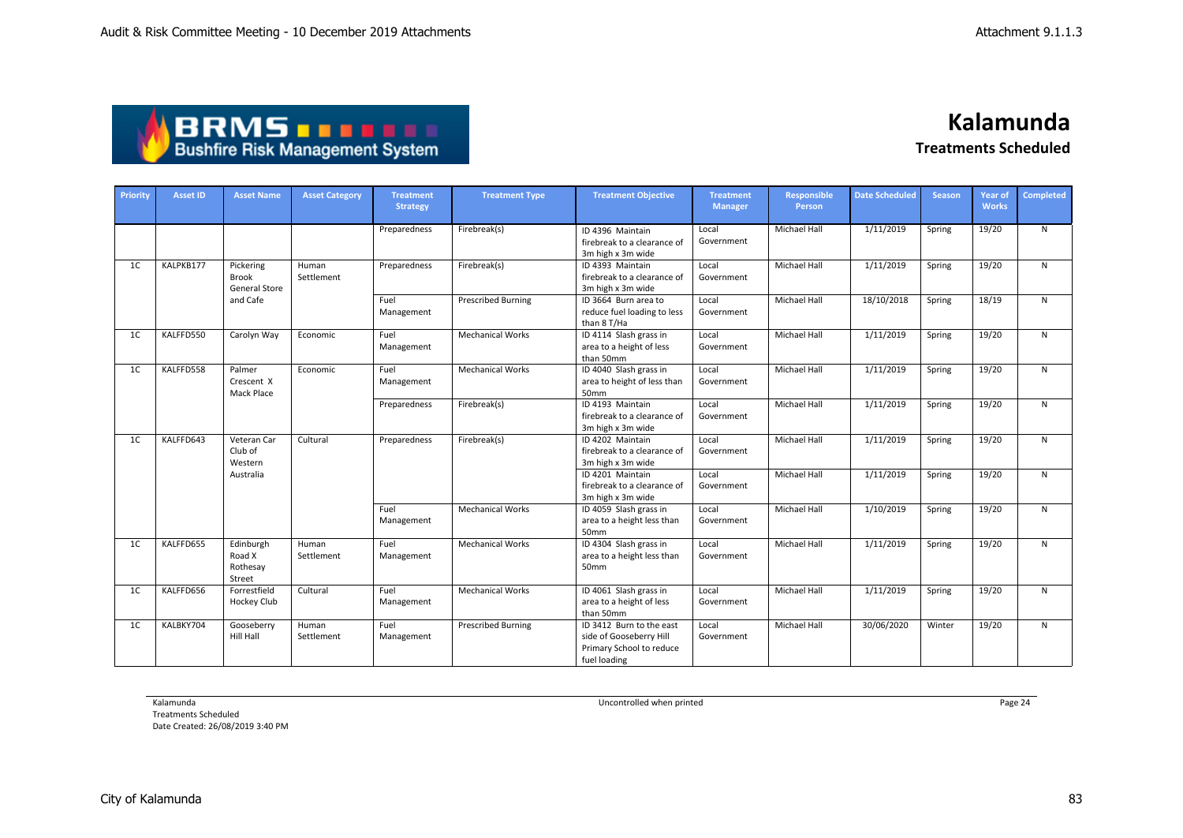| <b>ABRMS THEFT</b>                     |
|----------------------------------------|
| <b>Bushfire Risk Management System</b> |

| Priority       | <b>Asset ID</b> | <b>Asset Name</b>                          | <b>Asset Category</b> | <b>Treatment</b><br><b>Strategy</b> | <b>Treatment Type</b>     | <b>Treatment Objective</b>                                                                      | <b>Treatment</b><br><b>Manager</b> | Responsible<br>Person | <b>Date Scheduled</b> | <b>Season</b> | <b>Year of</b><br><b>Works</b> | Completed |
|----------------|-----------------|--------------------------------------------|-----------------------|-------------------------------------|---------------------------|-------------------------------------------------------------------------------------------------|------------------------------------|-----------------------|-----------------------|---------------|--------------------------------|-----------|
|                |                 |                                            |                       | Preparedness                        | Firebreak(s)              | ID 4396 Maintain<br>firebreak to a clearance of<br>3m high x 3m wide                            | Local<br>Government                | <b>Michael Hall</b>   | 1/11/2019             | Spring        | 19/20                          | N         |
| 1 <sup>C</sup> | KALPKB177       | Pickering<br><b>Brook</b><br>General Store | Human<br>Settlement   | Preparedness                        | Firebreak(s)              | ID 4393 Maintain<br>firebreak to a clearance of<br>3m high x 3m wide                            | Local<br>Government                | <b>Michael Hall</b>   | 1/11/2019             | Spring        | 19/20                          | N         |
|                |                 | and Cafe                                   |                       | Fuel<br>Management                  | <b>Prescribed Burning</b> | ID 3664 Burn area to<br>reduce fuel loading to less<br>than 8 T/Ha                              | Local<br>Government                | Michael Hall          | 18/10/2018            | Spring        | 18/19                          | N         |
| 1 <sup>C</sup> | KALFFD550       | Carolyn Way                                | Economic              | Fuel<br>Management                  | <b>Mechanical Works</b>   | ID 4114 Slash grass in<br>area to a height of less<br>than 50mm                                 | Local<br>Government                | <b>Michael Hall</b>   | 1/11/2019             | Spring        | 19/20                          | N         |
| 1 <sup>C</sup> | KALFFD558       | Palmer<br>Crescent X<br>Mack Place         | Economic              | Fuel<br>Management                  | <b>Mechanical Works</b>   | ID 4040 Slash grass in<br>area to height of less than<br>50mm                                   | Local<br>Government                | <b>Michael Hall</b>   | 1/11/2019             | Spring        | 19/20                          | N         |
|                |                 |                                            |                       | Preparedness                        | Firebreak(s)              | ID 4193 Maintain<br>firebreak to a clearance of<br>3m high x 3m wide                            | Local<br>Government                | Michael Hall          | 1/11/2019             | Spring        | 19/20                          | N         |
| 1 <sup>C</sup> | KALFFD643       | Veteran Car<br>Club of<br>Western          | Cultural              | Preparedness                        | Firebreak(s)              | ID 4202 Maintain<br>firebreak to a clearance of<br>3m high x 3m wide                            | Local<br>Government                | <b>Michael Hall</b>   | 1/11/2019             | Spring        | 19/20                          | N         |
|                |                 | Australia                                  |                       |                                     |                           | ID 4201 Maintain<br>firebreak to a clearance of<br>3m high x 3m wide                            | Local<br>Government                | <b>Michael Hall</b>   | 1/11/2019             | Spring        | 19/20                          | N         |
|                |                 |                                            |                       | Fuel<br>Management                  | <b>Mechanical Works</b>   | ID 4059 Slash grass in<br>area to a height less than<br>50mm                                    | Local<br>Government                | <b>Michael Hall</b>   | 1/10/2019             | Spring        | 19/20                          | N         |
| 1 <sup>C</sup> | KALFFD655       | Edinburgh<br>Road X<br>Rothesay<br>Street  | Human<br>Settlement   | Fuel<br>Management                  | <b>Mechanical Works</b>   | ID 4304 Slash grass in<br>area to a height less than<br>50mm                                    | Local<br>Government                | <b>Michael Hall</b>   | 1/11/2019             | Spring        | 19/20                          | N         |
| 1 <sup>C</sup> | KALFFD656       | Forrestfield<br>Hockey Club                | Cultural              | Fuel<br>Management                  | <b>Mechanical Works</b>   | ID 4061 Slash grass in<br>area to a height of less<br>than 50mm                                 | Local<br>Government                | Michael Hall          | 1/11/2019             | Spring        | 19/20                          | N         |
| 1 <sup>C</sup> | KALBKY704       | Gooseberry<br>Hill Hall                    | Human<br>Settlement   | Fuel<br>Management                  | <b>Prescribed Burning</b> | ID 3412 Burn to the east<br>side of Gooseberry Hill<br>Primary School to reduce<br>fuel loading | Local<br>Government                | Michael Hall          | 30/06/2020            | Winter        | 19/20                          | N         |

Kalamunda

Treatments Scheduled Date Created: 26/08/2019 3:40 PM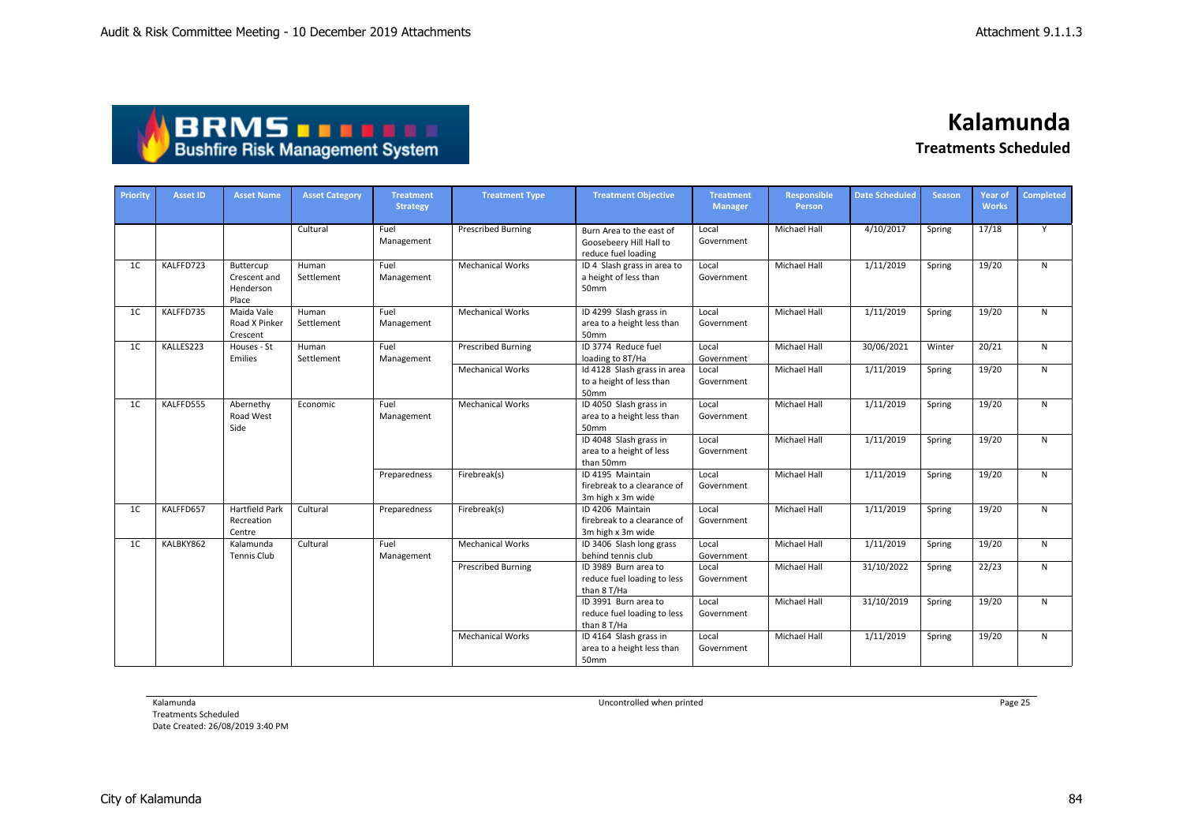| <b>ABRMS THEFT</b>                     |
|----------------------------------------|
| <b>Bushfire Risk Management System</b> |

| Priority       | <b>Asset ID</b> | <b>Asset Name</b>                               | <b>Asset Category</b> | <b>Treatment</b><br><b>Strategy</b> | <b>Treatment Type</b>     | <b>Treatment Objective</b>                                                 | <b>Treatment</b><br><b>Manager</b> | Responsible<br>Person | <b>Date Scheduled</b> | <b>Season</b> | <b>Year of</b><br><b>Works</b> | <b>Completed</b> |
|----------------|-----------------|-------------------------------------------------|-----------------------|-------------------------------------|---------------------------|----------------------------------------------------------------------------|------------------------------------|-----------------------|-----------------------|---------------|--------------------------------|------------------|
|                |                 |                                                 | Cultural              | Fuel<br>Management                  | <b>Prescribed Burning</b> | Burn Area to the east of<br>Goosebeery Hill Hall to<br>reduce fuel loading | Local<br>Government                | <b>Michael Hall</b>   | 4/10/2017             | Spring        | 17/18                          | Y                |
| 1 <sup>C</sup> | KALFFD723       | Buttercup<br>Crescent and<br>Henderson<br>Place | Human<br>Settlement   | Fuel<br>Management                  | <b>Mechanical Works</b>   | ID 4 Slash grass in area to<br>a height of less than<br>50mm               | Local<br>Government                | <b>Michael Hall</b>   | 1/11/2019             | Spring        | 19/20                          | N                |
| 1 <sup>C</sup> | KALFFD735       | Maida Vale<br>Road X Pinker<br>Crescent         | Human<br>Settlement   | Fuel<br>Management                  | <b>Mechanical Works</b>   | ID 4299 Slash grass in<br>area to a height less than<br>50mm               | Local<br>Government                | <b>Michael Hall</b>   | 1/11/2019             | Spring        | 19/20                          | $\mathsf{N}$     |
| 1 <sup>C</sup> | KALLES223       | Houses - St<br>Emilies                          | Human<br>Settlement   | Fuel<br>Management                  | <b>Prescribed Burning</b> | ID 3774 Reduce fuel<br>loading to 8T/Ha                                    | Local<br>Government                | Michael Hall          | 30/06/2021            | Winter        | 20/21                          | $\mathsf{N}$     |
|                |                 |                                                 |                       |                                     | <b>Mechanical Works</b>   | Id 4128 Slash grass in area<br>to a height of less than<br>50mm            | Local<br>Government                | Michael Hall          | 1/11/2019             | Spring        | 19/20                          | N                |
| 1 <sup>C</sup> | KALFFD555       | Abernethy<br>Road West<br>Side                  | Economic              | Fuel<br>Management                  | <b>Mechanical Works</b>   | ID 4050 Slash grass in<br>area to a height less than<br>50mm               | Local<br>Government                | Michael Hall          | 1/11/2019             | Spring        | 19/20                          | $\mathsf{N}$     |
|                |                 |                                                 |                       |                                     |                           | ID 4048 Slash grass in<br>area to a height of less<br>than 50mm            | Local<br>Government                | <b>Michael Hall</b>   | 1/11/2019             | Spring        | 19/20                          | N                |
|                |                 |                                                 |                       | Preparedness                        | Firebreak(s)              | ID 4195 Maintain<br>firebreak to a clearance of<br>3m high x 3m wide       | Local<br>Government                | <b>Michael Hall</b>   | 1/11/2019             | Spring        | 19/20                          | N                |
| 1 <sup>C</sup> | KALFFD657       | <b>Hartfield Park</b><br>Recreation<br>Centre   | Cultural              | Preparedness                        | Firebreak(s)              | ID 4206 Maintain<br>firebreak to a clearance of<br>3m high x 3m wide       | Local<br>Government                | <b>Michael Hall</b>   | 1/11/2019             | Spring        | 19/20                          | $\mathsf{N}$     |
| 1 <sup>C</sup> | KALBKY862       | Kalamunda<br><b>Tennis Club</b>                 | Cultural              | Fuel<br>Management                  | <b>Mechanical Works</b>   | ID 3406 Slash long grass<br>behind tennis club                             | Local<br>Government                | <b>Michael Hall</b>   | 1/11/2019             | Spring        | 19/20                          | N                |
|                |                 |                                                 |                       |                                     | <b>Prescribed Burning</b> | ID 3989 Burn area to<br>reduce fuel loading to less<br>than 8 T/Ha         | Local<br>Government                | Michael Hall          | 31/10/2022            | Spring        | 22/23                          | $\mathsf{N}$     |
|                |                 |                                                 |                       |                                     |                           | ID 3991 Burn area to<br>reduce fuel loading to less<br>than 8 T/Ha         | Local<br>Government                | <b>Michael Hall</b>   | 31/10/2019            | Spring        | 19/20                          | $\mathsf{N}$     |
|                |                 |                                                 |                       |                                     | <b>Mechanical Works</b>   | ID 4164 Slash grass in<br>area to a height less than<br>50mm               | Local<br>Government                | <b>Michael Hall</b>   | 1/11/2019             | Spring        | 19/20                          | $\mathsf{N}$     |

Kalamunda

Treatments Scheduled Date Created: 26/08/2019 3:40 PM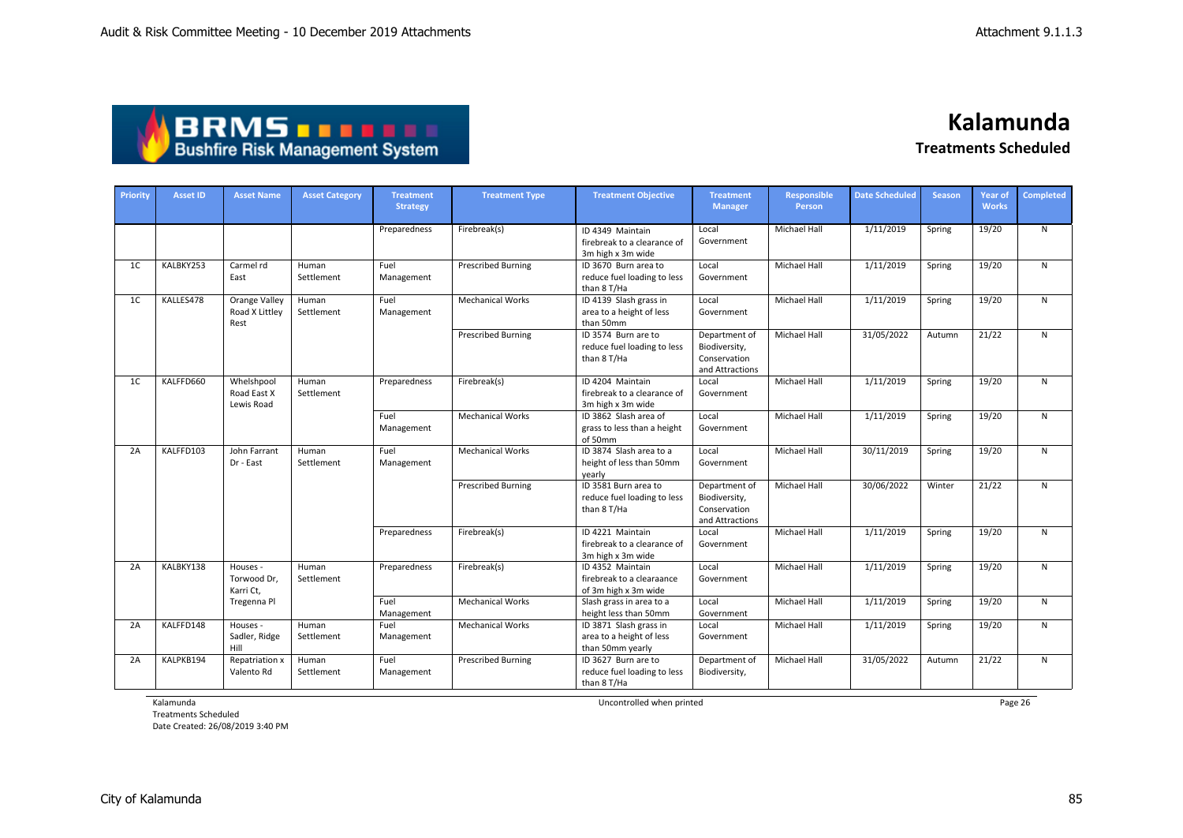| <b>ABRMS DEELL</b>                     |  |
|----------------------------------------|--|
| <b>Bushfire Risk Management System</b> |  |

| Priority       | <b>Asset ID</b> | <b>Asset Name</b>                       | <b>Asset Category</b> | <b>Treatment</b><br><b>Strategy</b> | <b>Treatment Type</b>     | <b>Treatment Objective</b>                                             | <b>Treatment</b><br><b>Manager</b>                                | <b>Responsible</b><br>Person | <b>Date Scheduled</b> | <b>Season</b> | <b>Year of</b><br><b>Works</b> | Completed    |
|----------------|-----------------|-----------------------------------------|-----------------------|-------------------------------------|---------------------------|------------------------------------------------------------------------|-------------------------------------------------------------------|------------------------------|-----------------------|---------------|--------------------------------|--------------|
|                |                 |                                         |                       | Preparedness                        | Firebreak(s)              | ID 4349 Maintain<br>firebreak to a clearance of<br>3m high x 3m wide   | Local<br>Government                                               | <b>Michael Hall</b>          | 1/11/2019             | Spring        | 19/20                          | N            |
| 1 <sup>C</sup> | KALBKY253       | Carmel rd<br>East                       | Human<br>Settlement   | Fuel<br>Management                  | <b>Prescribed Burning</b> | ID 3670 Burn area to<br>reduce fuel loading to less<br>than 8 T/Ha     | Local<br>Government                                               | <b>Michael Hall</b>          | 1/11/2019             | Spring        | 19/20                          | N            |
| 1 <sup>C</sup> | KALLES478       | Orange Valley<br>Road X Littley<br>Rest | Human<br>Settlement   | Fuel<br>Management                  | <b>Mechanical Works</b>   | ID 4139 Slash grass in<br>area to a height of less<br>than 50mm        | Local<br>Government                                               | <b>Michael Hall</b>          | 1/11/2019             | Spring        | 19/20                          | N            |
|                |                 |                                         |                       |                                     | <b>Prescribed Burning</b> | ID 3574 Burn are to<br>reduce fuel loading to less<br>than 8 T/Ha      | Department of<br>Biodiversity,<br>Conservation<br>and Attractions | <b>Michael Hall</b>          | 31/05/2022            | Autumn        | 21/22                          | $\mathsf{N}$ |
| 1 <sup>C</sup> | KALFFD660       | Whelshpool<br>Road East X<br>Lewis Road | Human<br>Settlement   | Preparedness                        | Firebreak(s)              | ID 4204 Maintain<br>firebreak to a clearance of<br>3m high x 3m wide   | Local<br>Government                                               | Michael Hall                 | 1/11/2019             | Spring        | 19/20                          | N            |
|                |                 |                                         |                       | Fuel<br>Management                  | <b>Mechanical Works</b>   | ID 3862 Slash area of<br>grass to less than a height<br>of 50mm        | Local<br>Government                                               | <b>Michael Hall</b>          | 1/11/2019             | Spring        | 19/20                          | N            |
| 2A             | KALFFD103       | John Farrant<br>Dr - East               | Human<br>Settlement   | Fuel<br>Management                  | <b>Mechanical Works</b>   | ID 3874 Slash area to a<br>height of less than 50mm<br>yearly          | Local<br>Government                                               | Michael Hall                 | 30/11/2019            | Spring        | 19/20                          | ${\sf N}$    |
|                |                 |                                         |                       |                                     | <b>Prescribed Burning</b> | ID 3581 Burn area to<br>reduce fuel loading to less<br>than 8 T/Ha     | Department of<br>Biodiversity,<br>Conservation<br>and Attractions | <b>Michael Hall</b>          | 30/06/2022            | Winter        | 21/22                          | N            |
|                |                 |                                         |                       | Preparedness                        | Firebreak(s)              | ID 4221 Maintain<br>firebreak to a clearance of<br>3m high x 3m wide   | Local<br>Government                                               | <b>Michael Hall</b>          | 1/11/2019             | Spring        | 19/20                          | N            |
| 2A             | KALBKY138       | Houses -<br>Torwood Dr,<br>Karri Ct,    | Human<br>Settlement   | Preparedness                        | Firebreak(s)              | ID 4352 Maintain<br>firebreak to a clearaance<br>of 3m high x 3m wide  | Local<br>Government                                               | <b>Michael Hall</b>          | 1/11/2019             | Spring        | 19/20                          | $\mathsf{N}$ |
|                |                 | Tregenna Pl                             |                       | Fuel<br>Management                  | <b>Mechanical Works</b>   | Slash grass in area to a<br>height less than 50mm                      | Local<br>Government                                               | <b>Michael Hall</b>          | 1/11/2019             | Spring        | 19/20                          | $\mathsf{N}$ |
| 2A             | KALFFD148       | Houses -<br>Sadler, Ridge<br>Hill       | Human<br>Settlement   | Fuel<br>Management                  | <b>Mechanical Works</b>   | ID 3871 Slash grass in<br>area to a height of less<br>than 50mm yearly | Local<br>Government                                               | <b>Michael Hall</b>          | 1/11/2019             | Spring        | 19/20                          | N            |
| 2A             | KALPKB194       | Repatriation x<br>Valento Rd            | Human<br>Settlement   | Fuel<br>Management                  | <b>Prescribed Burning</b> | ID 3627 Burn are to<br>reduce fuel loading to less<br>than 8 T/Ha      | Department of<br>Biodiversity,                                    | <b>Michael Hall</b>          | 31/05/2022            | Autumn        | 21/22                          | N            |

Kalamunda

Treatments Scheduled Date Created: 26/08/2019 3:40 PM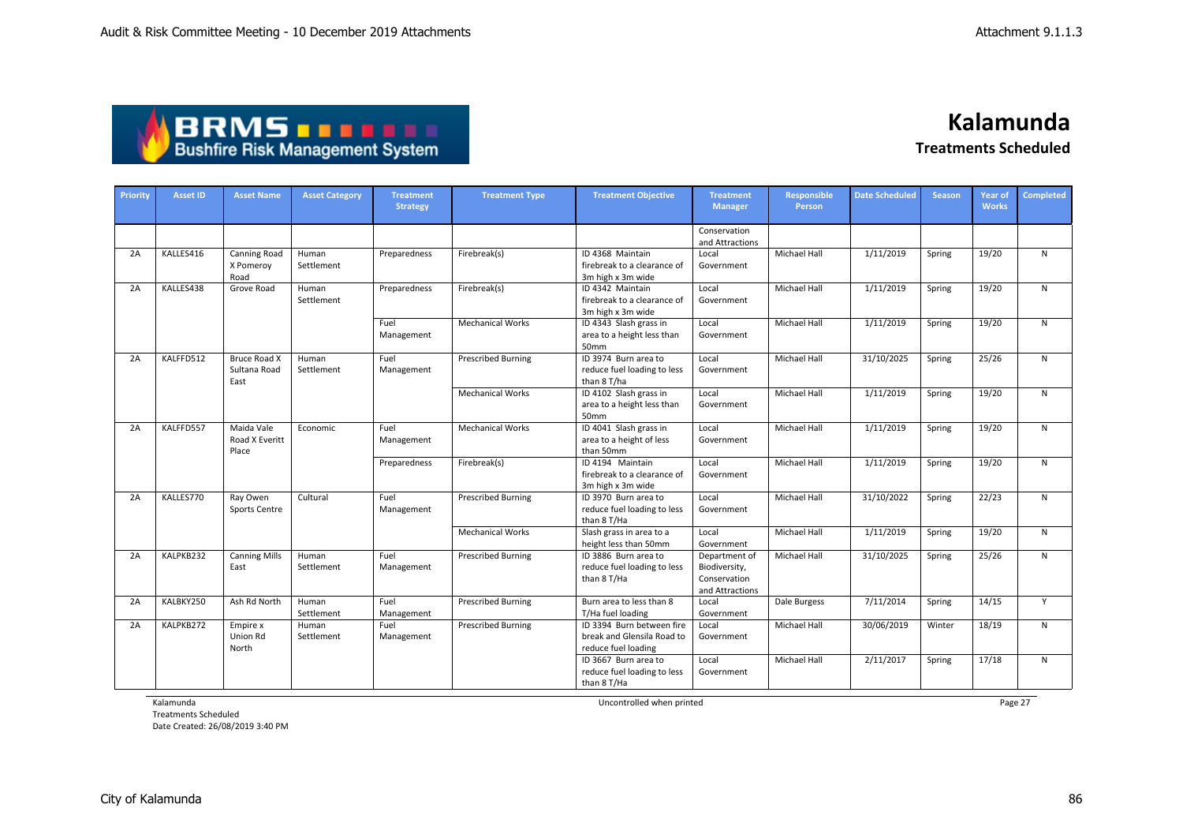| <b>ABRMS THEFT</b>                     |  |
|----------------------------------------|--|
| <b>Bushfire Risk Management System</b> |  |

**Kalamunda**

**Treatments Scheduled**

| Priority | <b>Asset ID</b> | <b>Asset Name</b>                        | <b>Asset Category</b> | <b>Treatment</b><br><b>Strategy</b> | <b>Treatment Type</b>     | <b>Treatment Objective</b>                                                     | <b>Treatment</b><br><b>Manager</b>                                | <b>Responsible</b><br>Person | <b>Date Scheduled</b> | <b>Season</b> | <b>Year of</b><br><b>Works</b> | <b>Completed</b> |
|----------|-----------------|------------------------------------------|-----------------------|-------------------------------------|---------------------------|--------------------------------------------------------------------------------|-------------------------------------------------------------------|------------------------------|-----------------------|---------------|--------------------------------|------------------|
|          |                 |                                          |                       |                                     |                           |                                                                                | Conservation<br>and Attractions                                   |                              |                       |               |                                |                  |
| 2A       | KALLES416       | <b>Canning Road</b><br>X Pomeroy<br>Road | Human<br>Settlement   | Preparedness                        | Firebreak(s)              | ID 4368 Maintain<br>firebreak to a clearance of<br>3m high x 3m wide           | Local<br>Government                                               | Michael Hall                 | 1/11/2019             | Spring        | 19/20                          | N                |
| 2A       | KALLES438       | Grove Road                               | Human<br>Settlement   | Preparedness                        | Firebreak(s)              | ID 4342 Maintain<br>firebreak to a clearance of<br>3m high x 3m wide           | Local<br>Government                                               | <b>Michael Hall</b>          | 1/11/2019             | Spring        | 19/20                          | N                |
|          |                 |                                          |                       | Fuel<br>Management                  | <b>Mechanical Works</b>   | ID 4343 Slash grass in<br>area to a height less than<br>50mm                   | Local<br>Government                                               | Michael Hall                 | 1/11/2019             | Spring        | 19/20                          | $\mathsf{N}$     |
| 2A       | KALFFD512       | Bruce Road X<br>Sultana Road<br>East     | Human<br>Settlement   | Fuel<br>Management                  | <b>Prescribed Burning</b> | ID 3974 Burn area to<br>reduce fuel loading to less<br>than 8 T/ha             | Local<br>Government                                               | <b>Michael Hall</b>          | 31/10/2025            | Spring        | 25/26                          | N                |
|          |                 |                                          |                       |                                     | <b>Mechanical Works</b>   | ID 4102 Slash grass in<br>area to a height less than<br>50mm                   | Local<br>Government                                               | <b>Michael Hall</b>          | 1/11/2019             | Spring        | 19/20                          | N                |
| 2A       | KALFFD557       | Maida Vale<br>Road X Everitt<br>Place    | Economic              | Fuel<br>Management                  | <b>Mechanical Works</b>   | ID 4041 Slash grass in<br>area to a height of less<br>than 50mm                | Local<br>Government                                               | Michael Hall                 | 1/11/2019             | Spring        | 19/20                          | ${\sf N}$        |
|          |                 |                                          |                       | Preparedness                        | Firebreak(s)              | ID 4194 Maintain<br>firebreak to a clearance of<br>3m high x 3m wide           | Local<br>Government                                               | <b>Michael Hall</b>          | 1/11/2019             | Spring        | 19/20                          | $\mathsf{N}$     |
| 2A       | KALLES770       | Ray Owen<br>Sports Centre                | Cultural              | Fuel<br>Management                  | <b>Prescribed Burning</b> | ID 3970 Burn area to<br>reduce fuel loading to less<br>than 8 T/Ha             | Local<br>Government                                               | Michael Hall                 | 31/10/2022            | Spring        | 22/23                          | N                |
|          |                 |                                          |                       |                                     | <b>Mechanical Works</b>   | Slash grass in area to a<br>height less than 50mm                              | Local<br>Government                                               | Michael Hall                 | 1/11/2019             | Spring        | 19/20                          | N                |
| 2A       | KALPKB232       | <b>Canning Mills</b><br>East             | Human<br>Settlement   | Fuel<br>Management                  | <b>Prescribed Burning</b> | ID 3886 Burn area to<br>reduce fuel loading to less<br>than 8 T/Ha             | Department of<br>Biodiversity,<br>Conservation<br>and Attractions | Michael Hall                 | 31/10/2025            | Spring        | 25/26                          | $\mathsf{N}$     |
| 2A       | KALBKY250       | Ash Rd North                             | Human<br>Settlement   | Fuel<br>Management                  | <b>Prescribed Burning</b> | Burn area to less than 8<br>T/Ha fuel loading                                  | Local<br>Government                                               | Dale Burgess                 | 7/11/2014             | Spring        | 14/15                          | Y                |
| 2A       | KALPKB272       | Empire x<br>Union Rd<br>North            | Human<br>Settlement   | Fuel<br>Management                  | <b>Prescribed Burning</b> | ID 3394 Burn between fire<br>break and Glensila Road to<br>reduce fuel loading | Local<br>Government                                               | Michael Hall                 | 30/06/2019            | Winter        | 18/19                          | $\mathsf{N}$     |
|          |                 |                                          |                       |                                     |                           | ID 3667 Burn area to<br>reduce fuel loading to less<br>than 8 T/Ha             | Local<br>Government                                               | Michael Hall                 | 2/11/2017             | Spring        | 17/18                          | $\mathsf{N}$     |

Kalamunda

Treatments Scheduled Date Created: 26/08/2019 3:40 PM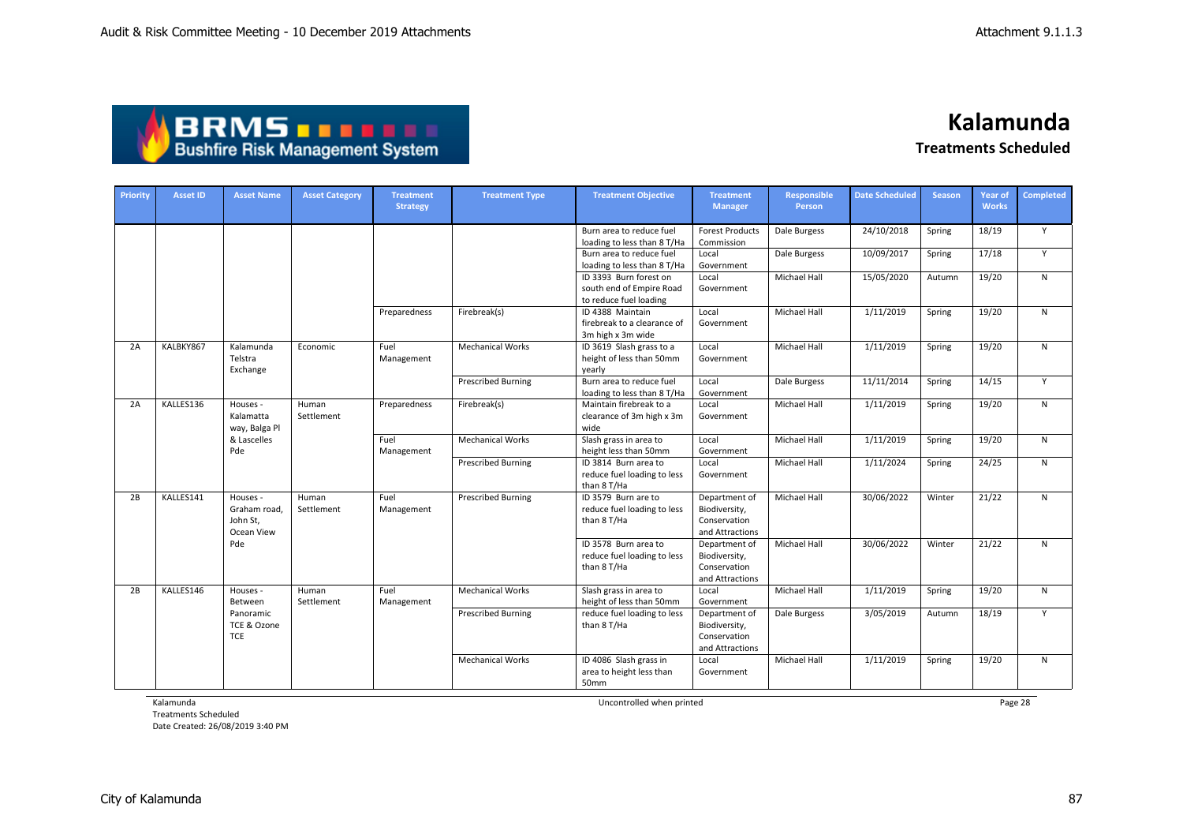## **BRMS DRMS DRMS**

### **Kalamunda Treatments Scheduled**

| <b>Priority</b> | <b>Asset ID</b> | <b>Asset Name</b>                                  | <b>Asset Category</b> | <b>Treatment</b><br><b>Strategy</b> | <b>Treatment Type</b>     | <b>Treatment Objective</b>                                                   | <b>Treatment</b><br><b>Manager</b>                                | Responsible<br>Person | <b>Date Scheduled</b> | <b>Season</b> | <b>Year of</b><br><b>Works</b> | <b>Completed</b> |
|-----------------|-----------------|----------------------------------------------------|-----------------------|-------------------------------------|---------------------------|------------------------------------------------------------------------------|-------------------------------------------------------------------|-----------------------|-----------------------|---------------|--------------------------------|------------------|
|                 |                 |                                                    |                       |                                     |                           | Burn area to reduce fuel<br>loading to less than 8 T/Ha                      | <b>Forest Products</b><br>Commission                              | Dale Burgess          | 24/10/2018            | Spring        | 18/19                          | Y                |
|                 |                 |                                                    |                       |                                     |                           | Burn area to reduce fuel<br>loading to less than 8 T/Ha                      | Local<br>Government                                               | Dale Burgess          | 10/09/2017            | Spring        | 17/18                          | Y                |
|                 |                 |                                                    |                       |                                     |                           | ID 3393 Burn forest on<br>south end of Empire Road<br>to reduce fuel loading | Local<br>Government                                               | Michael Hall          | 15/05/2020            | Autumn        | 19/20                          | N                |
|                 |                 |                                                    |                       | Preparedness                        | Firebreak(s)              | ID 4388 Maintain<br>firebreak to a clearance of<br>3m high x 3m wide         | Local<br>Government                                               | <b>Michael Hall</b>   | 1/11/2019             | Spring        | 19/20                          | $\mathsf{N}$     |
| 2A              | KALBKY867       | Kalamunda<br>Telstra<br>Exchange                   | Economic              | Fuel<br>Management                  | <b>Mechanical Works</b>   | ID 3619 Slash grass to a<br>height of less than 50mm<br>yearly               | Local<br>Government                                               | Michael Hall          | 1/11/2019             | Spring        | 19/20                          | N                |
|                 |                 |                                                    |                       |                                     | <b>Prescribed Burning</b> | Burn area to reduce fuel<br>loading to less than 8 T/Ha                      | Local<br>Government                                               | Dale Burgess          | 11/11/2014            | Spring        | 14/15                          | Y                |
| 2A              | KALLES136       | Houses -<br>Kalamatta<br>way, Balga Pl             | Human<br>Settlement   | Preparedness                        | Firebreak(s)              | Maintain firebreak to a<br>clearance of 3m high x 3m<br>wide                 | Local<br>Government                                               | <b>Michael Hall</b>   | 1/11/2019             | Spring        | 19/20                          | $\mathsf{N}$     |
|                 |                 | & Lascelles<br>Pde                                 |                       | Fuel<br>Management                  | <b>Mechanical Works</b>   | Slash grass in area to<br>height less than 50mm                              | Local<br>Government                                               | Michael Hall          | 1/11/2019             | Spring        | 19/20                          | N                |
|                 |                 |                                                    |                       |                                     | <b>Prescribed Burning</b> | ID 3814 Burn area to<br>reduce fuel loading to less<br>than 8 T/Ha           | Local<br>Government                                               | Michael Hall          | 1/11/2024             | Spring        | 24/25                          | N                |
| 2B              | KALLES141       | Houses -<br>Graham road,<br>John St.<br>Ocean View | Human<br>Settlement   | Fuel<br>Management                  | <b>Prescribed Burning</b> | ID 3579 Burn are to<br>reduce fuel loading to less<br>than 8 T/Ha            | Department of<br>Biodiversity,<br>Conservation<br>and Attractions | <b>Michael Hall</b>   | 30/06/2022            | Winter        | 21/22                          | $\mathsf{N}$     |
|                 |                 | Pde                                                |                       |                                     |                           | ID 3578 Burn area to<br>reduce fuel loading to less<br>than 8 T/Ha           | Department of<br>Biodiversity,<br>Conservation<br>and Attractions | Michael Hall          | 30/06/2022            | Winter        | 21/22                          | N                |
| 2B              | KALLES146       | Houses -<br>Between                                | Human<br>Settlement   | Fuel<br>Management                  | <b>Mechanical Works</b>   | Slash grass in area to<br>height of less than 50mm                           | Local<br>Government                                               | Michael Hall          | 1/11/2019             | Spring        | 19/20                          | $\mathsf{N}$     |
|                 |                 | Panoramic<br>TCE & Ozone<br><b>TCE</b>             |                       |                                     | <b>Prescribed Burning</b> | reduce fuel loading to less<br>than 8 T/Ha                                   | Department of<br>Biodiversity,<br>Conservation<br>and Attractions | Dale Burgess          | 3/05/2019             | Autumn        | 18/19                          | Y                |
|                 |                 |                                                    |                       |                                     | <b>Mechanical Works</b>   | ID 4086 Slash grass in<br>area to height less than<br>50mm                   | Local<br>Government                                               | <b>Michael Hall</b>   | 1/11/2019             | Spring        | 19/20                          | N                |

Kalamunda

Treatments Scheduled Date Created: 26/08/2019 3:40 PM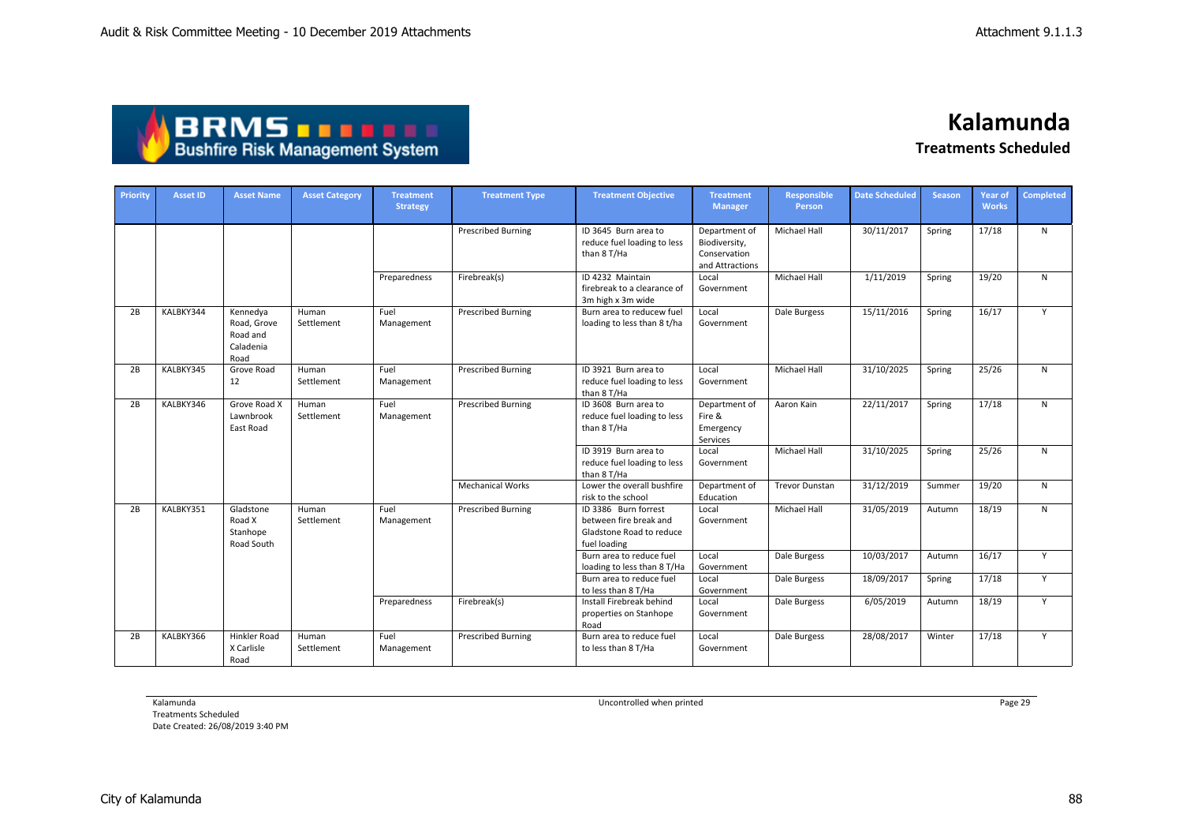| <b>ABRMS TEEL!</b>                     |
|----------------------------------------|
| <b>Bushfire Risk Management System</b> |

| Priority | <b>Asset ID</b> | <b>Asset Name</b>                                        | <b>Asset Category</b> | <b>Treatment</b><br><b>Strategy</b> | <b>Treatment Type</b>     | <b>Treatment Objective</b>                                                                 | <b>Treatment</b><br><b>Manager</b>                                | Responsible<br>Person | <b>Date Scheduled</b> | <b>Season</b> | <b>Year of</b><br><b>Works</b> | <b>Completed</b> |
|----------|-----------------|----------------------------------------------------------|-----------------------|-------------------------------------|---------------------------|--------------------------------------------------------------------------------------------|-------------------------------------------------------------------|-----------------------|-----------------------|---------------|--------------------------------|------------------|
|          |                 |                                                          |                       |                                     | <b>Prescribed Burning</b> | ID 3645 Burn area to<br>reduce fuel loading to less<br>than 8 T/Ha                         | Department of<br>Biodiversity,<br>Conservation<br>and Attractions | <b>Michael Hall</b>   | 30/11/2017            | Spring        | 17/18                          | N                |
|          |                 |                                                          |                       | Preparedness                        | Firebreak(s)              | ID 4232 Maintain<br>firebreak to a clearance of<br>3m high x 3m wide                       | Local<br>Government                                               | <b>Michael Hall</b>   | 1/11/2019             | Spring        | 19/20                          | $\mathsf{N}$     |
| 2B       | KALBKY344       | Kennedya<br>Road, Grove<br>Road and<br>Caladenia<br>Road | Human<br>Settlement   | Fuel<br>Management                  | <b>Prescribed Burning</b> | Burn area to reducew fuel<br>loading to less than 8 t/ha                                   | Local<br>Government                                               | Dale Burgess          | 15/11/2016            | Spring        | 16/17                          | Y                |
| 2B       | KALBKY345       | Grove Road<br>12                                         | Human<br>Settlement   | Fuel<br>Management                  | <b>Prescribed Burning</b> | ID 3921 Burn area to<br>reduce fuel loading to less<br>than 8 T/Ha                         | Local<br>Government                                               | <b>Michael Hall</b>   | 31/10/2025            | Spring        | 25/26                          | $\mathsf{N}$     |
| 2B       | KALBKY346       | Grove Road X<br>Lawnbrook<br>East Road                   | Human<br>Settlement   | Fuel<br>Management                  | <b>Prescribed Burning</b> | ID 3608 Burn area to<br>reduce fuel loading to less<br>than 8 T/Ha                         | Department of<br>Fire &<br>Emergency<br>Services                  | Aaron Kain            | 22/11/2017            | Spring        | 17/18                          | $\mathsf{N}$     |
|          |                 |                                                          |                       |                                     |                           | ID 3919 Burn area to<br>reduce fuel loading to less<br>than 8 T/Ha                         | Local<br>Government                                               | Michael Hall          | 31/10/2025            | Spring        | 25/26                          | $\mathsf{N}$     |
|          |                 |                                                          |                       |                                     | <b>Mechanical Works</b>   | Lower the overall bushfire<br>risk to the school                                           | Department of<br>Education                                        | <b>Trevor Dunstan</b> | 31/12/2019            | Summer        | 19/20                          | $\mathsf{N}$     |
| 2B       | KALBKY351       | Gladstone<br>Road X<br>Stanhope<br>Road South            | Human<br>Settlement   | Fuel<br>Management                  | <b>Prescribed Burning</b> | ID 3386 Burn forrest<br>between fire break and<br>Gladstone Road to reduce<br>fuel loading | Local<br>Government                                               | <b>Michael Hall</b>   | 31/05/2019            | Autumn        | 18/19                          | $\mathsf{N}$     |
|          |                 |                                                          |                       |                                     |                           | Burn area to reduce fuel<br>loading to less than 8 T/Ha                                    | Local<br>Government                                               | Dale Burgess          | 10/03/2017            | Autumn        | 16/17                          | Y                |
|          |                 |                                                          |                       |                                     |                           | Burn area to reduce fuel<br>to less than 8 T/Ha                                            | Local<br>Government                                               | Dale Burgess          | 18/09/2017            | Spring        | 17/18                          | Y                |
|          |                 |                                                          |                       | Preparedness                        | Firebreak(s)              | Install Firebreak behind<br>properties on Stanhope<br>Road                                 | Local<br>Government                                               | Dale Burgess          | 6/05/2019             | Autumn        | 18/19                          | Y                |
| 2B       | KALBKY366       | <b>Hinkler Road</b><br>X Carlisle<br>Road                | Human<br>Settlement   | Fuel<br>Management                  | <b>Prescribed Burning</b> | Burn area to reduce fuel<br>to less than 8 T/Ha                                            | Local<br>Government                                               | Dale Burgess          | 28/08/2017            | Winter        | 17/18                          | Y                |

Kalamunda

Treatments Scheduled Date Created: 26/08/2019 3:40 PM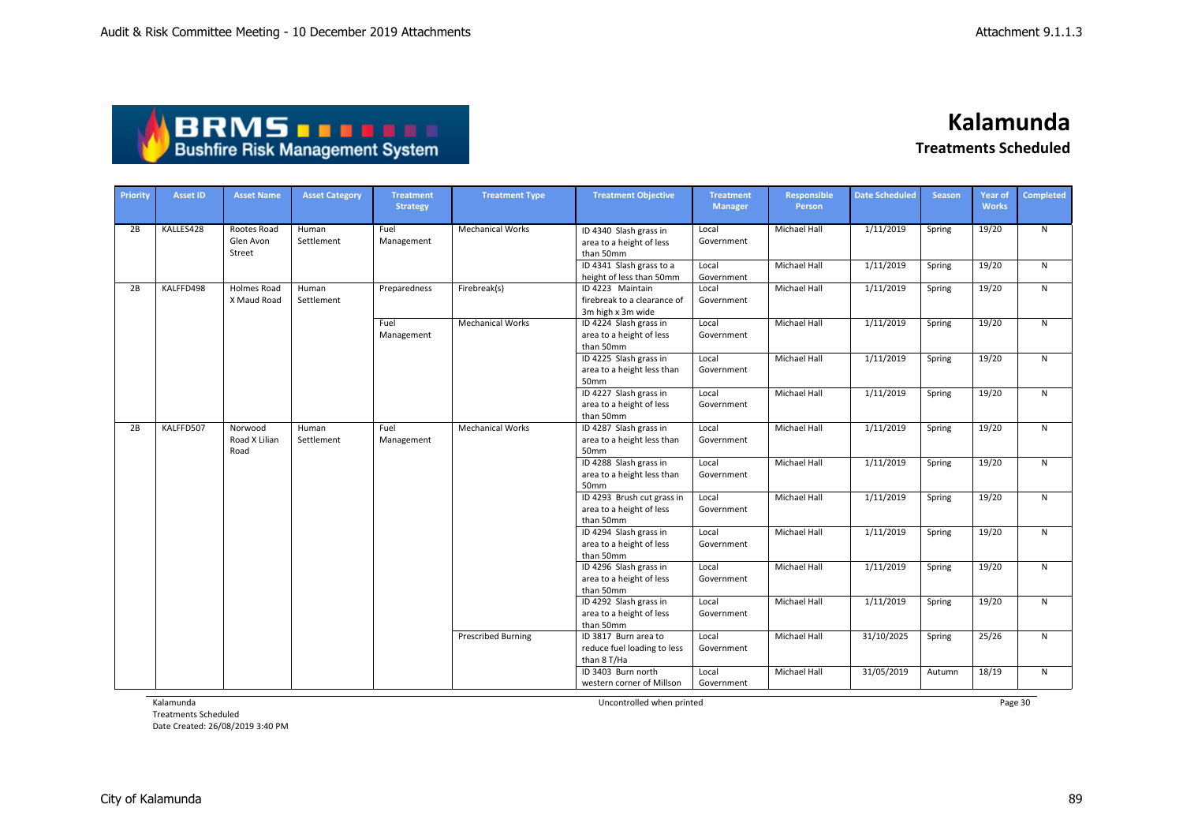| ABRMS                                  |  |
|----------------------------------------|--|
| <b>Bushfire Risk Management System</b> |  |

| Priority | <b>Asset ID</b> | <b>Asset Name</b>                  | <b>Asset Category</b> | <b>Treatment</b><br><b>Strategy</b> | <b>Treatment Type</b>                                           | <b>Treatment Objective</b>                                           | <b>Treatment</b><br><b>Manager</b> | <b>Responsible</b><br>Person | <b>Date Scheduled</b> | <b>Season</b> | <b>Year of</b><br><b>Works</b> | <b>Completed</b> |
|----------|-----------------|------------------------------------|-----------------------|-------------------------------------|-----------------------------------------------------------------|----------------------------------------------------------------------|------------------------------------|------------------------------|-----------------------|---------------|--------------------------------|------------------|
| 2B       | KALLES428       | Rootes Road<br>Glen Avon<br>Street | Human<br>Settlement   | Fuel<br>Management                  | <b>Mechanical Works</b>                                         | ID 4340 Slash grass in<br>area to a height of less<br>than 50mm      | Local<br>Government                | Michael Hall                 | 1/11/2019             | Spring        | 19/20                          | N                |
|          |                 |                                    |                       |                                     |                                                                 | ID 4341 Slash grass to a<br>height of less than 50mm                 | Local<br>Government                | <b>Michael Hall</b>          | 1/11/2019             | Spring        | 19/20                          | N                |
| 2B       | KALFFD498       | Holmes Road<br>X Maud Road         | Human<br>Settlement   | Preparedness                        | Firebreak(s)                                                    | ID 4223 Maintain<br>firebreak to a clearance of<br>3m high x 3m wide | Local<br>Government                | Michael Hall                 | 1/11/2019             | Spring        | 19/20                          | N                |
|          |                 |                                    |                       | Fuel<br>Management                  | <b>Mechanical Works</b>                                         | ID 4224 Slash grass in<br>area to a height of less<br>than 50mm      | Local<br>Government                | Michael Hall                 | 1/11/2019             | Spring        | 19/20                          | N                |
|          |                 |                                    |                       |                                     |                                                                 | ID 4225 Slash grass in<br>area to a height less than<br>50mm         | Local<br>Government                | <b>Michael Hall</b>          | 1/11/2019             | Spring        | 19/20                          | N                |
|          |                 |                                    |                       |                                     | ID 4227 Slash grass in<br>area to a height of less<br>than 50mm | Local<br>Government                                                  | <b>Michael Hall</b>                | 1/11/2019                    | Spring                | 19/20         | N                              |                  |
| 2B       | KALFFD507       | Norwood<br>Road X Lilian<br>Road   | Human<br>Settlement   | Fuel<br>Management                  | <b>Mechanical Works</b>                                         | ID 4287 Slash grass in<br>area to a height less than<br>50mm         | Local<br>Government                | <b>Michael Hall</b>          | 1/11/2019             | Spring        | 19/20                          | N                |
|          |                 |                                    |                       |                                     |                                                                 | ID 4288 Slash grass in<br>area to a height less than<br>50mm         | Local<br>Government                | Michael Hall                 | 1/11/2019             | Spring        | 19/20                          | $\mathsf{N}$     |
|          |                 |                                    |                       |                                     |                                                                 | ID 4293 Brush cut grass in<br>area to a height of less<br>than 50mm  | Local<br>Government                | Michael Hall                 | 1/11/2019             | Spring        | 19/20                          | $\mathsf{N}$     |
|          |                 |                                    |                       |                                     |                                                                 | ID 4294 Slash grass in<br>area to a height of less<br>than 50mm      | Local<br>Government                | <b>Michael Hall</b>          | 1/11/2019             | Spring        | 19/20                          | N                |
|          |                 |                                    |                       |                                     |                                                                 | ID 4296 Slash grass in<br>area to a height of less<br>than 50mm      | Local<br>Government                | <b>Michael Hall</b>          | 1/11/2019             | Spring        | 19/20                          | $\mathsf{N}$     |
|          |                 |                                    |                       |                                     |                                                                 | ID 4292 Slash grass in<br>area to a height of less<br>than 50mm      | Local<br>Government                | Michael Hall                 | 1/11/2019             | Spring        | 19/20                          | N                |
|          |                 |                                    |                       |                                     | <b>Prescribed Burning</b>                                       | ID 3817 Burn area to<br>reduce fuel loading to less<br>than 8 T/Ha   | Local<br>Government                | Michael Hall                 | 31/10/2025            | Spring        | 25/26                          | N                |
|          |                 |                                    |                       |                                     |                                                                 | ID 3403 Burn north<br>western corner of Millson                      | Local<br>Government                | Michael Hall                 | 31/05/2019            | Autumn        | 18/19                          | N                |

Kalamunda

Treatments Scheduled Date Created: 26/08/2019 3:40 PM

City of Kalamunda 89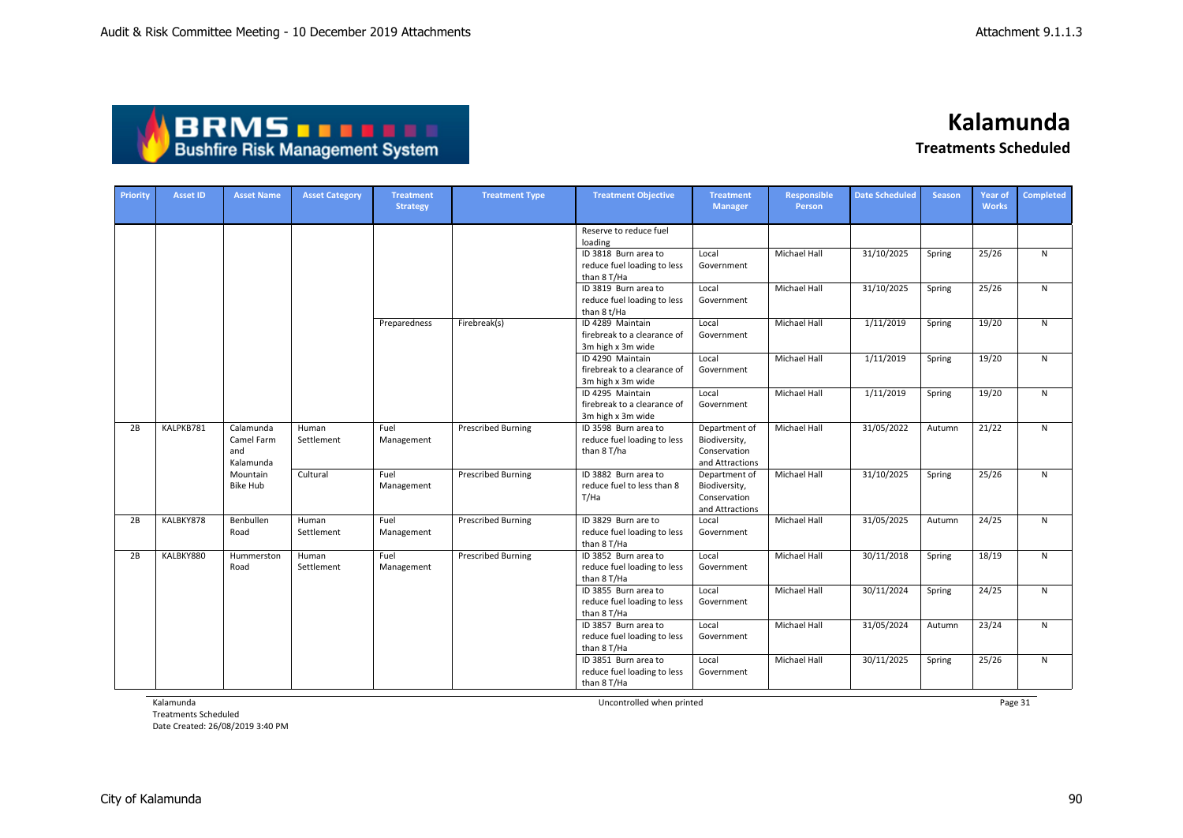

**Kalamunda**

**Treatments Scheduled**

| Priority | <b>Asset ID</b> | <b>Asset Name</b>                           | <b>Asset Category</b> | <b>Treatment</b><br><b>Strategy</b> | <b>Treatment Type</b>     | <b>Treatment Objective</b>                                           | <b>Treatment</b><br><b>Manager</b>                                | <b>Responsible</b><br>Person | <b>Date Scheduled</b> | <b>Season</b> | Year of<br><b>Works</b> | Completed    |
|----------|-----------------|---------------------------------------------|-----------------------|-------------------------------------|---------------------------|----------------------------------------------------------------------|-------------------------------------------------------------------|------------------------------|-----------------------|---------------|-------------------------|--------------|
|          |                 |                                             |                       |                                     |                           | Reserve to reduce fuel<br>loading                                    |                                                                   |                              |                       |               |                         |              |
|          |                 |                                             |                       |                                     |                           | ID 3818 Burn area to<br>reduce fuel loading to less<br>than 8 T/Ha   | Local<br>Government                                               | Michael Hall                 | 31/10/2025            | Spring        | 25/26                   | N            |
|          |                 |                                             |                       |                                     |                           | ID 3819 Burn area to<br>reduce fuel loading to less<br>than 8 t/Ha   | Local<br>Government                                               | Michael Hall                 | 31/10/2025            | Spring        | 25/26                   | ${\sf N}$    |
|          |                 |                                             |                       | Preparedness                        | Firebreak(s)              | ID 4289 Maintain<br>firebreak to a clearance of<br>3m high x 3m wide | Local<br>Government                                               | <b>Michael Hall</b>          | 1/11/2019             | Spring        | 19/20                   | N            |
|          |                 |                                             |                       |                                     |                           | ID 4290 Maintain<br>firebreak to a clearance of<br>3m high x 3m wide | Local<br>Government                                               | Michael Hall                 | 1/11/2019             | Spring        | 19/20                   | N            |
|          |                 |                                             |                       |                                     |                           | ID 4295 Maintain<br>firebreak to a clearance of<br>3m high x 3m wide | Local<br>Government                                               | Michael Hall                 | 1/11/2019             | Spring        | 19/20                   | $\mathsf{N}$ |
| 2B       | KALPKB781       | Calamunda<br>Camel Farm<br>and<br>Kalamunda | Human<br>Settlement   | Fuel<br>Management                  | <b>Prescribed Burning</b> | ID 3598 Burn area to<br>reduce fuel loading to less<br>than 8 T/ha   | Department of<br>Biodiversity,<br>Conservation<br>and Attractions | Michael Hall                 | 31/05/2022            | Autumn        | 21/22                   | ${\sf N}$    |
|          |                 | Mountain<br>Bike Hub                        | Cultural              | Fuel<br>Management                  | <b>Prescribed Burning</b> | ID 3882 Burn area to<br>reduce fuel to less than 8<br>T/Ha           | Department of<br>Biodiversity,<br>Conservation<br>and Attractions | Michael Hall                 | 31/10/2025            | Spring        | 25/26                   | $\mathsf{N}$ |
| 2B       | KALBKY878       | Benbullen<br>Road                           | Human<br>Settlement   | Fuel<br>Management                  | <b>Prescribed Burning</b> | ID 3829 Burn are to<br>reduce fuel loading to less<br>than 8 T/Ha    | Local<br>Government                                               | Michael Hall                 | 31/05/2025            | Autumn        | 24/25                   | $\mathsf{N}$ |
| 2B       | KALBKY880       | Hummerston<br>Road                          | Human<br>Settlement   | Fuel<br>Management                  | <b>Prescribed Burning</b> | ID 3852 Burn area to<br>reduce fuel loading to less<br>than 8 T/Ha   | Local<br>Government                                               | Michael Hall                 | 30/11/2018            | Spring        | 18/19                   | ${\sf N}$    |
|          |                 |                                             |                       |                                     |                           | ID 3855 Burn area to<br>reduce fuel loading to less<br>than 8 T/Ha   | Local<br>Government                                               | <b>Michael Hall</b>          | 30/11/2024            | Spring        | 24/25                   | $\mathsf{N}$ |
|          |                 |                                             |                       |                                     |                           | ID 3857 Burn area to<br>reduce fuel loading to less<br>than 8 T/Ha   | Local<br>Government                                               | Michael Hall                 | 31/05/2024            | Autumn        | 23/24                   | ${\sf N}$    |
|          |                 |                                             |                       |                                     |                           | ID 3851 Burn area to<br>reduce fuel loading to less<br>than 8 T/Ha   | Local<br>Government                                               | <b>Michael Hall</b>          | 30/11/2025            | Spring        | 25/26                   | $\mathsf{N}$ |

Kalamunda

Treatments Scheduled Date Created: 26/08/2019 3:40 PM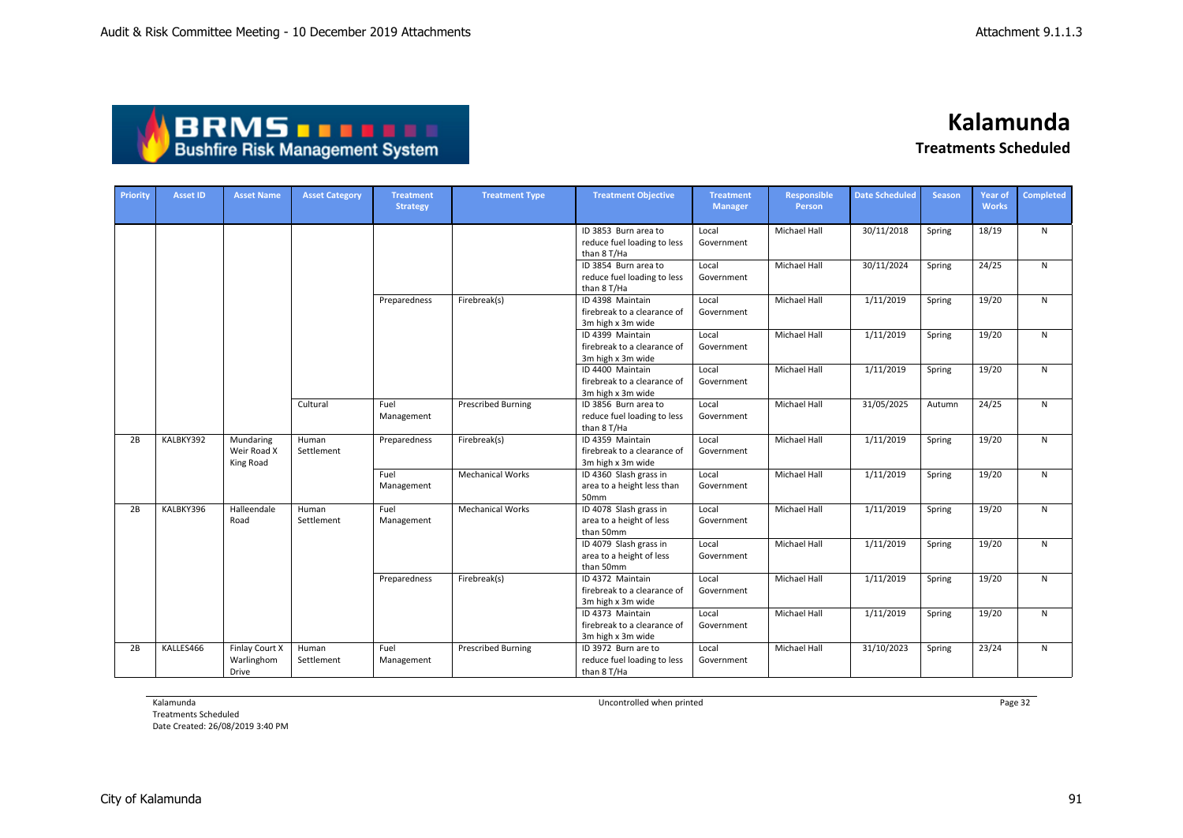| <b>ABRMS THEFT</b>                     |
|----------------------------------------|
| <b>Bushfire Risk Management System</b> |

| <b>Priority</b> | <b>Asset ID</b> | <b>Asset Name</b>                     | <b>Asset Category</b> | <b>Treatment</b><br><b>Strategy</b> | <b>Treatment Type</b>     | <b>Treatment Objective</b>                                           | <b>Treatment</b><br><b>Manager</b> | <b>Responsible</b><br>Person | <b>Date Scheduled</b> | <b>Season</b> | <b>Year of</b><br><b>Works</b> | <b>Completed</b> |
|-----------------|-----------------|---------------------------------------|-----------------------|-------------------------------------|---------------------------|----------------------------------------------------------------------|------------------------------------|------------------------------|-----------------------|---------------|--------------------------------|------------------|
|                 |                 |                                       |                       |                                     |                           | ID 3853 Burn area to<br>reduce fuel loading to less<br>than 8 T/Ha   | Local<br>Government                | <b>Michael Hall</b>          | 30/11/2018            | Spring        | 18/19                          | N                |
|                 |                 |                                       |                       |                                     |                           | ID 3854 Burn area to<br>reduce fuel loading to less<br>than 8 T/Ha   | Local<br>Government                | Michael Hall                 | 30/11/2024            | Spring        | 24/25                          | N                |
|                 |                 |                                       |                       | Preparedness                        | Firebreak(s)              | ID 4398 Maintain<br>firebreak to a clearance of<br>3m high x 3m wide | Local<br>Government                | Michael Hall                 | 1/11/2019             | Spring        | 19/20                          | N                |
|                 |                 |                                       |                       |                                     |                           | ID 4399 Maintain<br>firebreak to a clearance of<br>3m high x 3m wide | Local<br>Government                | Michael Hall                 | 1/11/2019             | Spring        | 19/20                          | N                |
|                 |                 |                                       |                       |                                     |                           | ID 4400 Maintain<br>firebreak to a clearance of<br>3m high x 3m wide | Local<br>Government                | Michael Hall                 | 1/11/2019             | Spring        | 19/20                          | N                |
|                 |                 |                                       | Cultural              | Fuel<br>Management                  | <b>Prescribed Burning</b> | ID 3856 Burn area to<br>reduce fuel loading to less<br>than 8 T/Ha   | Local<br>Government                | Michael Hall                 | 31/05/2025            | Autumn        | 24/25                          | N                |
| 2B              | KALBKY392       | Mundaring<br>Weir Road X<br>King Road | Human<br>Settlement   | Preparedness                        | Firebreak(s)              | ID 4359 Maintain<br>firebreak to a clearance of<br>3m high x 3m wide | Local<br>Government                | Michael Hall                 | 1/11/2019             | Spring        | 19/20                          | N                |
|                 |                 |                                       |                       | Fuel<br>Management                  | <b>Mechanical Works</b>   | ID 4360 Slash grass in<br>area to a height less than<br>50mm         | Local<br>Government                | Michael Hall                 | 1/11/2019             | Spring        | 19/20                          | N                |
| 2B              | KALBKY396       | Halleendale<br>Road                   | Human<br>Settlement   | Fuel<br>Management                  | <b>Mechanical Works</b>   | ID 4078 Slash grass in<br>area to a height of less<br>than 50mm      | Local<br>Government                | Michael Hall                 | 1/11/2019             | Spring        | 19/20                          | N                |
|                 |                 |                                       |                       |                                     |                           | ID 4079 Slash grass in<br>area to a height of less<br>than 50mm      | Local<br>Government                | Michael Hall                 | 1/11/2019             | Spring        | 19/20                          | N                |
|                 |                 |                                       |                       | Preparedness                        | Firebreak(s)              | ID 4372 Maintain<br>firebreak to a clearance of<br>3m high x 3m wide | Local<br>Government                | Michael Hall                 | 1/11/2019             | Spring        | 19/20                          | N                |
|                 |                 |                                       |                       |                                     |                           | ID 4373 Maintain<br>firebreak to a clearance of<br>3m high x 3m wide | Local<br>Government                | Michael Hall                 | 1/11/2019             | Spring        | 19/20                          | N                |
| 2B              | KALLES466       | Finlay Court X<br>Warlinghom<br>Drive | Human<br>Settlement   | Fuel<br>Management                  | <b>Prescribed Burning</b> | ID 3972 Burn are to<br>reduce fuel loading to less<br>than 8 T/Ha    | Local<br>Government                | <b>Michael Hall</b>          | 31/10/2023            | Spring        | 23/24                          | N                |

Kalamunda

Treatments Scheduled Date Created: 26/08/2019 3:40 PM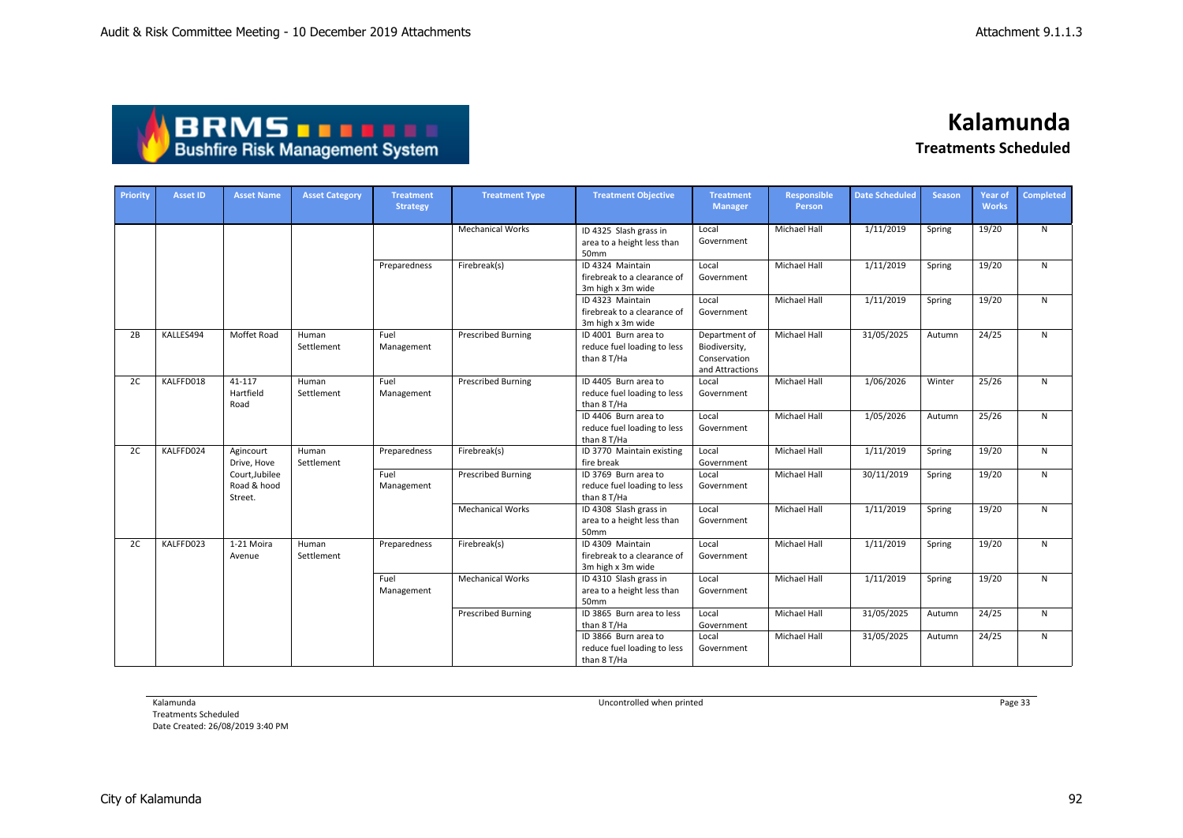| <b>ABRMS THEFT</b>                     |
|----------------------------------------|
| <b>Bushfire Risk Management System</b> |

| <b>Priority</b> | <b>Asset ID</b> | <b>Asset Name</b>                        | <b>Asset Category</b> | <b>Treatment</b><br><b>Strategy</b> | <b>Treatment Type</b>     | <b>Treatment Objective</b>                                           | <b>Treatment</b><br><b>Manager</b>                                | <b>Responsible</b><br>Person | <b>Date Scheduled</b> | <b>Season</b> | Year of<br><b>Works</b> | <b>Completed</b> |
|-----------------|-----------------|------------------------------------------|-----------------------|-------------------------------------|---------------------------|----------------------------------------------------------------------|-------------------------------------------------------------------|------------------------------|-----------------------|---------------|-------------------------|------------------|
|                 |                 |                                          |                       |                                     | <b>Mechanical Works</b>   | ID 4325 Slash grass in<br>area to a height less than<br>50mm         | Local<br>Government                                               | <b>Michael Hall</b>          | 1/11/2019             | Spring        | 19/20                   | $\mathsf{N}$     |
|                 |                 |                                          |                       | Preparedness                        | Firebreak(s)              | ID 4324 Maintain<br>firebreak to a clearance of<br>3m high x 3m wide | Local<br>Government                                               | Michael Hall                 | 1/11/2019             | Spring        | 19/20                   | N                |
|                 |                 |                                          |                       |                                     |                           | ID 4323 Maintain<br>firebreak to a clearance of<br>3m high x 3m wide | Local<br>Government                                               | Michael Hall                 | 1/11/2019             | Spring        | 19/20                   | $\mathsf{N}$     |
| 2B              | KALLES494       | Moffet Road                              | Human<br>Settlement   | Fuel<br>Management                  | <b>Prescribed Burning</b> | ID 4001 Burn area to<br>reduce fuel loading to less<br>than 8 T/Ha   | Department of<br>Biodiversity,<br>Conservation<br>and Attractions | Michael Hall                 | 31/05/2025            | Autumn        | 24/25                   | N                |
| 2C              | KALFFD018       | 41-117<br>Hartfield<br>Road              | Human<br>Settlement   | Fuel<br>Management                  | <b>Prescribed Burning</b> | ID 4405 Burn area to<br>reduce fuel loading to less<br>than 8 T/Ha   | Local<br>Government                                               | <b>Michael Hall</b>          | 1/06/2026             | Winter        | 25/26                   | N                |
|                 |                 |                                          |                       |                                     |                           | ID 4406 Burn area to<br>reduce fuel loading to less<br>than 8 T/Ha   | Local<br>Government                                               | Michael Hall                 | 1/05/2026             | Autumn        | 25/26                   | N                |
| 2C              | KALFFD024       | Agincourt<br>Drive. Hove                 | Human<br>Settlement   | Preparedness                        | Firebreak(s)              | ID 3770 Maintain existing<br>fire break                              | Local<br>Government                                               | Michael Hall                 | 1/11/2019             | Spring        | 19/20                   | $\mathsf{N}$     |
|                 |                 | Court, Jubilee<br>Road & hood<br>Street. |                       | Fuel<br>Management                  | <b>Prescribed Burning</b> | ID 3769 Burn area to<br>reduce fuel loading to less<br>than 8 T/Ha   | Local<br>Government                                               | Michael Hall                 | 30/11/2019            | Spring        | 19/20                   | $\mathsf{N}$     |
|                 |                 |                                          |                       |                                     | <b>Mechanical Works</b>   | ID 4308 Slash grass in<br>area to a height less than<br>50mm         | Local<br>Government                                               | <b>Michael Hall</b>          | 1/11/2019             | Spring        | 19/20                   | N                |
| 2C              | KALFFD023       | 1-21 Moira<br>Avenue                     | Human<br>Settlement   | Preparedness                        | Firebreak(s)              | ID 4309 Maintain<br>firebreak to a clearance of<br>3m high x 3m wide | Local<br>Government                                               | Michael Hall                 | 1/11/2019             | Spring        | 19/20                   | $\mathsf{N}$     |
|                 |                 |                                          |                       | Fuel<br>Management                  | <b>Mechanical Works</b>   | ID 4310 Slash grass in<br>area to a height less than<br>50mm         | Local<br>Government                                               | <b>Michael Hall</b>          | 1/11/2019             | Spring        | 19/20                   | $\mathsf{N}$     |
|                 |                 |                                          |                       |                                     | <b>Prescribed Burning</b> | ID 3865 Burn area to less<br>than 8 T/Ha                             | Local<br>Government                                               | <b>Michael Hall</b>          | 31/05/2025            | Autumn        | 24/25                   | $\mathsf{N}$     |
|                 |                 |                                          |                       |                                     |                           | ID 3866 Burn area to<br>reduce fuel loading to less<br>than 8 T/Ha   | Local<br>Government                                               | <b>Michael Hall</b>          | 31/05/2025            | Autumn        | 24/25                   | $\mathsf{N}$     |

Kalamunda

Treatments Scheduled Date Created: 26/08/2019 3:40 PM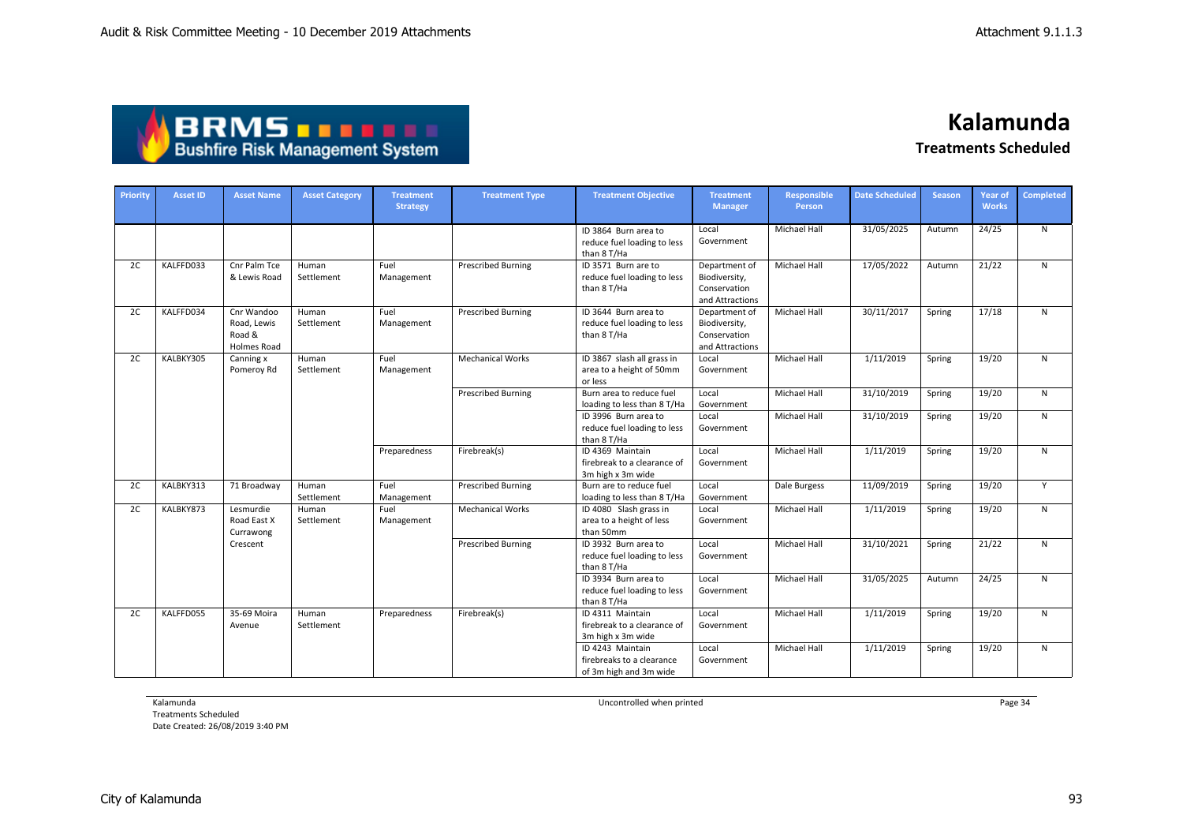| <b>ABRMS THEFE</b>                     |
|----------------------------------------|
| <b>Bushfire Risk Management System</b> |

| Priority | <b>Asset ID</b> | <b>Asset Name</b>                                  | <b>Asset Category</b> | <b>Treatment</b><br><b>Strategy</b> | <b>Treatment Type</b>     | <b>Treatment Objective</b>                                              | <b>Treatment</b><br><b>Manager</b>                                | <b>Responsible</b><br>Person | <b>Date Scheduled</b> | <b>Season</b> | <b>Year of</b><br><b>Works</b> | <b>Completed</b> |
|----------|-----------------|----------------------------------------------------|-----------------------|-------------------------------------|---------------------------|-------------------------------------------------------------------------|-------------------------------------------------------------------|------------------------------|-----------------------|---------------|--------------------------------|------------------|
|          |                 |                                                    |                       |                                     |                           | ID 3864 Burn area to<br>reduce fuel loading to less<br>than 8 T/Ha      | Local<br>Government                                               | <b>Michael Hall</b>          | 31/05/2025            | Autumn        | 24/25                          | $\mathsf{N}$     |
| 2C       | KALFFD033       | Cnr Palm Tce<br>& Lewis Road                       | Human<br>Settlement   | Fuel<br>Management                  | <b>Prescribed Burning</b> | ID 3571 Burn are to<br>reduce fuel loading to less<br>than 8 T/Ha       | Department of<br>Biodiversity,<br>Conservation<br>and Attractions | <b>Michael Hall</b>          | 17/05/2022            | Autumn        | 21/22                          | $\mathsf{N}$     |
| 2C       | KALFFD034       | Cnr Wandoo<br>Road, Lewis<br>Road &<br>Holmes Road | Human<br>Settlement   | Fuel<br>Management                  | <b>Prescribed Burning</b> | ID 3644 Burn area to<br>reduce fuel loading to less<br>than 8 T/Ha      | Department of<br>Biodiversity,<br>Conservation<br>and Attractions | Michael Hall                 | 30/11/2017            | Spring        | 17/18                          | N                |
| 2C       | KALBKY305       | Canning x<br>Pomeroy Rd                            | Human<br>Settlement   | Fuel<br>Management                  | <b>Mechanical Works</b>   | ID 3867 slash all grass in<br>area to a height of 50mm<br>or less       | Local<br>Government                                               | <b>Michael Hall</b>          | 1/11/2019             | Spring        | 19/20                          | N                |
|          |                 |                                                    |                       |                                     | <b>Prescribed Burning</b> | Burn area to reduce fuel<br>loading to less than 8 T/Ha                 | Local<br>Government                                               | Michael Hall                 | 31/10/2019            | Spring        | 19/20                          | $\mathsf{N}$     |
|          |                 |                                                    |                       |                                     |                           | ID 3996 Burn area to<br>reduce fuel loading to less<br>than 8 T/Ha      | Local<br>Government                                               | Michael Hall                 | 31/10/2019            | Spring        | 19/20                          | $\mathsf{N}$     |
|          |                 |                                                    |                       | Preparedness                        | Firebreak(s)              | ID 4369 Maintain<br>firebreak to a clearance of<br>3m high x 3m wide    | Local<br>Government                                               | <b>Michael Hall</b>          | 1/11/2019             | Spring        | 19/20                          | N                |
| 2C       | KALBKY313       | 71 Broadway                                        | Human<br>Settlement   | Fuel<br>Management                  | <b>Prescribed Burning</b> | Burn are to reduce fuel<br>loading to less than 8 T/Ha                  | Local<br>Government                                               | Dale Burgess                 | 11/09/2019            | Spring        | 19/20                          | Y                |
| 2C       | KALBKY873       | Lesmurdie<br>Road East X<br>Currawong              | Human<br>Settlement   | Fuel<br>Management                  | <b>Mechanical Works</b>   | ID 4080 Slash grass in<br>area to a height of less<br>than 50mm         | Local<br>Government                                               | Michael Hall                 | 1/11/2019             | Spring        | 19/20                          | $\mathsf{N}$     |
|          |                 | Crescent                                           |                       |                                     | <b>Prescribed Burning</b> | ID 3932 Burn area to<br>reduce fuel loading to less<br>than 8 T/Ha      | Local<br>Government                                               | <b>Michael Hall</b>          | 31/10/2021            | Spring        | 21/22                          | $\mathsf{N}$     |
|          |                 |                                                    |                       |                                     |                           | ID 3934 Burn area to<br>reduce fuel loading to less<br>than 8 T/Ha      | Local<br>Government                                               | Michael Hall                 | 31/05/2025            | Autumn        | 24/25                          | ${\sf N}$        |
| 2C       | KALFFD055       | 35-69 Moira<br>Avenue                              | Human<br>Settlement   | Preparedness                        | Firebreak(s)              | ID 4311 Maintain<br>firebreak to a clearance of<br>3m high x 3m wide    | Local<br>Government                                               | <b>Michael Hall</b>          | 1/11/2019             | Spring        | 19/20                          | $\mathsf{N}$     |
|          |                 |                                                    |                       |                                     |                           | ID 4243 Maintain<br>firebreaks to a clearance<br>of 3m high and 3m wide | Local<br>Government                                               | <b>Michael Hall</b>          | 1/11/2019             | Spring        | 19/20                          | $\mathsf{N}$     |

Kalamunda

Treatments Scheduled Date Created: 26/08/2019 3:40 PM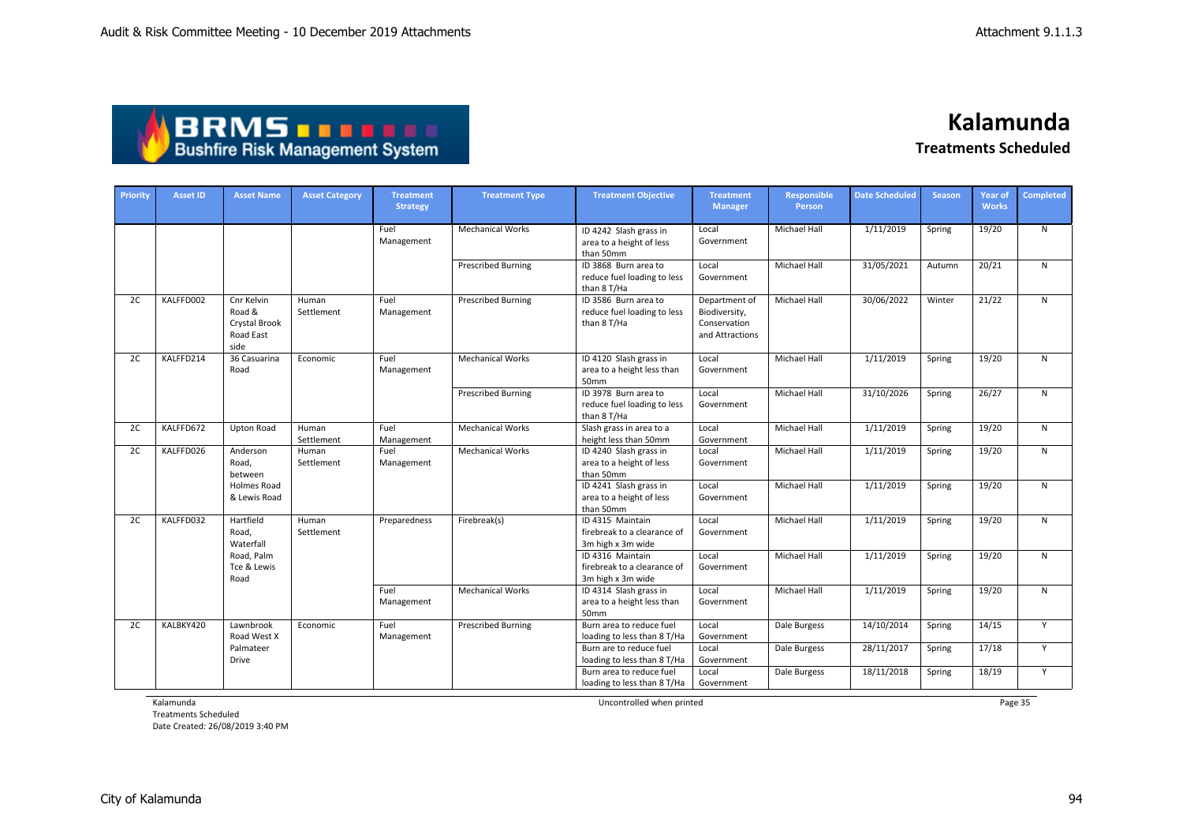| <b>ABRMS THEFT</b>                     |
|----------------------------------------|
| <b>Bushfire Risk Management System</b> |

| Priority | Asset ID  | <b>Asset Name</b>                                          | <b>Asset Category</b> | <b>Treatment</b><br><b>Strategy</b> | <b>Treatment Type</b>     | <b>Treatment Objective</b>                                           | <b>Treatment</b><br><b>Manager</b>                                | <b>Responsible</b><br>Person | <b>Date Scheduled</b> | <b>Season</b> | Year of<br><b>Works</b> | <b>Completed</b> |
|----------|-----------|------------------------------------------------------------|-----------------------|-------------------------------------|---------------------------|----------------------------------------------------------------------|-------------------------------------------------------------------|------------------------------|-----------------------|---------------|-------------------------|------------------|
|          |           |                                                            |                       | Fuel<br>Management                  | <b>Mechanical Works</b>   | ID 4242 Slash grass in<br>area to a height of less<br>than 50mm      | Local<br>Government                                               | Michael Hall                 | 1/11/2019             | Spring        | 19/20                   | N                |
|          |           |                                                            |                       |                                     | <b>Prescribed Burning</b> | ID 3868 Burn area to<br>reduce fuel loading to less<br>than 8 T/Ha   | Local<br>Government                                               | Michael Hall                 | 31/05/2021            | Autumn        | 20/21                   | N                |
| 2C       | KALFFD002 | Cnr Kelvin<br>Road &<br>Crystal Brook<br>Road East<br>side | Human<br>Settlement   | Fuel<br>Management                  | <b>Prescribed Burning</b> | ID 3586 Burn area to<br>reduce fuel loading to less<br>than 8 T/Ha   | Department of<br>Biodiversity,<br>Conservation<br>and Attractions | Michael Hall                 | 30/06/2022            | Winter        | 21/22                   | N                |
| 2C       | KALFFD214 | 36 Casuarina<br>Road                                       | Economic              | Fuel<br>Management                  | <b>Mechanical Works</b>   | ID 4120 Slash grass in<br>area to a height less than<br>50mm         | Local<br>Government                                               | <b>Michael Hall</b>          | 1/11/2019             | Spring        | 19/20                   | $\mathsf{N}$     |
|          |           |                                                            |                       |                                     | <b>Prescribed Burning</b> | ID 3978 Burn area to<br>reduce fuel loading to less<br>than 8 T/Ha   | Local<br>Government                                               | Michael Hall                 | 31/10/2026            | Spring        | 26/27                   | N                |
| 2C       | KALFFD672 | Upton Road                                                 | Human<br>Settlement   | Fuel<br>Management                  | <b>Mechanical Works</b>   | Slash grass in area to a<br>height less than 50mm                    | Local<br>Government                                               | Michael Hall                 | 1/11/2019             | Spring        | 19/20                   | N                |
| 2C       | KALFFD026 | Anderson<br>Road,<br>between                               | Human<br>Settlement   | Fuel<br>Management                  | <b>Mechanical Works</b>   | ID 4240 Slash grass in<br>area to a height of less<br>than 50mm      | Local<br>Government                                               | Michael Hall                 | 1/11/2019             | Spring        | 19/20                   | ${\sf N}$        |
|          |           | Holmes Road<br>& Lewis Road                                |                       |                                     |                           | ID 4241 Slash grass in<br>area to a height of less<br>than 50mm      | Local<br>Government                                               | <b>Michael Hall</b>          | 1/11/2019             | Spring        | 19/20                   | N                |
| 2C       | KALFFD032 | Hartfield<br>Road.<br>Waterfall                            | Human<br>Settlement   | Preparedness                        | Firebreak(s)              | ID 4315 Maintain<br>firebreak to a clearance of<br>3m high x 3m wide | Local<br>Government                                               | Michael Hall                 | 1/11/2019             | Spring        | 19/20                   | N                |
|          |           | Road, Palm<br>Tce & Lewis<br>Road                          |                       |                                     |                           | ID 4316 Maintain<br>firebreak to a clearance of<br>3m high x 3m wide | Local<br>Government                                               | Michael Hall                 | 1/11/2019             | Spring        | 19/20                   | N                |
|          |           |                                                            |                       | Fuel<br>Management                  | <b>Mechanical Works</b>   | ID 4314 Slash grass in<br>area to a height less than<br>50mm         | Local<br>Government                                               | <b>Michael Hall</b>          | 1/11/2019             | Spring        | 19/20                   | $\mathsf{N}$     |
| 2C       | KALBKY420 | Lawnbrook<br>Road West X                                   | Economic              | Fuel<br>Management                  | <b>Prescribed Burning</b> | Burn area to reduce fuel<br>loading to less than 8 T/Ha              | Local<br>Government                                               | Dale Burgess                 | 14/10/2014            | Spring        | 14/15                   | Y                |
|          |           | Palmateer<br><b>Drive</b>                                  |                       |                                     |                           | Burn are to reduce fuel<br>loading to less than 8 T/Ha               | Local<br>Government                                               | Dale Burgess                 | 28/11/2017            | Spring        | 17/18                   | Y                |
|          |           |                                                            |                       |                                     |                           | Burn area to reduce fuel<br>loading to less than 8 T/Ha              | Local<br>Government                                               | Dale Burgess                 | 18/11/2018            | Spring        | 18/19                   | Y                |

Kalamunda

Treatments Scheduled Date Created: 26/08/2019 3:40 PM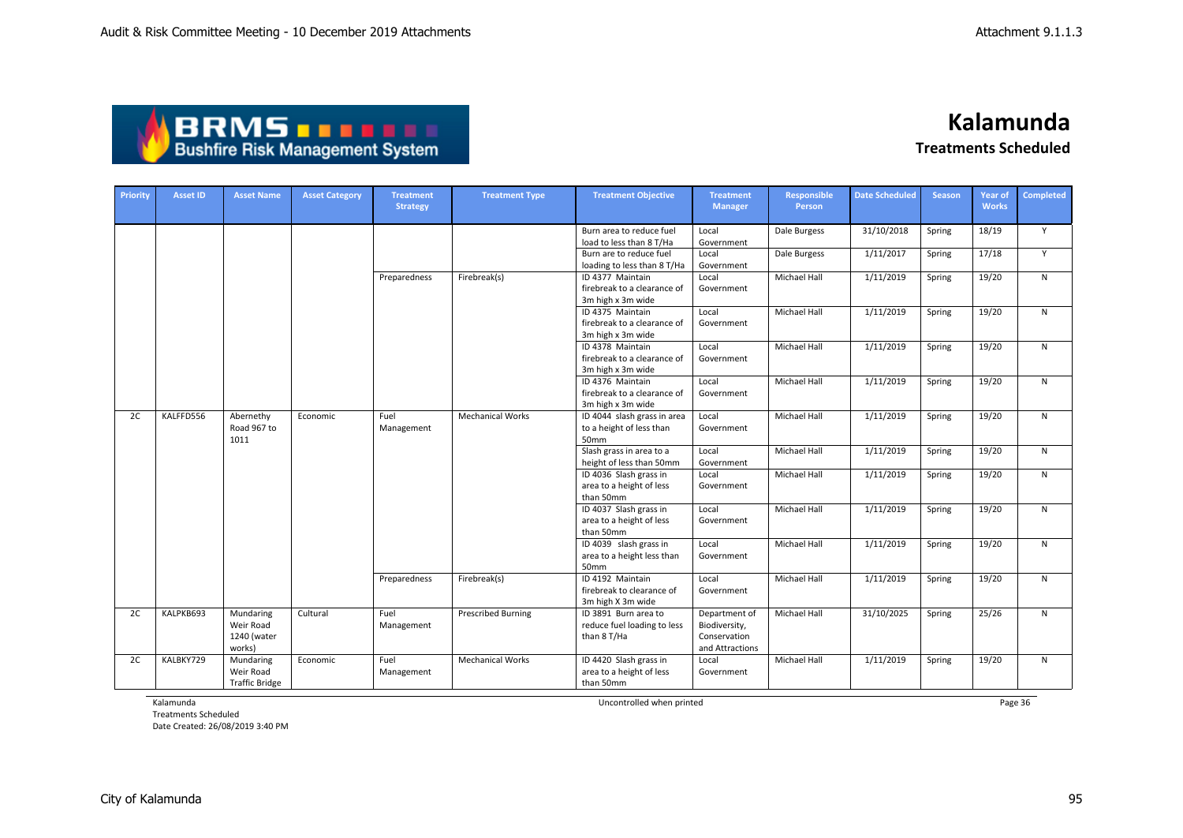

| Priority | <b>Asset ID</b> | <b>Asset Name</b>                               | <b>Asset Category</b> | <b>Treatment</b><br><b>Strategy</b> | <b>Treatment Type</b>     | <b>Treatment Objective</b>                                           | <b>Treatment</b><br><b>Manager</b>                                | Responsible<br>Person | <b>Date Scheduled</b> | <b>Season</b> | <b>Year of</b><br><b>Works</b> | Completed |
|----------|-----------------|-------------------------------------------------|-----------------------|-------------------------------------|---------------------------|----------------------------------------------------------------------|-------------------------------------------------------------------|-----------------------|-----------------------|---------------|--------------------------------|-----------|
|          |                 |                                                 |                       |                                     |                           | Burn area to reduce fuel<br>load to less than 8 T/Ha                 | Local<br>Government                                               | Dale Burgess          | 31/10/2018            | Spring        | 18/19                          | Υ         |
|          |                 |                                                 |                       |                                     |                           | Burn are to reduce fuel<br>loading to less than 8 T/Ha               | Local<br>Government                                               | Dale Burgess          | 1/11/2017             | Spring        | 17/18                          | Y         |
|          |                 |                                                 |                       | Preparedness                        | Firebreak(s)              | ID 4377 Maintain<br>firebreak to a clearance of<br>3m high x 3m wide | Local<br>Government                                               | Michael Hall          | 1/11/2019             | Spring        | 19/20                          | ${\sf N}$ |
|          |                 |                                                 |                       |                                     |                           | ID 4375 Maintain<br>firebreak to a clearance of<br>3m high x 3m wide | Local<br>Government                                               | Michael Hall          | 1/11/2019             | Spring        | 19/20                          | ${\sf N}$ |
|          |                 |                                                 |                       |                                     |                           | ID 4378 Maintain<br>firebreak to a clearance of<br>3m high x 3m wide | Local<br>Government                                               | Michael Hall          | 1/11/2019             | Spring        | 19/20                          | ${\sf N}$ |
|          |                 |                                                 |                       |                                     |                           | ID 4376 Maintain<br>firebreak to a clearance of<br>3m high x 3m wide | Local<br>Government                                               | Michael Hall          | 1/11/2019             | Spring        | 19/20                          | ${\sf N}$ |
| 2C       | KALFFD556       | Abernethy<br>Road 967 to<br>1011                | Economic              | Fuel<br>Management                  | <b>Mechanical Works</b>   | ID 4044 slash grass in area<br>to a height of less than<br>50mm      | Local<br>Government                                               | Michael Hall          | 1/11/2019             | Spring        | 19/20                          | ${\sf N}$ |
|          |                 |                                                 |                       |                                     |                           | Slash grass in area to a<br>height of less than 50mm                 | Local<br>Government                                               | Michael Hall          | 1/11/2019             | Spring        | 19/20                          | ${\sf N}$ |
|          |                 |                                                 |                       |                                     |                           | ID 4036 Slash grass in<br>area to a height of less<br>than 50mm      | Local<br>Government                                               | Michael Hall          | 1/11/2019             | Spring        | 19/20                          | ${\sf N}$ |
|          |                 |                                                 |                       |                                     |                           | ID 4037 Slash grass in<br>area to a height of less<br>than 50mm      | Local<br>Government                                               | Michael Hall          | 1/11/2019             | Spring        | 19/20                          | ${\sf N}$ |
|          |                 |                                                 |                       |                                     |                           | ID 4039 slash grass in<br>area to a height less than<br>50mm         | Local<br>Government                                               | Michael Hall          | 1/11/2019             | Spring        | 19/20                          | ${\sf N}$ |
|          |                 |                                                 |                       | Preparedness                        | Firebreak(s)              | ID 4192 Maintain<br>firebreak to clearance of<br>3m high X 3m wide   | Local<br>Government                                               | Michael Hall          | 1/11/2019             | Spring        | 19/20                          | ${\sf N}$ |
| 2C       | KALPKB693       | Mundaring<br>Weir Road<br>1240 (water<br>works) | Cultural              | Fuel<br>Management                  | <b>Prescribed Burning</b> | ID 3891 Burn area to<br>reduce fuel loading to less<br>than 8 T/Ha   | Department of<br>Biodiversity,<br>Conservation<br>and Attractions | <b>Michael Hall</b>   | 31/10/2025            | Spring        | 25/26                          | N         |
| 2C       | KALBKY729       | Mundaring<br>Weir Road<br><b>Traffic Bridge</b> | Economic              | Fuel<br>Management                  | <b>Mechanical Works</b>   | ID 4420 Slash grass in<br>area to a height of less<br>than 50mm      | Local<br>Government                                               | Michael Hall          | 1/11/2019             | Spring        | 19/20                          | ${\sf N}$ |

Kalamunda

Treatments Scheduled Date Created: 26/08/2019 3:40 PM Uncontrolled when printed **Page 36** Page 36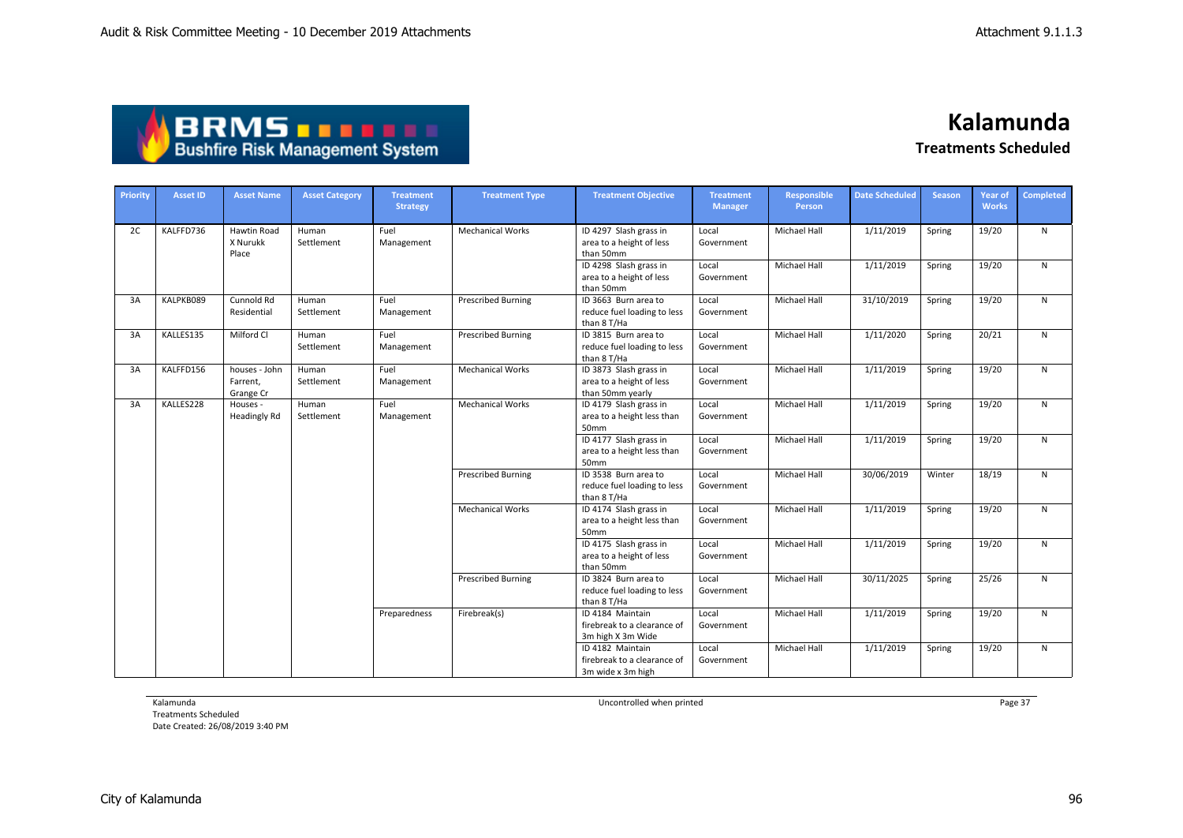| ABRMS                                  |  |
|----------------------------------------|--|
| <b>Bushfire Risk Management System</b> |  |

| Priority | <b>Asset ID</b> | <b>Asset Name</b>                      | <b>Asset Category</b> | <b>Treatment</b><br><b>Strategy</b> | <b>Treatment Type</b>     | <b>Treatment Objective</b>                                             | <b>Treatment</b><br><b>Manager</b> | <b>Responsible</b><br><b>Person</b> | <b>Date Scheduled</b> | <b>Season</b> | <b>Year of</b><br><b>Works</b> | <b>Completed</b> |
|----------|-----------------|----------------------------------------|-----------------------|-------------------------------------|---------------------------|------------------------------------------------------------------------|------------------------------------|-------------------------------------|-----------------------|---------------|--------------------------------|------------------|
| 2C       | KALFFD736       | Hawtin Road<br>X Nurukk<br>Place       | Human<br>Settlement   | Fuel<br>Management                  | <b>Mechanical Works</b>   | ID 4297 Slash grass in<br>area to a height of less<br>than 50mm        | Local<br>Government                | Michael Hall                        | 1/11/2019             | Spring        | 19/20                          | N                |
|          |                 |                                        |                       |                                     |                           | ID 4298 Slash grass in<br>area to a height of less<br>than 50mm        | Local<br>Government                | Michael Hall                        | 1/11/2019             | Spring        | 19/20                          | N                |
| 3A       | KALPKB089       | Cunnold Rd<br>Residential              | Human<br>Settlement   | Fuel<br>Management                  | <b>Prescribed Burning</b> | ID 3663 Burn area to<br>reduce fuel loading to less<br>than 8 T/Ha     | Local<br>Government                | Michael Hall                        | 31/10/2019            | Spring        | 19/20                          | N                |
| 3A       | KALLES135       | Milford Cl                             | Human<br>Settlement   | Fuel<br>Management                  | <b>Prescribed Burning</b> | ID 3815 Burn area to<br>reduce fuel loading to less<br>than 8 T/Ha     | Local<br>Government                | Michael Hall                        | 1/11/2020             | Spring        | 20/21                          | N                |
| 3A       | KALFFD156       | houses - John<br>Farrent,<br>Grange Cr | Human<br>Settlement   | Fuel<br>Management                  | <b>Mechanical Works</b>   | ID 3873 Slash grass in<br>area to a height of less<br>than 50mm yearly | Local<br>Government                | Michael Hall                        | 1/11/2019             | Spring        | 19/20                          | N                |
| 3A       | KALLES228       | Houses -<br><b>Headingly Rd</b>        | Human<br>Settlement   | Fuel<br>Management                  | <b>Mechanical Works</b>   | ID 4179 Slash grass in<br>area to a height less than<br>50mm           | Local<br>Government                | <b>Michael Hall</b>                 | 1/11/2019             | Spring        | 19/20                          | N                |
|          |                 |                                        |                       |                                     |                           | ID 4177 Slash grass in<br>area to a height less than<br>50mm           | Local<br>Government                | <b>Michael Hall</b>                 | 1/11/2019             | Spring        | 19/20                          | N                |
|          |                 |                                        |                       |                                     | <b>Prescribed Burning</b> | ID 3538 Burn area to<br>reduce fuel loading to less<br>than 8 T/Ha     | Local<br>Government                | Michael Hall                        | 30/06/2019            | Winter        | 18/19                          | N                |
|          |                 |                                        |                       |                                     | <b>Mechanical Works</b>   | ID 4174 Slash grass in<br>area to a height less than<br>50mm           | Local<br>Government                | <b>Michael Hall</b>                 | 1/11/2019             | Spring        | 19/20                          | N                |
|          |                 |                                        |                       |                                     |                           | ID 4175 Slash grass in<br>area to a height of less<br>than 50mm        | Local<br>Government                | Michael Hall                        | 1/11/2019             | Spring        | 19/20                          | N                |
|          |                 |                                        |                       |                                     | <b>Prescribed Burning</b> | ID 3824 Burn area to<br>reduce fuel loading to less<br>than 8 T/Ha     | Local<br>Government                | Michael Hall                        | 30/11/2025            | Spring        | 25/26                          | N                |
|          |                 |                                        |                       | Preparedness                        | Firebreak(s)              | ID 4184 Maintain<br>firebreak to a clearance of<br>3m high X 3m Wide   | Local<br>Government                | <b>Michael Hall</b>                 | 1/11/2019             | Spring        | 19/20                          | N                |
|          |                 |                                        |                       |                                     |                           | ID 4182 Maintain<br>firebreak to a clearance of<br>3m wide x 3m high   | Local<br>Government                | <b>Michael Hall</b>                 | 1/11/2019             | Spring        | 19/20                          | N                |

Kalamunda

Treatments Scheduled Date Created: 26/08/2019 3:40 PM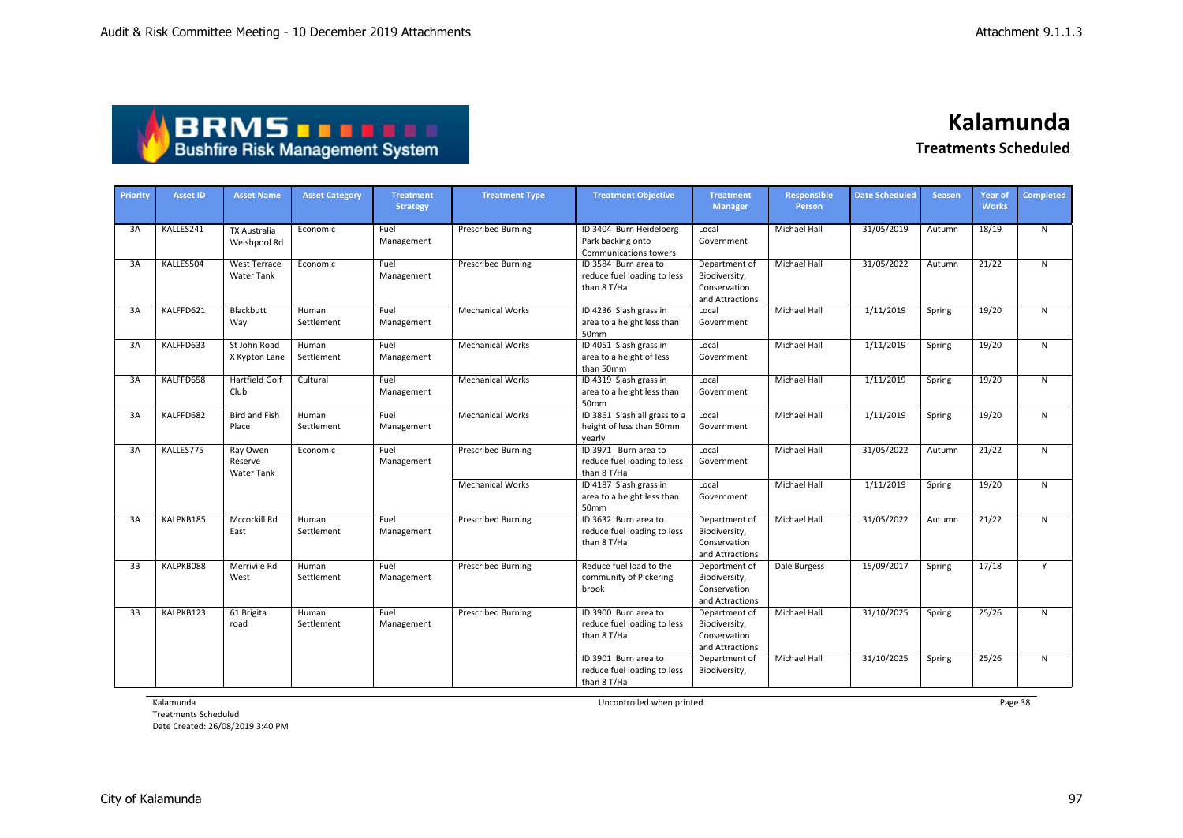| ABRMS                                  |  |
|----------------------------------------|--|
| <b>Bushfire Risk Management System</b> |  |

| Priority | <b>Asset ID</b> | <b>Asset Name</b>                        | <b>Asset Category</b> | <b>Treatment</b><br><b>Strategy</b> | <b>Treatment Type</b>     | <b>Treatment Objective</b>                                                   | <b>Treatment</b><br><b>Manager</b>                                | Responsible<br><b>Person</b> | <b>Date Scheduled</b> | <b>Season</b> | <b>Year of</b><br><b>Works</b> | <b>Completed</b> |
|----------|-----------------|------------------------------------------|-----------------------|-------------------------------------|---------------------------|------------------------------------------------------------------------------|-------------------------------------------------------------------|------------------------------|-----------------------|---------------|--------------------------------|------------------|
| 3A       | KALLES241       | <b>TX Australia</b><br>Welshpool Rd      | Economic              | Fuel<br>Management                  | <b>Prescribed Burning</b> | ID 3404 Burn Heidelberg<br>Park backing onto<br><b>Communications towers</b> | Local<br>Government                                               | <b>Michael Hall</b>          | 31/05/2019            | Autumn        | 18/19                          | N                |
| 3A       | KALLES504       | West Terrace<br>Water Tank               | Economic              | Fuel<br>Management                  | <b>Prescribed Burning</b> | ID 3584 Burn area to<br>reduce fuel loading to less<br>than 8 T/Ha           | Department of<br>Biodiversity,<br>Conservation<br>and Attractions | Michael Hall                 | 31/05/2022            | Autumn        | 21/22                          | N                |
| 3A       | KALFFD621       | Blackbutt<br>Way                         | Human<br>Settlement   | Fuel<br>Management                  | <b>Mechanical Works</b>   | ID 4236 Slash grass in<br>area to a height less than<br>50mm                 | Local<br>Government                                               | <b>Michael Hall</b>          | 1/11/2019             | Spring        | 19/20                          | N                |
| 3A       | KALFFD633       | St John Road<br>X Kypton Lane            | Human<br>Settlement   | Fuel<br>Management                  | <b>Mechanical Works</b>   | ID 4051 Slash grass in<br>area to a height of less<br>than 50mm              | Local<br>Government                                               | Michael Hall                 | 1/11/2019             | Spring        | 19/20                          | N                |
| 3A       | KALFFD658       | Hartfield Golf<br>Club                   | Cultural              | Fuel<br>Management                  | <b>Mechanical Works</b>   | ID 4319 Slash grass in<br>area to a height less than<br>50mm                 | Local<br>Government                                               | Michael Hall                 | 1/11/2019             | Spring        | 19/20                          | N                |
| 3A       | KALFFD682       | <b>Bird and Fish</b><br>Place            | Human<br>Settlement   | Fuel<br>Management                  | <b>Mechanical Works</b>   | ID 3861 Slash all grass to a<br>height of less than 50mm<br>vearly           | Local<br>Government                                               | <b>Michael Hall</b>          | 1/11/2019             | Spring        | 19/20                          | N                |
| 3A       | KALLES775       | Ray Owen<br>Reserve<br><b>Water Tank</b> | Economic              | Fuel<br>Management                  | <b>Prescribed Burning</b> | ID 3971 Burn area to<br>reduce fuel loading to less<br>than 8 T/Ha           | Local<br>Government                                               | <b>Michael Hall</b>          | 31/05/2022            | Autumn        | 21/22                          | N                |
|          |                 |                                          |                       |                                     | <b>Mechanical Works</b>   | ID 4187 Slash grass in<br>area to a height less than<br>50mm                 | Local<br>Government                                               | Michael Hall                 | 1/11/2019             | Spring        | 19/20                          | N                |
| 3A       | KALPKB185       | Mccorkill Rd<br>East                     | Human<br>Settlement   | Fuel<br>Management                  | <b>Prescribed Burning</b> | ID 3632 Burn area to<br>reduce fuel loading to less<br>than 8 T/Ha           | Department of<br>Biodiversity,<br>Conservation<br>and Attractions | <b>Michael Hall</b>          | 31/05/2022            | Autumn        | 21/22                          | N                |
| 3B       | KALPKB088       | Merrivile Rd<br>West                     | Human<br>Settlement   | Fuel<br>Management                  | <b>Prescribed Burning</b> | Reduce fuel load to the<br>community of Pickering<br>brook                   | Department of<br>Biodiversity,<br>Conservation<br>and Attractions | Dale Burgess                 | 15/09/2017            | Spring        | 17/18                          | Y                |
| 3B       | KALPKB123       | 61 Brigita<br>road                       | Human<br>Settlement   | Fuel<br>Management                  | <b>Prescribed Burning</b> | ID 3900 Burn area to<br>reduce fuel loading to less<br>than 8 T/Ha           | Department of<br>Biodiversity,<br>Conservation<br>and Attractions | Michael Hall                 | 31/10/2025            | Spring        | 25/26                          | N                |
|          |                 |                                          |                       |                                     |                           | ID 3901 Burn area to<br>reduce fuel loading to less<br>than 8 T/Ha           | Department of<br>Biodiversity,                                    | <b>Michael Hall</b>          | 31/10/2025            | Spring        | 25/26                          | $\mathsf{N}$     |

Kalamunda

Treatments Scheduled Date Created: 26/08/2019 3:40 PM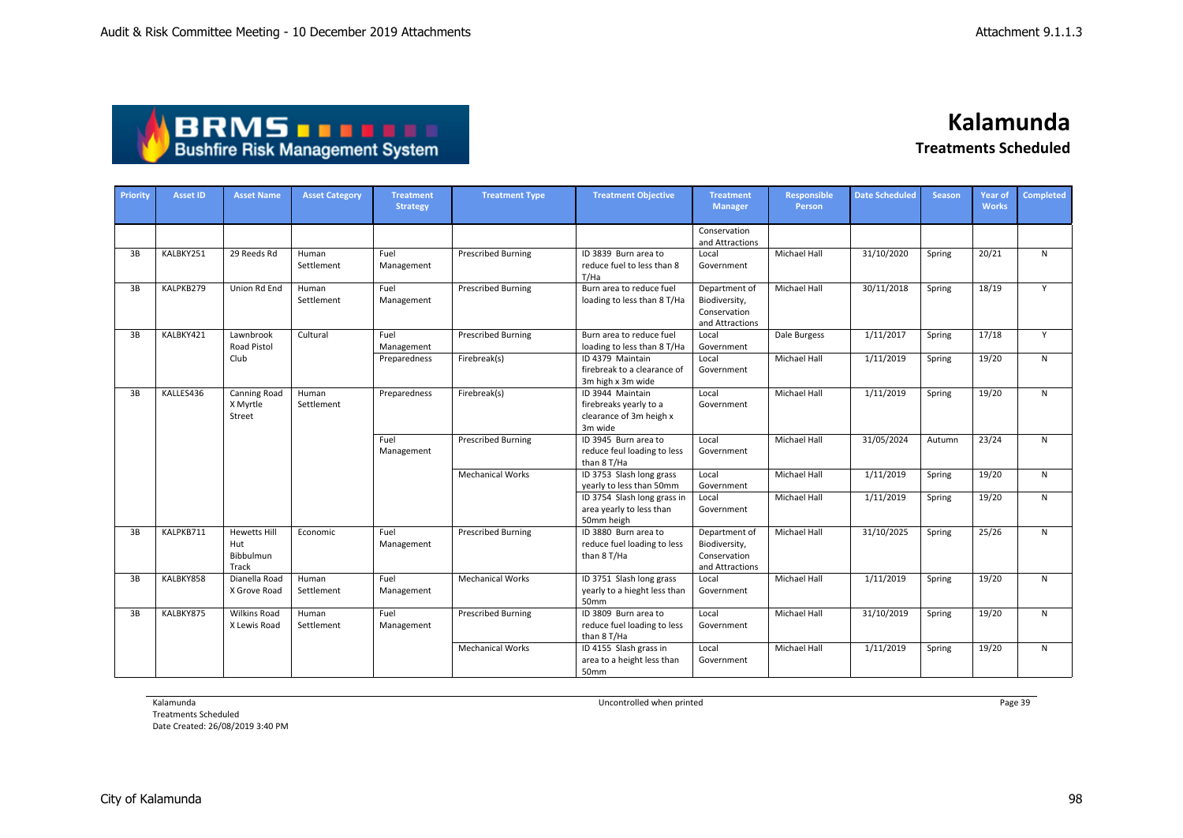# **BRMS DRMS DRMS**

**Kalamunda**

**Treatments Scheduled**

| Priority | <b>Asset ID</b> | <b>Asset Name</b>                                | <b>Asset Category</b> | <b>Treatment</b><br><b>Strategy</b> | <b>Treatment Type</b>     | <b>Treatment Objective</b>                                                       | <b>Treatment</b><br><b>Manager</b>                                | <b>Responsible</b><br>Person | <b>Date Scheduled</b> | <b>Season</b> | <b>Year of</b><br><b>Works</b> | <b>Completed</b> |
|----------|-----------------|--------------------------------------------------|-----------------------|-------------------------------------|---------------------------|----------------------------------------------------------------------------------|-------------------------------------------------------------------|------------------------------|-----------------------|---------------|--------------------------------|------------------|
|          |                 |                                                  |                       |                                     |                           |                                                                                  | Conservation<br>and Attractions                                   |                              |                       |               |                                |                  |
| 3B       | KALBKY251       | 29 Reeds Rd                                      | Human<br>Settlement   | Fuel<br>Management                  | <b>Prescribed Burning</b> | ID 3839 Burn area to<br>reduce fuel to less than 8<br>T/Ha                       | Local<br>Government                                               | Michael Hall                 | 31/10/2020            | Spring        | 20/21                          | $\mathsf{N}$     |
| 3B       | KALPKB279       | Union Rd End                                     | Human<br>Settlement   | Fuel<br>Management                  | <b>Prescribed Burning</b> | Burn area to reduce fuel<br>loading to less than 8 T/Ha                          | Department of<br>Biodiversity,<br>Conservation<br>and Attractions | Michael Hall                 | 30/11/2018            | Spring        | 18/19                          | Y                |
| 3B       | KALBKY421       | Lawnbrook<br><b>Road Pistol</b>                  | Cultural              | Fuel<br>Management                  | <b>Prescribed Burning</b> | Burn area to reduce fuel<br>loading to less than 8 T/Ha                          | Local<br>Government                                               | Dale Burgess                 | 1/11/2017             | Spring        | 17/18                          | Y                |
|          |                 | Club                                             |                       | Preparedness                        | Firebreak(s)              | ID 4379 Maintain<br>firebreak to a clearance of<br>3m high x 3m wide             | Local<br>Government                                               | Michael Hall                 | 1/11/2019             | Spring        | 19/20                          | $\mathsf{N}$     |
| 3B       | KALLES436       | Canning Road<br>X Myrtle<br>Street               | Human<br>Settlement   | Preparedness                        | Firebreak(s)              | ID 3944 Maintain<br>firebreaks yearly to a<br>clearance of 3m heigh x<br>3m wide | Local<br>Government                                               | <b>Michael Hall</b>          | 1/11/2019             | Spring        | 19/20                          | $\mathsf{N}$     |
|          |                 |                                                  |                       | Fuel<br>Management                  | <b>Prescribed Burning</b> | ID 3945 Burn area to<br>reduce feul loading to less<br>than 8 T/Ha               | Local<br>Government                                               | <b>Michael Hall</b>          | 31/05/2024            | Autumn        | 23/24                          | $\mathsf{N}$     |
|          |                 |                                                  |                       |                                     | <b>Mechanical Works</b>   | ID 3753 Slash long grass<br>yearly to less than 50mm                             | Local<br>Government                                               | <b>Michael Hall</b>          | 1/11/2019             | Spring        | 19/20                          | $\mathsf{N}$     |
|          |                 |                                                  |                       |                                     |                           | ID 3754 Slash long grass in<br>area yearly to less than<br>50mm heigh            | Local<br>Government                                               | Michael Hall                 | 1/11/2019             | Spring        | 19/20                          | ${\sf N}$        |
| 3B       | KALPKB711       | <b>Hewetts Hill</b><br>Hut<br>Bibbulmun<br>Track | Economic              | Fuel<br>Management                  | <b>Prescribed Burning</b> | ID 3880 Burn area to<br>reduce fuel loading to less<br>than 8 T/Ha               | Department of<br>Biodiversity,<br>Conservation<br>and Attractions | <b>Michael Hall</b>          | 31/10/2025            | Spring        | 25/26                          | N                |
| 3B       | KALBKY858       | Dianella Road<br>X Grove Road                    | Human<br>Settlement   | Fuel<br>Management                  | <b>Mechanical Works</b>   | ID 3751 Slash long grass<br>yearly to a hieght less than<br>50mm                 | Local<br>Government                                               | <b>Michael Hall</b>          | 1/11/2019             | Spring        | 19/20                          | $\mathsf{N}$     |
| 3B       | KALBKY875       | <b>Wilkins Road</b><br>X Lewis Road              | Human<br>Settlement   | Fuel<br>Management                  | <b>Prescribed Burning</b> | ID 3809 Burn area to<br>reduce fuel loading to less<br>than 8 T/Ha               | Local<br>Government                                               | <b>Michael Hall</b>          | 31/10/2019            | Spring        | 19/20                          | $\mathsf{N}$     |
|          |                 |                                                  |                       |                                     | <b>Mechanical Works</b>   | ID 4155 Slash grass in<br>area to a height less than<br>50mm                     | Local<br>Government                                               | <b>Michael Hall</b>          | 1/11/2019             | Spring        | 19/20                          | $\mathsf{N}$     |

Kalamunda

Treatments Scheduled Date Created: 26/08/2019 3:40 PM Uncontrolled when printed **Page 39** Page 39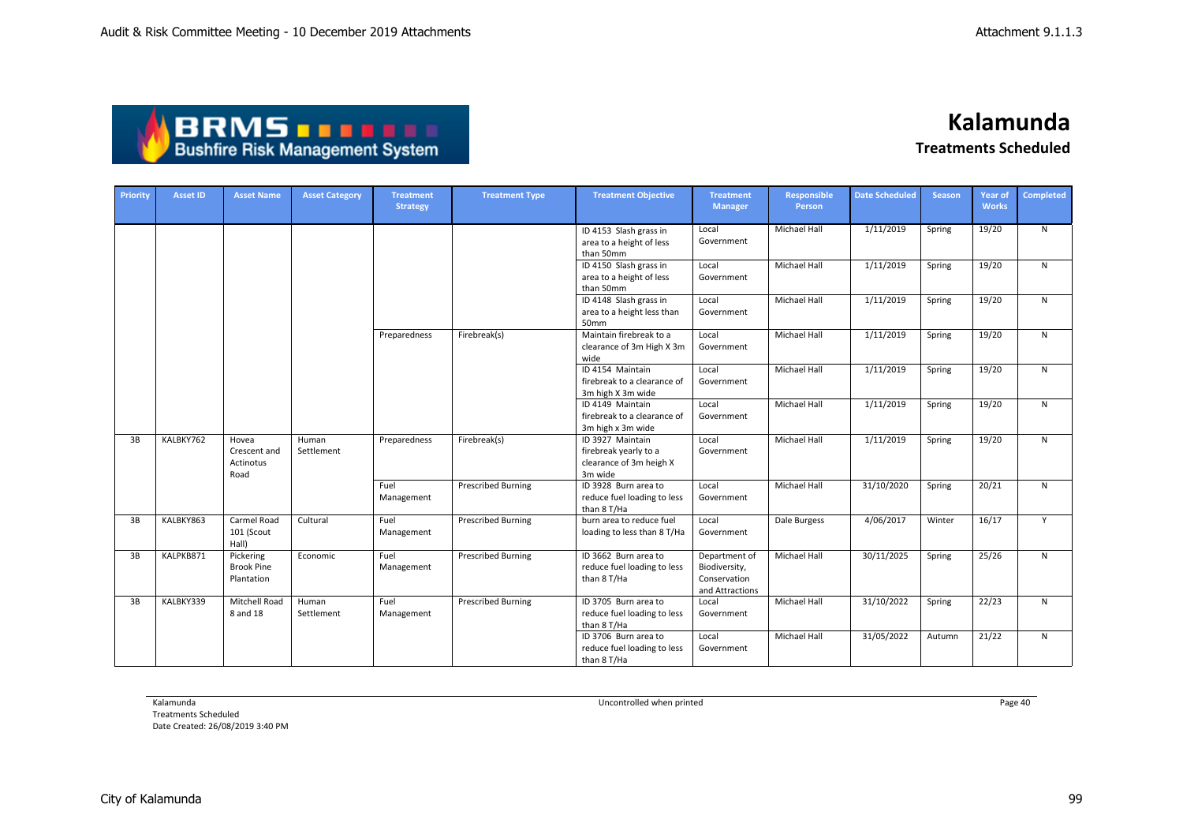| <b>ABRMS THEFT</b>                     |
|----------------------------------------|
| <b>Bushfire Risk Management System</b> |

| Priority | <b>Asset ID</b> | <b>Asset Name</b>                            | <b>Asset Category</b> | <b>Treatment</b><br><b>Strategy</b> | <b>Treatment Type</b>     | <b>Treatment Objective</b>                                                      | <b>Treatment</b><br><b>Manager</b>                                | Responsible<br>Person | <b>Date Scheduled</b> | <b>Season</b> | <b>Year of</b><br><b>Works</b> | Completed |
|----------|-----------------|----------------------------------------------|-----------------------|-------------------------------------|---------------------------|---------------------------------------------------------------------------------|-------------------------------------------------------------------|-----------------------|-----------------------|---------------|--------------------------------|-----------|
|          |                 |                                              |                       |                                     |                           | ID 4153 Slash grass in<br>area to a height of less<br>than 50mm                 | Local<br>Government                                               | <b>Michael Hall</b>   | 1/11/2019             | Spring        | 19/20                          | N         |
|          |                 |                                              |                       |                                     |                           | ID 4150 Slash grass in<br>area to a height of less<br>than 50mm                 | Local<br>Government                                               | <b>Michael Hall</b>   | 1/11/2019             | Spring        | 19/20                          | N         |
|          |                 |                                              |                       |                                     |                           | ID 4148 Slash grass in<br>area to a height less than<br>50mm                    | Local<br>Government                                               | Michael Hall          | 1/11/2019             | Spring        | 19/20                          | N         |
|          |                 |                                              |                       | Preparedness                        | Firebreak(s)              | Maintain firebreak to a<br>clearance of 3m High X 3m<br>wide                    | Local<br>Government                                               | <b>Michael Hall</b>   | 1/11/2019             | Spring        | 19/20                          | N         |
|          |                 |                                              |                       |                                     |                           | ID 4154 Maintain<br>firebreak to a clearance of<br>3m high X 3m wide            | Local<br>Government                                               | <b>Michael Hall</b>   | 1/11/2019             | Spring        | 19/20                          | N         |
|          |                 |                                              |                       |                                     |                           | ID 4149 Maintain<br>firebreak to a clearance of<br>3m high x 3m wide            | Local<br>Government                                               | Michael Hall          | 1/11/2019             | Spring        | 19/20                          | N         |
| 3B       | KALBKY762       | Hovea<br>Crescent and<br>Actinotus<br>Road   | Human<br>Settlement   | Preparedness                        | Firebreak(s)              | ID 3927 Maintain<br>firebreak yearly to a<br>clearance of 3m heigh X<br>3m wide | Local<br>Government                                               | <b>Michael Hall</b>   | 1/11/2019             | Spring        | 19/20                          | N         |
|          |                 |                                              |                       | Fuel<br>Management                  | <b>Prescribed Burning</b> | ID 3928 Burn area to<br>reduce fuel loading to less<br>than 8 T/Ha              | Local<br>Government                                               | Michael Hall          | 31/10/2020            | Spring        | 20/21                          | N         |
| 3B       | KALBKY863       | Carmel Road<br>101 (Scout<br>Hall)           | Cultural              | Fuel<br>Management                  | <b>Prescribed Burning</b> | burn area to reduce fuel<br>loading to less than 8 T/Ha                         | Local<br>Government                                               | Dale Burgess          | 4/06/2017             | Winter        | 16/17                          | Y         |
| 3B       | KALPKB871       | Pickering<br><b>Brook Pine</b><br>Plantation | Economic              | Fuel<br>Management                  | <b>Prescribed Burning</b> | ID 3662 Burn area to<br>reduce fuel loading to less<br>than 8 T/Ha              | Department of<br>Biodiversity,<br>Conservation<br>and Attractions | Michael Hall          | 30/11/2025            | Spring        | 25/26                          | N         |
| 3B       | KALBKY339       | Mitchell Road<br>8 and 18                    | Human<br>Settlement   | Fuel<br>Management                  | <b>Prescribed Burning</b> | ID 3705 Burn area to<br>reduce fuel loading to less<br>than 8 T/Ha              | Local<br>Government                                               | <b>Michael Hall</b>   | 31/10/2022            | Spring        | 22/23                          | N         |
|          |                 |                                              |                       |                                     |                           | ID 3706 Burn area to<br>reduce fuel loading to less<br>than 8 T/Ha              | Local<br>Government                                               | <b>Michael Hall</b>   | 31/05/2022            | Autumn        | 21/22                          | N         |

Kalamunda

Treatments Scheduled Date Created: 26/08/2019 3:40 PM Uncontrolled when printed **Page 40** Page 40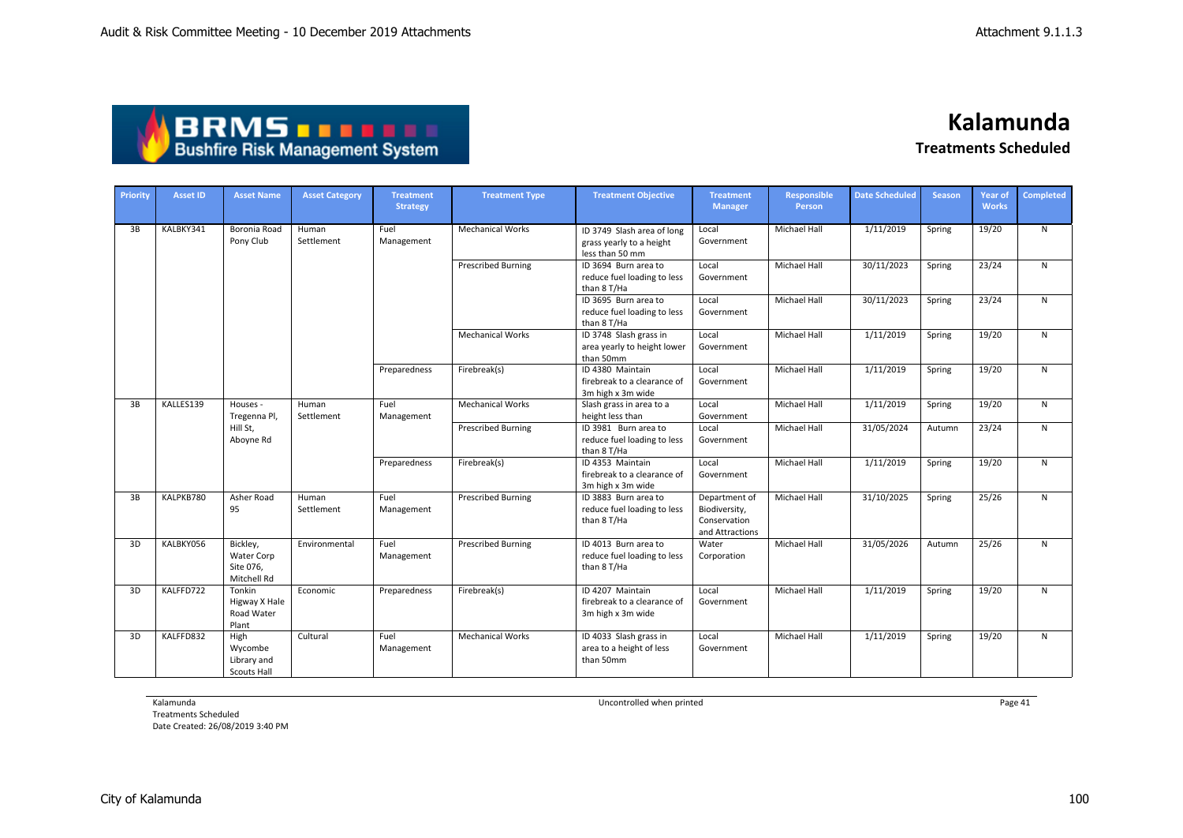| <b>ABRMS THEFT</b>                     |
|----------------------------------------|
| <b>Bushfire Risk Management System</b> |

| Priority | <b>Asset ID</b> | <b>Asset Name</b>                                    | <b>Asset Category</b> | <b>Treatment</b><br><b>Strategy</b> | <b>Treatment Type</b>     | <b>Treatment Objective</b>                                                | <b>Treatment</b><br><b>Manager</b>                                | <b>Responsible</b><br>Person | <b>Date Scheduled</b> | <b>Season</b> | <b>Year of</b><br><b>Works</b> | Completed |
|----------|-----------------|------------------------------------------------------|-----------------------|-------------------------------------|---------------------------|---------------------------------------------------------------------------|-------------------------------------------------------------------|------------------------------|-----------------------|---------------|--------------------------------|-----------|
| 3B       | KALBKY341       | Boronia Road<br>Pony Club                            | Human<br>Settlement   | Fuel<br>Management                  | <b>Mechanical Works</b>   | ID 3749 Slash area of long<br>grass yearly to a height<br>less than 50 mm | Local<br>Government                                               | <b>Michael Hall</b>          | 1/11/2019             | Spring        | 19/20                          | N         |
|          |                 |                                                      |                       |                                     | <b>Prescribed Burning</b> | ID 3694 Burn area to<br>reduce fuel loading to less<br>than 8 T/Ha        | Local<br>Government                                               | Michael Hall                 | 30/11/2023            | Spring        | 23/24                          | ${\sf N}$ |
|          |                 |                                                      |                       |                                     |                           | ID 3695 Burn area to<br>reduce fuel loading to less<br>than 8 T/Ha        | Local<br>Government                                               | Michael Hall                 | 30/11/2023            | Spring        | 23/24                          | ${\sf N}$ |
|          |                 |                                                      |                       |                                     | <b>Mechanical Works</b>   | ID 3748 Slash grass in<br>area yearly to height lower<br>than 50mm        | Local<br>Government                                               | <b>Michael Hall</b>          | 1/11/2019             | Spring        | 19/20                          | N         |
|          |                 |                                                      |                       | Preparedness                        | Firebreak(s)              | ID 4380 Maintain<br>firebreak to a clearance of<br>3m high x 3m wide      | Local<br>Government                                               | <b>Michael Hall</b>          | 1/11/2019             | Spring        | 19/20                          | N         |
| 3B       | KALLES139       | Houses -                                             | Human                 | Fuel                                | <b>Mechanical Works</b>   | Slash grass in area to a                                                  | Local                                                             | <b>Michael Hall</b>          | 1/11/2019             | Spring        | 19/20                          | N         |
|          |                 | Tregenna Pl,<br>Hill St,                             | Settlement            | Management                          | <b>Prescribed Burning</b> | height less than<br>ID 3981 Burn area to                                  | Government<br>Local                                               | Michael Hall                 | 31/05/2024            | Autumn        | 23/24                          | N         |
|          |                 | Aboyne Rd                                            |                       |                                     |                           | reduce fuel loading to less<br>than 8 T/Ha                                | Government                                                        |                              |                       |               |                                |           |
|          |                 |                                                      |                       | Preparedness                        | Firebreak(s)              | ID 4353 Maintain<br>firebreak to a clearance of<br>3m high x 3m wide      | Local<br>Government                                               | <b>Michael Hall</b>          | 1/11/2019             | Spring        | 19/20                          | N         |
| 3B       | KALPKB780       | Asher Road<br>95                                     | Human<br>Settlement   | Fuel<br>Management                  | <b>Prescribed Burning</b> | ID 3883 Burn area to<br>reduce fuel loading to less<br>than 8 T/Ha        | Department of<br>Biodiversity,<br>Conservation<br>and Attractions | Michael Hall                 | 31/10/2025            | Spring        | 25/26                          | N         |
| 3D       | KALBKY056       | Bickley,<br>Water Corp<br>Site 076,<br>Mitchell Rd   | Environmental         | Fuel<br>Management                  | <b>Prescribed Burning</b> | ID 4013 Burn area to<br>reduce fuel loading to less<br>than 8 T/Ha        | Water<br>Corporation                                              | Michael Hall                 | 31/05/2026            | Autumn        | 25/26                          | N         |
| 3D       | KALFFD722       | Tonkin<br>Higway X Hale<br>Road Water<br>Plant       | Economic              | Preparedness                        | Firebreak(s)              | ID 4207 Maintain<br>firebreak to a clearance of<br>3m high x 3m wide      | Local<br>Government                                               | <b>Michael Hall</b>          | 1/11/2019             | Spring        | 19/20                          | N         |
| 3D       | KALFFD832       | High<br>Wycombe<br>Library and<br><b>Scouts Hall</b> | Cultural              | Fuel<br>Management                  | <b>Mechanical Works</b>   | ID 4033 Slash grass in<br>area to a height of less<br>than 50mm           | Local<br>Government                                               | Michael Hall                 | 1/11/2019             | Spring        | 19/20                          | N         |

Kalamunda

Treatments Scheduled Date Created: 26/08/2019 3:40 PM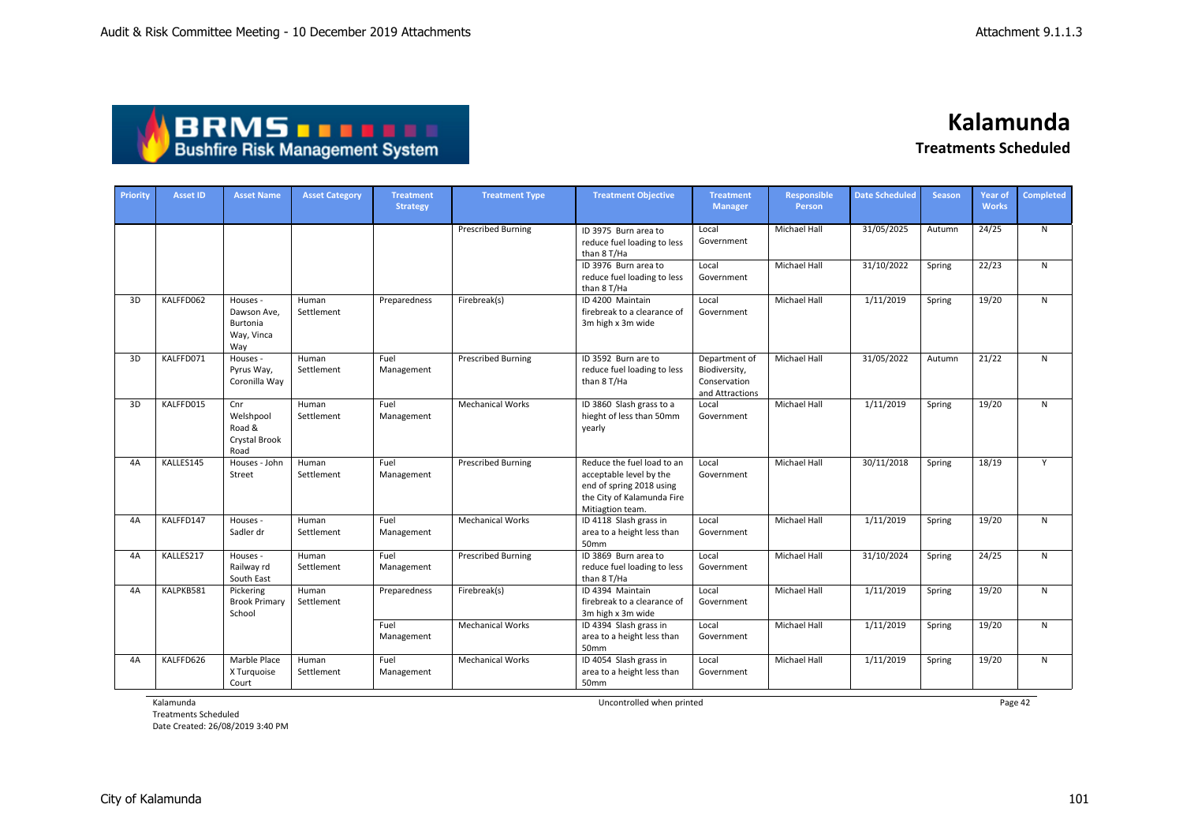| <b>ABRMS THEFT</b>                     |
|----------------------------------------|
| <b>Bushfire Risk Management System</b> |

| Priority | <b>Asset ID</b> | <b>Asset Name</b>                                        | <b>Asset Category</b> | <b>Treatment</b><br><b>Strategy</b> | <b>Treatment Type</b>     | <b>Treatment Objective</b>                                                                                                          | <b>Treatment</b><br><b>Manager</b>                                | <b>Responsible</b><br><b>Person</b> | <b>Date Scheduled</b> | <b>Season</b> | <b>Year of</b><br><b>Works</b> | <b>Completed</b> |
|----------|-----------------|----------------------------------------------------------|-----------------------|-------------------------------------|---------------------------|-------------------------------------------------------------------------------------------------------------------------------------|-------------------------------------------------------------------|-------------------------------------|-----------------------|---------------|--------------------------------|------------------|
|          |                 |                                                          |                       |                                     | <b>Prescribed Burning</b> | ID 3975 Burn area to<br>reduce fuel loading to less<br>than 8 T/Ha                                                                  | Local<br>Government                                               | Michael Hall                        | 31/05/2025            | Autumn        | 24/25                          | N                |
|          |                 |                                                          |                       |                                     |                           | ID 3976 Burn area to<br>reduce fuel loading to less<br>than 8 T/Ha                                                                  | Local<br>Government                                               | Michael Hall                        | 31/10/2022            | Spring        | 22/23                          | N                |
| 3D       | KALFFD062       | Houses -<br>Dawson Ave.<br>Burtonia<br>Way, Vinca<br>Way | Human<br>Settlement   | Preparedness                        | Firebreak(s)              | ID 4200 Maintain<br>firebreak to a clearance of<br>3m high x 3m wide                                                                | Local<br>Government                                               | Michael Hall                        | 1/11/2019             | Spring        | 19/20                          | N                |
| 3D       | KALFFD071       | Houses -<br>Pyrus Way,<br>Coronilla Way                  | Human<br>Settlement   | Fuel<br>Management                  | <b>Prescribed Burning</b> | ID 3592 Burn are to<br>reduce fuel loading to less<br>than 8 T/Ha                                                                   | Department of<br>Biodiversity,<br>Conservation<br>and Attractions | Michael Hall                        | 31/05/2022            | Autumn        | 21/22                          | N                |
| 3D       | KALFFD015       | Cnr<br>Welshpool<br>Road &<br>Crystal Brook<br>Road      | Human<br>Settlement   | Fuel<br>Management                  | <b>Mechanical Works</b>   | ID 3860 Slash grass to a<br>hieght of less than 50mm<br>yearly                                                                      | Local<br>Government                                               | <b>Michael Hall</b>                 | 1/11/2019             | Spring        | 19/20                          | N                |
| 4A       | KALLES145       | Houses - John<br>Street                                  | Human<br>Settlement   | Fuel<br>Management                  | <b>Prescribed Burning</b> | Reduce the fuel load to an<br>acceptable level by the<br>end of spring 2018 using<br>the City of Kalamunda Fire<br>Mitiagtion team. | Local<br>Government                                               | Michael Hall                        | 30/11/2018            | Spring        | 18/19                          | Y                |
| 4A       | KALFFD147       | Houses -<br>Sadler dr                                    | Human<br>Settlement   | Fuel<br>Management                  | <b>Mechanical Works</b>   | ID 4118 Slash grass in<br>area to a height less than<br>50mm                                                                        | Local<br>Government                                               | <b>Michael Hall</b>                 | 1/11/2019             | Spring        | 19/20                          | N                |
| 4A       | KALLES217       | Houses -<br>Railway rd<br>South East                     | Human<br>Settlement   | Fuel<br>Management                  | <b>Prescribed Burning</b> | ID 3869 Burn area to<br>reduce fuel loading to less<br>than 8 T/Ha                                                                  | Local<br>Government                                               | Michael Hall                        | 31/10/2024            | Spring        | 24/25                          | N                |
| 4A       | KALPKB581       | Pickering<br><b>Brook Primary</b><br>School              | Human<br>Settlement   | Preparedness                        | Firebreak(s)              | ID 4394 Maintain<br>firebreak to a clearance of<br>3m high x 3m wide                                                                | Local<br>Government                                               | <b>Michael Hall</b>                 | 1/11/2019             | Spring        | 19/20                          | $\mathsf{N}$     |
|          |                 |                                                          |                       | Fuel<br>Management                  | <b>Mechanical Works</b>   | ID 4394 Slash grass in<br>area to a height less than<br>50mm                                                                        | Local<br>Government                                               | <b>Michael Hall</b>                 | 1/11/2019             | Spring        | 19/20                          | N                |
| 4A       | KALFFD626       | Marble Place<br>X Turquoise<br>Court                     | Human<br>Settlement   | Fuel<br>Management                  | <b>Mechanical Works</b>   | ID 4054 Slash grass in<br>area to a height less than<br>50mm                                                                        | Local<br>Government                                               | <b>Michael Hall</b>                 | 1/11/2019             | Spring        | 19/20                          | $\mathsf{N}$     |

Kalamunda

Treatments Scheduled Date Created: 26/08/2019 3:40 PM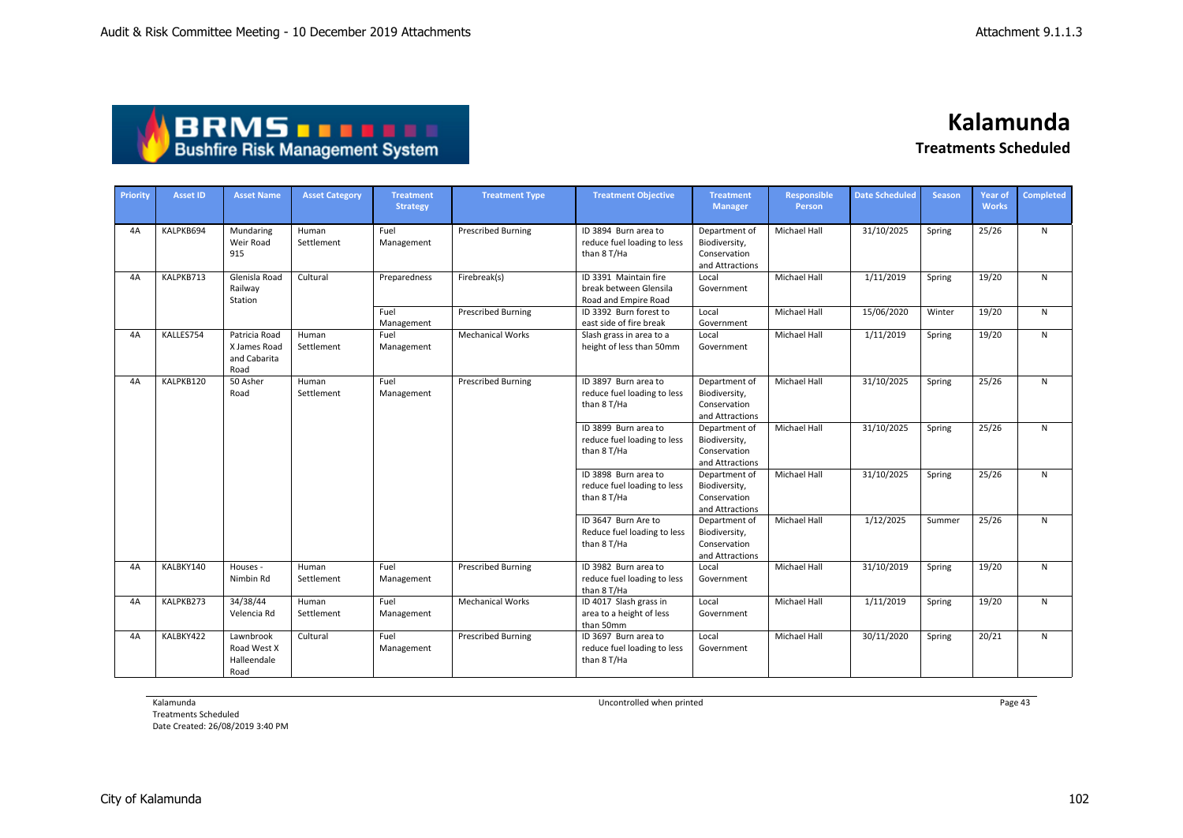## **BRMS DRMS DRMS**

**Kalamunda Treatments Scheduled**

| Priority | <b>Asset ID</b> | <b>Asset Name</b>                                     | <b>Asset Category</b> | <b>Treatment</b><br><b>Strategy</b> | <b>Treatment Type</b>     | <b>Treatment Objective</b>                                              | <b>Treatment</b><br><b>Manager</b>                                | <b>Responsible</b><br>Person | <b>Date Scheduled</b> | <b>Season</b> | Year of<br><b>Works</b> | <b>Completed</b> |
|----------|-----------------|-------------------------------------------------------|-----------------------|-------------------------------------|---------------------------|-------------------------------------------------------------------------|-------------------------------------------------------------------|------------------------------|-----------------------|---------------|-------------------------|------------------|
| 4A       | KALPKB694       | Mundaring<br>Weir Road<br>915                         | Human<br>Settlement   | Fuel<br>Management                  | <b>Prescribed Burning</b> | ID 3894 Burn area to<br>reduce fuel loading to less<br>than 8 T/Ha      | Department of<br>Biodiversity,<br>Conservation<br>and Attractions | Michael Hall                 | 31/10/2025            | Spring        | 25/26                   | N                |
| 4A       | KALPKB713       | Glenisla Road<br>Railway<br>Station                   | Cultural              | Preparedness                        | Firebreak(s)              | ID 3391 Maintain fire<br>break between Glensila<br>Road and Empire Road | Local<br>Government                                               | Michael Hall                 | 1/11/2019             | Spring        | 19/20                   | ${\sf N}$        |
|          |                 |                                                       |                       | Fuel<br>Management                  | <b>Prescribed Burning</b> | ID 3392 Burn forest to<br>east side of fire break                       | Local<br>Government                                               | Michael Hall                 | 15/06/2020            | Winter        | 19/20                   | ${\sf N}$        |
| 4A       | KALLES754       | Patricia Road<br>X James Road<br>and Cabarita<br>Road | Human<br>Settlement   | Fuel<br>Management                  | <b>Mechanical Works</b>   | Slash grass in area to a<br>height of less than 50mm                    | Local<br>Government                                               | <b>Michael Hall</b>          | 1/11/2019             | Spring        | 19/20                   | $\mathsf{N}$     |
| 4A       | KALPKB120       | 50 Asher<br>Road                                      | Human<br>Settlement   | Fuel<br>Management                  | <b>Prescribed Burning</b> | ID 3897 Burn area to<br>reduce fuel loading to less<br>than 8 T/Ha      | Department of<br>Biodiversity,<br>Conservation<br>and Attractions | <b>Michael Hall</b>          | 31/10/2025            | Spring        | 25/26                   | N                |
|          |                 |                                                       |                       |                                     |                           | ID 3899 Burn area to<br>reduce fuel loading to less<br>than 8 T/Ha      | Department of<br>Biodiversity,<br>Conservation<br>and Attractions | Michael Hall                 | 31/10/2025            | Spring        | 25/26                   | N                |
|          |                 |                                                       |                       |                                     |                           | ID 3898 Burn area to<br>reduce fuel loading to less<br>than 8 T/Ha      | Department of<br>Biodiversity,<br>Conservation<br>and Attractions | Michael Hall                 | 31/10/2025            | Spring        | 25/26                   | N                |
|          |                 |                                                       |                       |                                     |                           | ID 3647 Burn Are to<br>Reduce fuel loading to less<br>than 8 T/Ha       | Department of<br>Biodiversity,<br>Conservation<br>and Attractions | Michael Hall                 | 1/12/2025             | Summer        | 25/26                   | $\mathsf{N}$     |
| 4A       | KALBKY140       | Houses -<br>Nimbin Rd                                 | Human<br>Settlement   | Fuel<br>Management                  | <b>Prescribed Burning</b> | ID 3982 Burn area to<br>reduce fuel loading to less<br>than 8 T/Ha      | Local<br>Government                                               | Michael Hall                 | 31/10/2019            | Spring        | 19/20                   | ${\sf N}$        |
| 4A       | KALPKB273       | 34/38/44<br>Velencia Rd                               | Human<br>Settlement   | Fuel<br>Management                  | <b>Mechanical Works</b>   | ID 4017 Slash grass in<br>area to a height of less<br>than 50mm         | Local<br>Government                                               | Michael Hall                 | 1/11/2019             | Spring        | 19/20                   | ${\sf N}$        |
| 4A       | KALBKY422       | Lawnbrook<br>Road West X<br>Halleendale<br>Road       | Cultural              | Fuel<br>Management                  | <b>Prescribed Burning</b> | ID 3697 Burn area to<br>reduce fuel loading to less<br>than 8 T/Ha      | Local<br>Government                                               | Michael Hall                 | 30/11/2020            | Spring        | 20/21                   | $\mathsf{N}$     |

Kalamunda

Treatments Scheduled Date Created: 26/08/2019 3:40 PM Uncontrolled when printed **Page 43** Page 43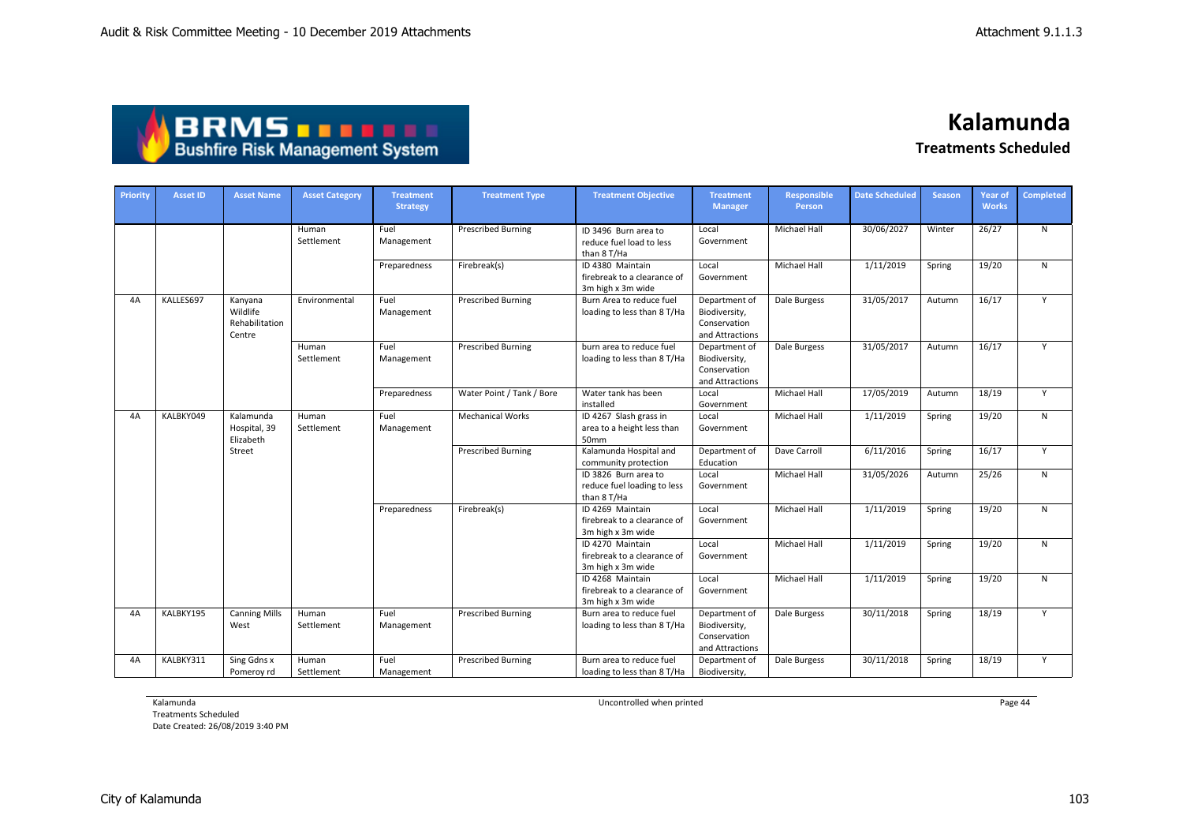| ABRMS <b>De Bell</b>                   |  |
|----------------------------------------|--|
| <b>Bushfire Risk Management System</b> |  |

| Priority | <b>Asset ID</b> | <b>Asset Name</b>                               | <b>Asset Category</b> | <b>Treatment</b><br><b>Strategy</b> | <b>Treatment Type</b>     | <b>Treatment Objective</b>                                           | <b>Treatment</b><br><b>Manager</b>                                | Responsible<br>Person | <b>Date Scheduled</b> | <b>Season</b> | <b>Year of</b><br><b>Works</b> | <b>Completed</b> |
|----------|-----------------|-------------------------------------------------|-----------------------|-------------------------------------|---------------------------|----------------------------------------------------------------------|-------------------------------------------------------------------|-----------------------|-----------------------|---------------|--------------------------------|------------------|
|          |                 |                                                 | Human<br>Settlement   | Fuel<br>Management                  | <b>Prescribed Burning</b> | ID 3496 Burn area to<br>reduce fuel load to less<br>than 8 T/Ha      | Local<br>Government                                               | <b>Michael Hall</b>   | 30/06/2027            | Winter        | 26/27                          | N                |
|          |                 |                                                 |                       | Preparedness                        | Firebreak(s)              | ID 4380 Maintain<br>firebreak to a clearance of<br>3m high x 3m wide | Local<br>Government                                               | <b>Michael Hall</b>   | 1/11/2019             | Spring        | 19/20                          | N                |
| 4A       | KALLES697       | Kanyana<br>Wildlife<br>Rehabilitation<br>Centre | Environmental         | Fuel<br>Management                  | <b>Prescribed Burning</b> | Burn Area to reduce fuel<br>loading to less than 8 T/Ha              | Department of<br>Biodiversity,<br>Conservation<br>and Attractions | Dale Burgess          | 31/05/2017            | Autumn        | 16/17                          | Y                |
|          |                 |                                                 | Human<br>Settlement   | Fuel<br>Management                  | <b>Prescribed Burning</b> | burn area to reduce fuel<br>loading to less than 8 T/Ha              | Department of<br>Biodiversity,<br>Conservation<br>and Attractions | Dale Burgess          | 31/05/2017            | Autumn        | 16/17                          | Y                |
|          |                 |                                                 |                       | Preparedness                        | Water Point / Tank / Bore | Water tank has been<br>installed                                     | Local<br>Government                                               | <b>Michael Hall</b>   | 17/05/2019            | Autumn        | 18/19                          | Y                |
| 4A       | KALBKY049       | Kalamunda<br>Hospital, 39<br>Elizabeth          | Human<br>Settlement   | Fuel<br>Management                  | <b>Mechanical Works</b>   | ID 4267 Slash grass in<br>area to a height less than<br>50mm         | Local<br>Government                                               | Michael Hall          | 1/11/2019             | Spring        | 19/20                          | N                |
|          |                 | Street                                          |                       |                                     | <b>Prescribed Burning</b> | Kalamunda Hospital and<br>community protection                       | Department of<br>Education                                        | Dave Carroll          | 6/11/2016             | Spring        | 16/17                          | Y                |
|          |                 |                                                 |                       |                                     |                           | ID 3826 Burn area to<br>reduce fuel loading to less<br>than 8 T/Ha   | Local<br>Government                                               | Michael Hall          | 31/05/2026            | Autumn        | 25/26                          | N                |
|          |                 |                                                 |                       | Preparedness                        | Firebreak(s)              | ID 4269 Maintain<br>firebreak to a clearance of<br>3m high x 3m wide | Local<br>Government                                               | <b>Michael Hall</b>   | 1/11/2019             | Spring        | 19/20                          | N                |
|          |                 |                                                 |                       |                                     |                           | ID 4270 Maintain<br>firebreak to a clearance of<br>3m high x 3m wide | Local<br>Government                                               | Michael Hall          | 1/11/2019             | Spring        | 19/20                          | N                |
|          |                 |                                                 |                       |                                     |                           | ID 4268 Maintain<br>firebreak to a clearance of<br>3m high x 3m wide | Local<br>Government                                               | <b>Michael Hall</b>   | 1/11/2019             | Spring        | 19/20                          | N                |
| 4A       | KALBKY195       | <b>Canning Mills</b><br>West                    | Human<br>Settlement   | Fuel<br>Management                  | <b>Prescribed Burning</b> | Burn area to reduce fuel<br>loading to less than 8 T/Ha              | Department of<br>Biodiversity,<br>Conservation<br>and Attractions | Dale Burgess          | 30/11/2018            | Spring        | 18/19                          | Y                |
| 4A       | KALBKY311       | Sing Gdns x<br>Pomeroy rd                       | Human<br>Settlement   | Fuel<br>Management                  | <b>Prescribed Burning</b> | Burn area to reduce fuel<br>loading to less than 8 T/Ha              | Department of<br>Biodiversity,                                    | Dale Burgess          | 30/11/2018            | Spring        | 18/19                          | Y                |

Kalamunda

Treatments Scheduled Date Created: 26/08/2019 3:40 PM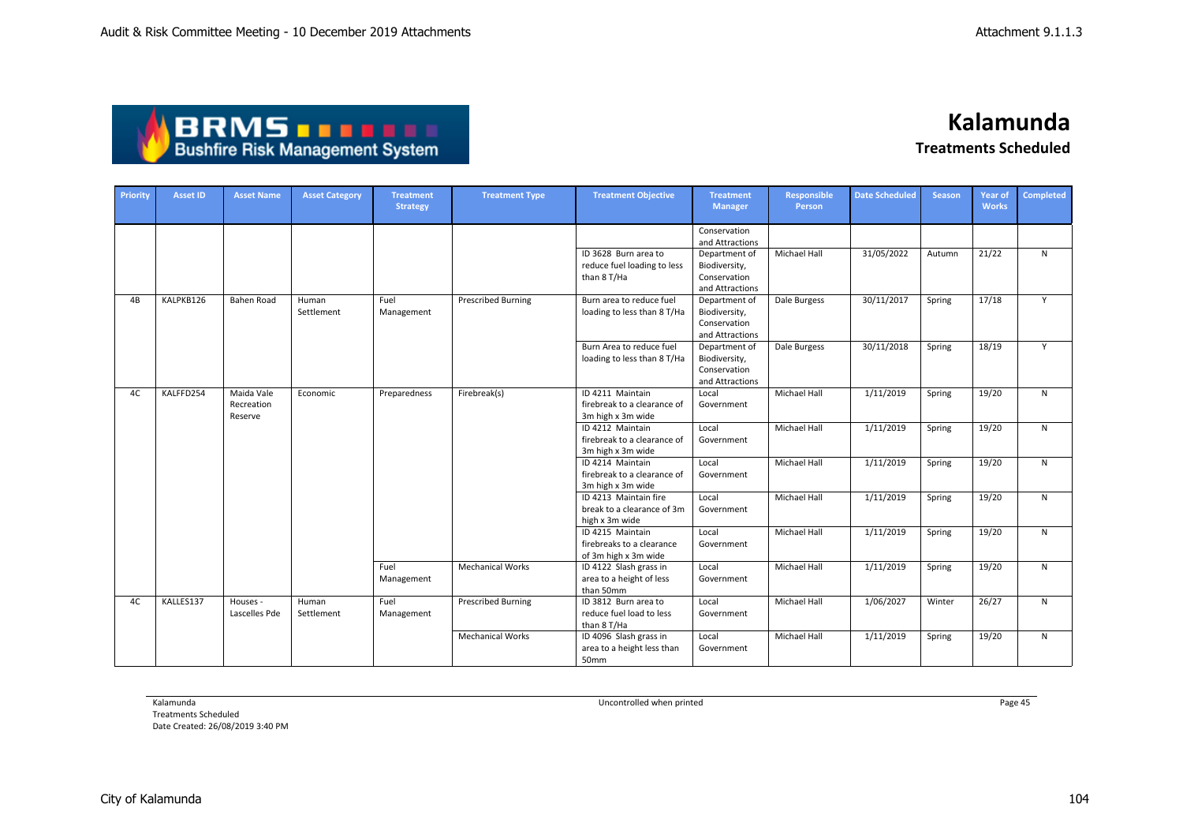

**Kalamunda**

**Treatments Scheduled**

| Priority | <b>Asset ID</b> | <b>Asset Name</b>                   | <b>Asset Category</b> | <b>Treatment</b><br><b>Strategy</b> | <b>Treatment Type</b>     | <b>Treatment Objective</b>                                            | <b>Treatment</b><br><b>Manager</b>                                | <b>Responsible</b><br>Person | <b>Date Scheduled</b> | <b>Season</b> | <b>Year of</b><br><b>Works</b> | <b>Completed</b> |
|----------|-----------------|-------------------------------------|-----------------------|-------------------------------------|---------------------------|-----------------------------------------------------------------------|-------------------------------------------------------------------|------------------------------|-----------------------|---------------|--------------------------------|------------------|
|          |                 |                                     |                       |                                     |                           |                                                                       | Conservation<br>and Attractions                                   |                              |                       |               |                                |                  |
|          |                 |                                     |                       |                                     |                           | ID 3628 Burn area to<br>reduce fuel loading to less<br>than 8 T/Ha    | Department of<br>Biodiversity,<br>Conservation<br>and Attractions | Michael Hall                 | 31/05/2022            | Autumn        | 21/22                          | N                |
| 4B       | KALPKB126       | <b>Bahen Road</b>                   | Human<br>Settlement   | Fuel<br>Management                  | <b>Prescribed Burning</b> | Burn area to reduce fuel<br>loading to less than 8 T/Ha               | Department of<br>Biodiversity,<br>Conservation<br>and Attractions | Dale Burgess                 | 30/11/2017            | Spring        | 17/18                          | Y                |
|          |                 |                                     |                       |                                     |                           | Burn Area to reduce fuel<br>loading to less than 8 T/Ha               | Department of<br>Biodiversity,<br>Conservation<br>and Attractions | Dale Burgess                 | 30/11/2018            | Spring        | 18/19                          | Y                |
| 4C       | KALFFD254       | Maida Vale<br>Recreation<br>Reserve | Economic              | Preparedness                        | Firebreak(s)              | ID 4211 Maintain<br>firebreak to a clearance of<br>3m high x 3m wide  | Local<br>Government                                               | Michael Hall                 | 1/11/2019             | Spring        | 19/20                          | N                |
|          |                 |                                     |                       |                                     |                           | ID 4212 Maintain<br>firebreak to a clearance of<br>3m high x 3m wide  | Local<br>Government                                               | Michael Hall                 | 1/11/2019             | Spring        | 19/20                          | N                |
|          |                 |                                     |                       |                                     |                           | ID 4214 Maintain<br>firebreak to a clearance of<br>3m high x 3m wide  | Local<br>Government                                               | Michael Hall                 | 1/11/2019             | Spring        | 19/20                          | N                |
|          |                 |                                     |                       |                                     |                           | ID 4213 Maintain fire<br>break to a clearance of 3m<br>high x 3m wide | Local<br>Government                                               | Michael Hall                 | 1/11/2019             | Spring        | 19/20                          | $\mathsf{N}$     |
|          |                 |                                     |                       |                                     |                           | ID 4215 Maintain<br>firebreaks to a clearance<br>of 3m high x 3m wide | Local<br>Government                                               | Michael Hall                 | 1/11/2019             | Spring        | 19/20                          | $\mathsf{N}$     |
|          |                 |                                     |                       | Fuel<br>Management                  | <b>Mechanical Works</b>   | ID 4122 Slash grass in<br>area to a height of less<br>than 50mm       | Local<br>Government                                               | <b>Michael Hall</b>          | 1/11/2019             | Spring        | 19/20                          | N                |
| 4C       | KALLES137       | Houses -<br>Lascelles Pde           | Human<br>Settlement   | Fuel<br>Management                  | <b>Prescribed Burning</b> | ID 3812 Burn area to<br>reduce fuel load to less<br>than 8 T/Ha       | Local<br>Government                                               | Michael Hall                 | 1/06/2027             | Winter        | 26/27                          | $\mathsf{N}$     |
|          |                 |                                     |                       |                                     | <b>Mechanical Works</b>   | ID 4096 Slash grass in<br>area to a height less than<br>50mm          | Local<br>Government                                               | Michael Hall                 | 1/11/2019             | Spring        | 19/20                          | N                |

Kalamunda

Treatments Scheduled Date Created: 26/08/2019 3:40 PM Uncontrolled when printed **Page 45** Page 45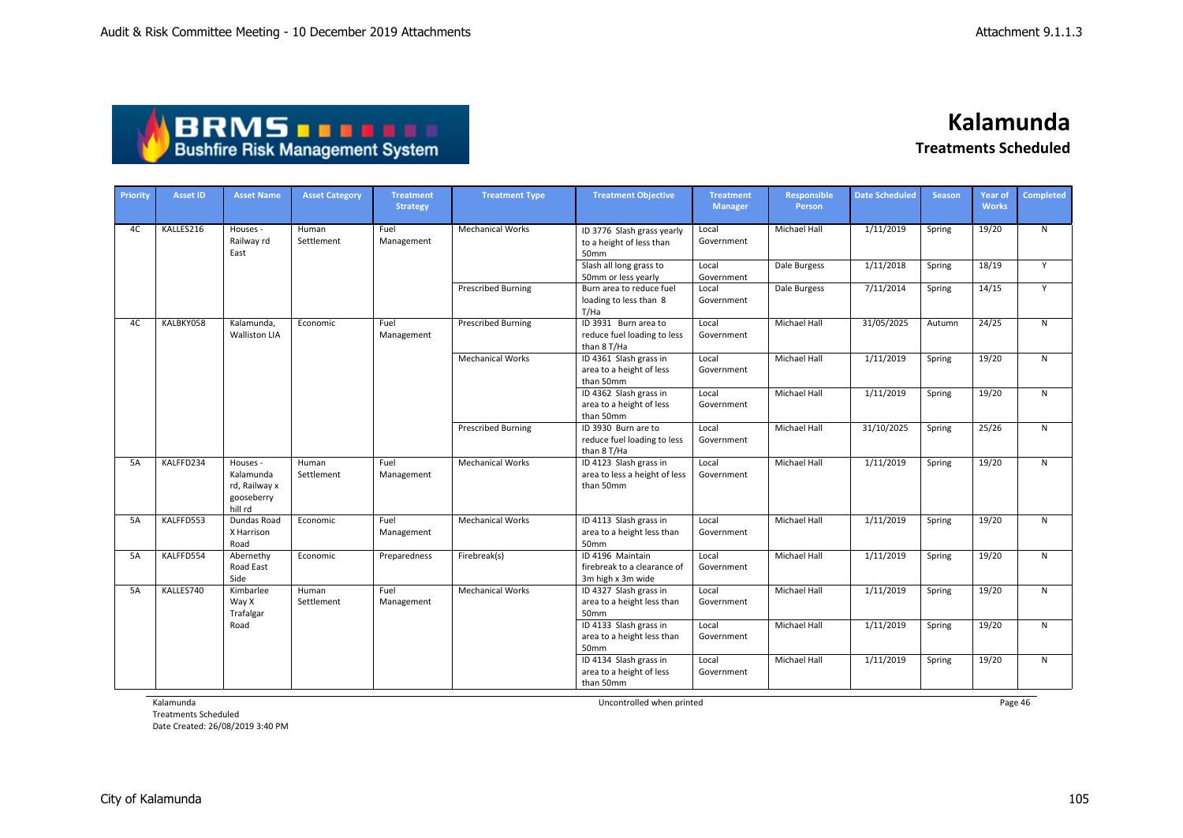| ABRMS                                  |  |
|----------------------------------------|--|
| <b>Bushfire Risk Management System</b> |  |

| Priority | <b>Asset ID</b> | <b>Asset Name</b>                                               | <b>Asset Category</b> | <b>Treatment</b><br><b>Strategy</b> | <b>Treatment Type</b>     | <b>Treatment Objective</b>                                           | <b>Treatment</b><br><b>Manager</b> | <b>Responsible</b><br><b>Person</b> | <b>Date Scheduled</b> | <b>Season</b> | <b>Year of</b><br><b>Works</b> | <b>Completed</b> |
|----------|-----------------|-----------------------------------------------------------------|-----------------------|-------------------------------------|---------------------------|----------------------------------------------------------------------|------------------------------------|-------------------------------------|-----------------------|---------------|--------------------------------|------------------|
| 4C       | KALLES216       | Houses -<br>Railway rd<br>East                                  | Human<br>Settlement   | Fuel<br>Management                  | <b>Mechanical Works</b>   | ID 3776 Slash grass yearly<br>to a height of less than<br>50mm       | Local<br>Government                | Michael Hall                        | 1/11/2019             | Spring        | 19/20                          | N                |
|          |                 |                                                                 |                       |                                     |                           | Slash all long grass to<br>50mm or less yearly                       | Local<br>Government                | Dale Burgess                        | 1/11/2018             | Spring        | 18/19                          | Y                |
|          |                 |                                                                 |                       |                                     | <b>Prescribed Burning</b> | Burn area to reduce fuel<br>loading to less than 8<br>T/Ha           | Local<br>Government                | Dale Burgess                        | 7/11/2014             | Spring        | 14/15                          | Y                |
| 4C       | KALBKY058       | Kalamunda,<br><b>Walliston LIA</b>                              | Economic              | Fuel<br>Management                  | <b>Prescribed Burning</b> | ID 3931 Burn area to<br>reduce fuel loading to less<br>than 8 T/Ha   | Local<br>Government                | Michael Hall                        | 31/05/2025            | Autumn        | 24/25                          | $\mathsf{N}$     |
|          |                 |                                                                 |                       |                                     | <b>Mechanical Works</b>   | ID 4361 Slash grass in<br>area to a height of less<br>than 50mm      | Local<br>Government                | Michael Hall                        | 1/11/2019             | Spring        | 19/20                          | $\mathsf{N}$     |
|          |                 |                                                                 |                       |                                     |                           | ID 4362 Slash grass in<br>area to a height of less<br>than 50mm      | Local<br>Government                | Michael Hall                        | 1/11/2019             | Spring        | 19/20                          | N                |
|          |                 |                                                                 |                       |                                     | <b>Prescribed Burning</b> | ID 3930 Burn are to<br>reduce fuel loading to less<br>than 8 T/Ha    | Local<br>Government                | Michael Hall                        | 31/10/2025            | Spring        | 25/26                          | N                |
| 5A       | KALFFD234       | Houses -<br>Kalamunda<br>rd, Railway x<br>gooseberry<br>hill rd | Human<br>Settlement   | Fuel<br>Management                  | <b>Mechanical Works</b>   | ID 4123 Slash grass in<br>area to less a height of less<br>than 50mm | Local<br>Government                | Michael Hall                        | 1/11/2019             | Spring        | 19/20                          | $\mathsf{N}$     |
| 5A       | KALFFD553       | Dundas Road<br>X Harrison<br>Road                               | Economic              | Fuel<br>Management                  | <b>Mechanical Works</b>   | ID 4113 Slash grass in<br>area to a height less than<br>50mm         | Local<br>Government                | Michael Hall                        | 1/11/2019             | Spring        | 19/20                          | N                |
| 5A       | KALFFD554       | Abernethy<br>Road East<br>Side                                  | Economic              | Preparedness                        | Firebreak(s)              | ID 4196 Maintain<br>firebreak to a clearance of<br>3m high x 3m wide | Local<br>Government                | Michael Hall                        | 1/11/2019             | Spring        | 19/20                          | N                |
| 5A       | KALLES740       | Kimbarlee<br>Way X<br>Trafalgar                                 | Human<br>Settlement   | Fuel<br>Management                  | <b>Mechanical Works</b>   | ID 4327 Slash grass in<br>area to a height less than<br>50mm         | Local<br>Government                | Michael Hall                        | 1/11/2019             | Spring        | 19/20                          | $\mathsf{N}$     |
|          |                 | Road                                                            |                       |                                     |                           | ID 4133 Slash grass in<br>area to a height less than<br>50mm         | Local<br>Government                | <b>Michael Hall</b>                 | 1/11/2019             | Spring        | 19/20                          | $\mathsf{N}$     |
|          |                 |                                                                 |                       |                                     |                           | ID 4134 Slash grass in<br>area to a height of less<br>than 50mm      | Local<br>Government                | <b>Michael Hall</b>                 | 1/11/2019             | Spring        | 19/20                          | $\mathsf{N}$     |

Kalamunda

Treatments Scheduled Date Created: 26/08/2019 3:40 PM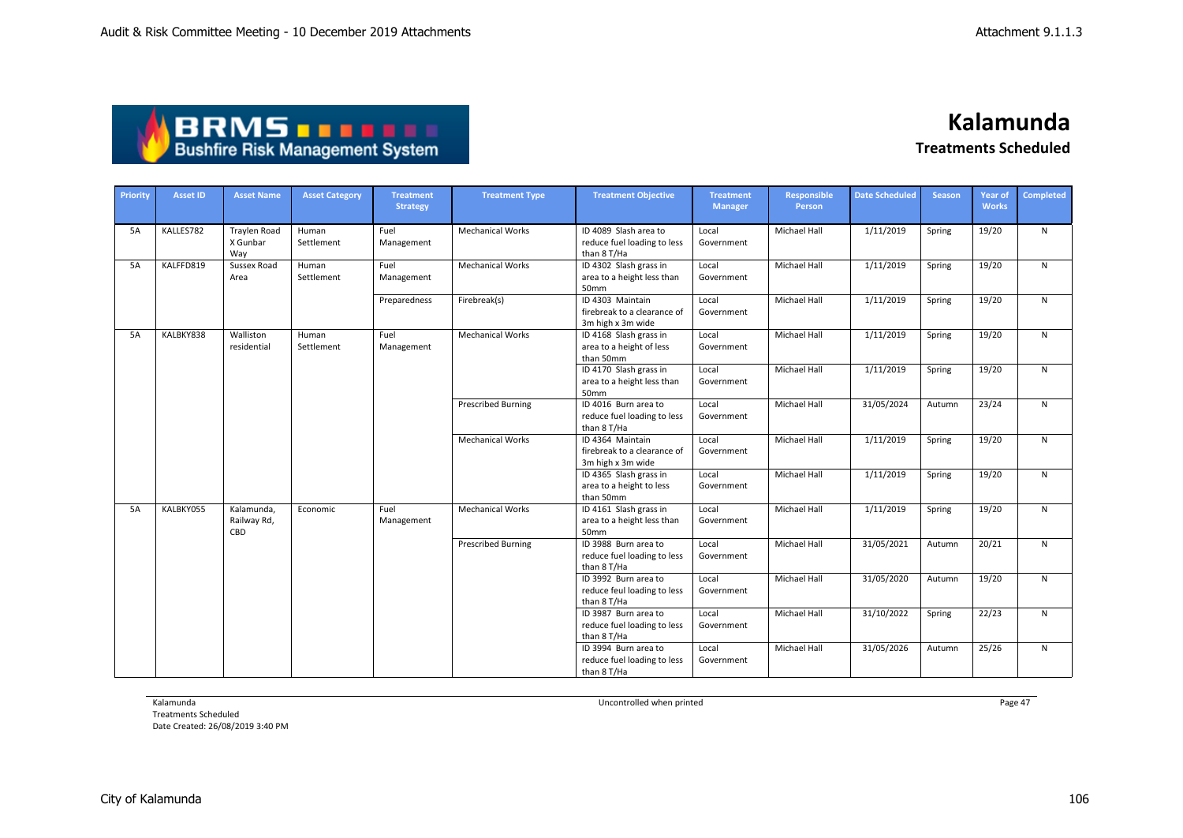| <b>ABRMS THEFT</b>                     |
|----------------------------------------|
| <b>Bushfire Risk Management System</b> |

| Priority | <b>Asset ID</b> | <b>Asset Name</b>                      | <b>Asset Category</b> | <b>Treatment</b><br><b>Strategy</b> | <b>Treatment Type</b>     | <b>Treatment Objective</b>                                           | <b>Treatment</b><br><b>Manager</b> | Responsible<br>Person | <b>Date Scheduled</b> | <b>Season</b> | Year of<br><b>Works</b> | Completed    |
|----------|-----------------|----------------------------------------|-----------------------|-------------------------------------|---------------------------|----------------------------------------------------------------------|------------------------------------|-----------------------|-----------------------|---------------|-------------------------|--------------|
| 5A       | KALLES782       | <b>Traylen Road</b><br>X Gunbar<br>Way | Human<br>Settlement   | Fuel<br>Management                  | <b>Mechanical Works</b>   | ID 4089 Slash area to<br>reduce fuel loading to less<br>than 8 T/Ha  | Local<br>Government                | Michael Hall          | 1/11/2019             | Spring        | 19/20                   | N            |
| 5A       | KALFFD819       | Sussex Road<br>Area                    | Human<br>Settlement   | Fuel<br>Management                  | <b>Mechanical Works</b>   | ID 4302 Slash grass in<br>area to a height less than<br>50mm         | Local<br>Government                | <b>Michael Hall</b>   | 1/11/2019             | Spring        | 19/20                   | $\mathsf{N}$ |
|          |                 |                                        |                       | Preparedness                        | Firebreak(s)              | ID 4303 Maintain<br>firebreak to a clearance of<br>3m high x 3m wide | Local<br>Government                | Michael Hall          | 1/11/2019             | Spring        | 19/20                   | $\mathsf{N}$ |
| 5A       | KALBKY838       | Walliston<br>residential               | Human<br>Settlement   | Fuel<br>Management                  | <b>Mechanical Works</b>   | ID 4168 Slash grass in<br>area to a height of less<br>than 50mm      | Local<br>Government                | Michael Hall          | 1/11/2019             | Spring        | 19/20                   | ${\sf N}$    |
|          |                 |                                        |                       |                                     |                           | ID 4170 Slash grass in<br>area to a height less than<br>50mm         | Local<br>Government                | Michael Hall          | 1/11/2019             | Spring        | 19/20                   | N            |
|          |                 |                                        |                       |                                     | <b>Prescribed Burning</b> | ID 4016 Burn area to<br>reduce fuel loading to less<br>than 8 T/Ha   | Local<br>Government                | <b>Michael Hall</b>   | 31/05/2024            | Autumn        | 23/24                   | $\mathsf{N}$ |
|          |                 |                                        |                       |                                     | <b>Mechanical Works</b>   | ID 4364 Maintain<br>firebreak to a clearance of<br>3m high x 3m wide | Local<br>Government                | Michael Hall          | 1/11/2019             | Spring        | 19/20                   | $\mathsf{N}$ |
|          |                 |                                        |                       |                                     |                           | ID 4365 Slash grass in<br>area to a height to less<br>than 50mm      | Local<br>Government                | Michael Hall          | 1/11/2019             | Spring        | 19/20                   | $\mathsf{N}$ |
| 5A       | KALBKY055       | Kalamunda,<br>Railway Rd,<br>CBD       | Economic              | Fuel<br>Management                  | <b>Mechanical Works</b>   | ID 4161 Slash grass in<br>area to a height less than<br>50mm         | Local<br>Government                | Michael Hall          | 1/11/2019             | Spring        | 19/20                   | ${\sf N}$    |
|          |                 |                                        |                       |                                     | <b>Prescribed Burning</b> | ID 3988 Burn area to<br>reduce fuel loading to less<br>than 8 T/Ha   | Local<br>Government                | <b>Michael Hall</b>   | 31/05/2021            | Autumn        | 20/21                   | N            |
|          |                 |                                        |                       |                                     |                           | ID 3992 Burn area to<br>reduce feul loading to less<br>than 8 T/Ha   | Local<br>Government                | <b>Michael Hall</b>   | 31/05/2020            | Autumn        | 19/20                   | N            |
|          |                 |                                        |                       |                                     |                           | ID 3987 Burn area to<br>reduce fuel loading to less<br>than 8 T/Ha   | Local<br>Government                | <b>Michael Hall</b>   | 31/10/2022            | Spring        | 22/23                   | N            |
|          |                 |                                        |                       |                                     |                           | ID 3994 Burn area to<br>reduce fuel loading to less<br>than 8 T/Ha   | Local<br>Government                | <b>Michael Hall</b>   | 31/05/2026            | Autumn        | 25/26                   | $\mathsf{N}$ |

Kalamunda

Treatments Scheduled Date Created: 26/08/2019 3:40 PM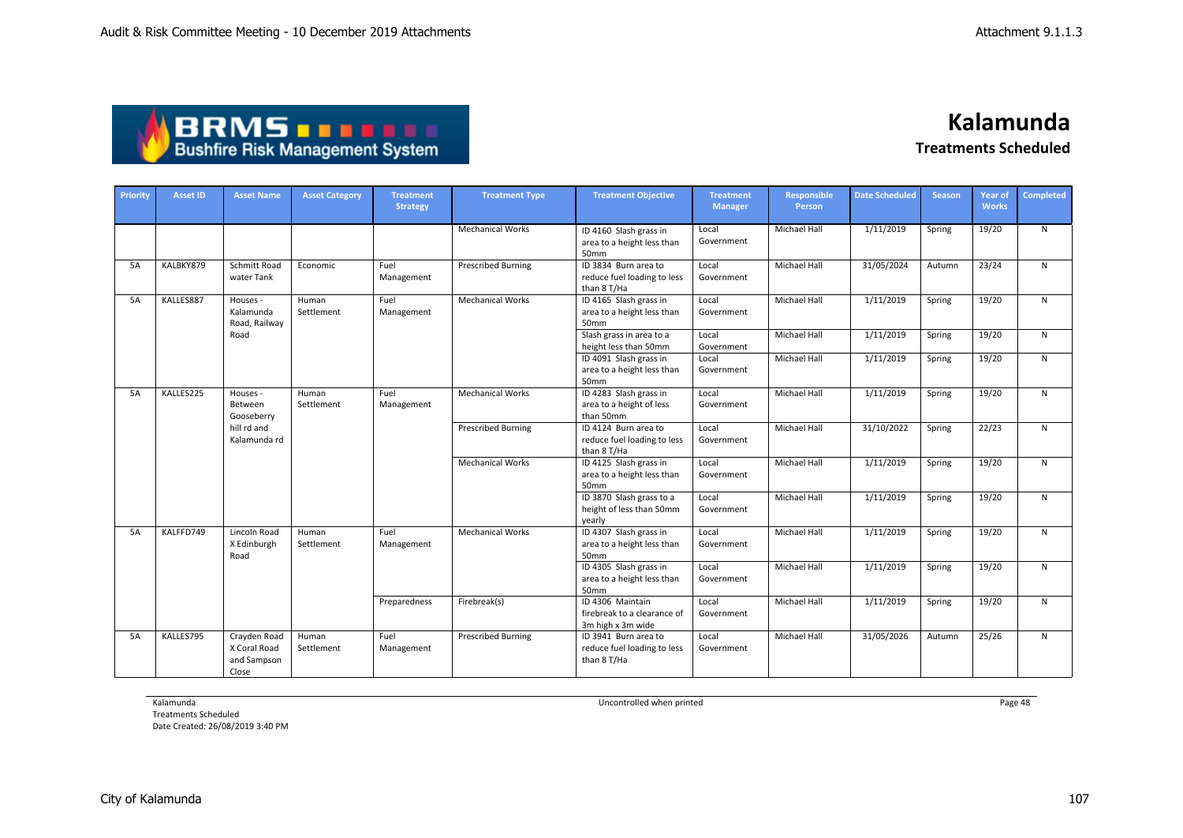| <b>ABRMS THEFT</b>                     |
|----------------------------------------|
| <b>Bushfire Risk Management System</b> |

| Priority  | <b>Asset ID</b> | <b>Asset Name</b>                                                | <b>Asset Category</b> | <b>Treatment</b><br><b>Strategy</b> | <b>Treatment Type</b>     | <b>Treatment Objective</b>                                           | <b>Treatment</b><br><b>Manager</b> | Responsible<br>Person | <b>Date Scheduled</b> | <b>Season</b>       | <b>Year of</b><br><b>Works</b> | <b>Completed</b>        |                                                              |                     |                     |           |        |       |              |
|-----------|-----------------|------------------------------------------------------------------|-----------------------|-------------------------------------|---------------------------|----------------------------------------------------------------------|------------------------------------|-----------------------|-----------------------|---------------------|--------------------------------|-------------------------|--------------------------------------------------------------|---------------------|---------------------|-----------|--------|-------|--------------|
|           |                 |                                                                  |                       |                                     | <b>Mechanical Works</b>   | ID 4160 Slash grass in<br>area to a height less than<br>50mm         | Local<br>Government                | Michael Hall          | 1/11/2019             | Spring              | 19/20                          | N                       |                                                              |                     |                     |           |        |       |              |
| 5A        | KALBKY879       | Schmitt Road<br>water Tank                                       | Economic              | Fuel<br>Management                  | <b>Prescribed Burning</b> | ID 3834 Burn area to<br>reduce fuel loading to less<br>than 8 T/Ha   | Local<br>Government                | <b>Michael Hall</b>   | 31/05/2024            | Autumn              | 23/24                          | N                       |                                                              |                     |                     |           |        |       |              |
| 5A        | KALLES887       | Houses -<br>Kalamunda<br>Road, Railway                           | Human<br>Settlement   | Fuel<br>Management                  | <b>Mechanical Works</b>   | ID 4165 Slash grass in<br>area to a height less than<br>50mm         | Local<br>Government                | Michael Hall          | 1/11/2019             | Spring              | 19/20                          | N                       |                                                              |                     |                     |           |        |       |              |
|           |                 | Road                                                             |                       |                                     |                           | Slash grass in area to a<br>height less than 50mm                    | Local<br>Government                | Michael Hall          | 1/11/2019             | Spring              | 19/20                          | N                       |                                                              |                     |                     |           |        |       |              |
|           |                 |                                                                  |                       |                                     |                           | ID 4091 Slash grass in<br>area to a height less than<br>50mm         | Local<br>Government                | <b>Michael Hall</b>   | 1/11/2019             | Spring              | 19/20                          | N                       |                                                              |                     |                     |           |        |       |              |
| 5A        | KALLES225       | Houses -<br>Between<br>Gooseberry<br>hill rd and<br>Kalamunda rd | Human<br>Settlement   | Fuel<br>Management                  | <b>Mechanical Works</b>   | ID 4283 Slash grass in<br>area to a height of less<br>than 50mm      | Local<br>Government                | Michael Hall          | 1/11/2019             | Spring              | 19/20                          | N                       |                                                              |                     |                     |           |        |       |              |
|           |                 |                                                                  |                       |                                     | <b>Prescribed Burning</b> | ID 4124 Burn area to<br>reduce fuel loading to less<br>than 8 T/Ha   | Local<br>Government                | Michael Hall          | 31/10/2022            | Spring              | 22/23                          | N                       |                                                              |                     |                     |           |        |       |              |
|           |                 |                                                                  |                       |                                     | <b>Mechanical Works</b>   | ID 4125 Slash grass in<br>area to a height less than<br>50mm         | Local<br>Government                | Michael Hall          | 1/11/2019             | Spring              | 19/20                          | N                       |                                                              |                     |                     |           |        |       |              |
|           |                 |                                                                  |                       |                                     |                           | ID 3870 Slash grass to a<br>height of less than 50mm<br>vearly       | Local<br>Government                | <b>Michael Hall</b>   | 1/11/2019             | Spring              | 19/20                          | N                       |                                                              |                     |                     |           |        |       |              |
| <b>5A</b> | KALFFD749       | Lincoln Road<br>X Edinburgh<br>Road                              |                       |                                     |                           |                                                                      |                                    |                       |                       | Human<br>Settlement | Fuel<br>Management             | <b>Mechanical Works</b> | ID 4307 Slash grass in<br>area to a height less than<br>50mm | Local<br>Government | <b>Michael Hall</b> | 1/11/2019 | Spring | 19/20 | $\mathsf{N}$ |
|           |                 |                                                                  |                       | Preparedness                        |                           | ID 4305 Slash grass in<br>area to a height less than<br>50mm         | Local<br>Government                | Michael Hall          | 1/11/2019             | Spring              | 19/20                          | N                       |                                                              |                     |                     |           |        |       |              |
|           |                 |                                                                  |                       |                                     | Firebreak(s)              | ID 4306 Maintain<br>firebreak to a clearance of<br>3m high x 3m wide | Local<br>Government                | <b>Michael Hall</b>   | 1/11/2019             | Spring              | 19/20                          | N                       |                                                              |                     |                     |           |        |       |              |
| 5A        | KALLES795       | Crayden Road<br>X Coral Road<br>and Sampson<br>Close             | Human<br>Settlement   | Fuel<br>Management                  | <b>Prescribed Burning</b> | ID 3941 Burn area to<br>reduce fuel loading to less<br>than 8 T/Ha   | Local<br>Government                | <b>Michael Hall</b>   | 31/05/2026            | Autumn              | 25/26                          | $\mathsf{N}$            |                                                              |                     |                     |           |        |       |              |

Kalamunda

Treatments Scheduled Date Created: 26/08/2019 3:40 PM Uncontrolled when printed **Page 48** Page 48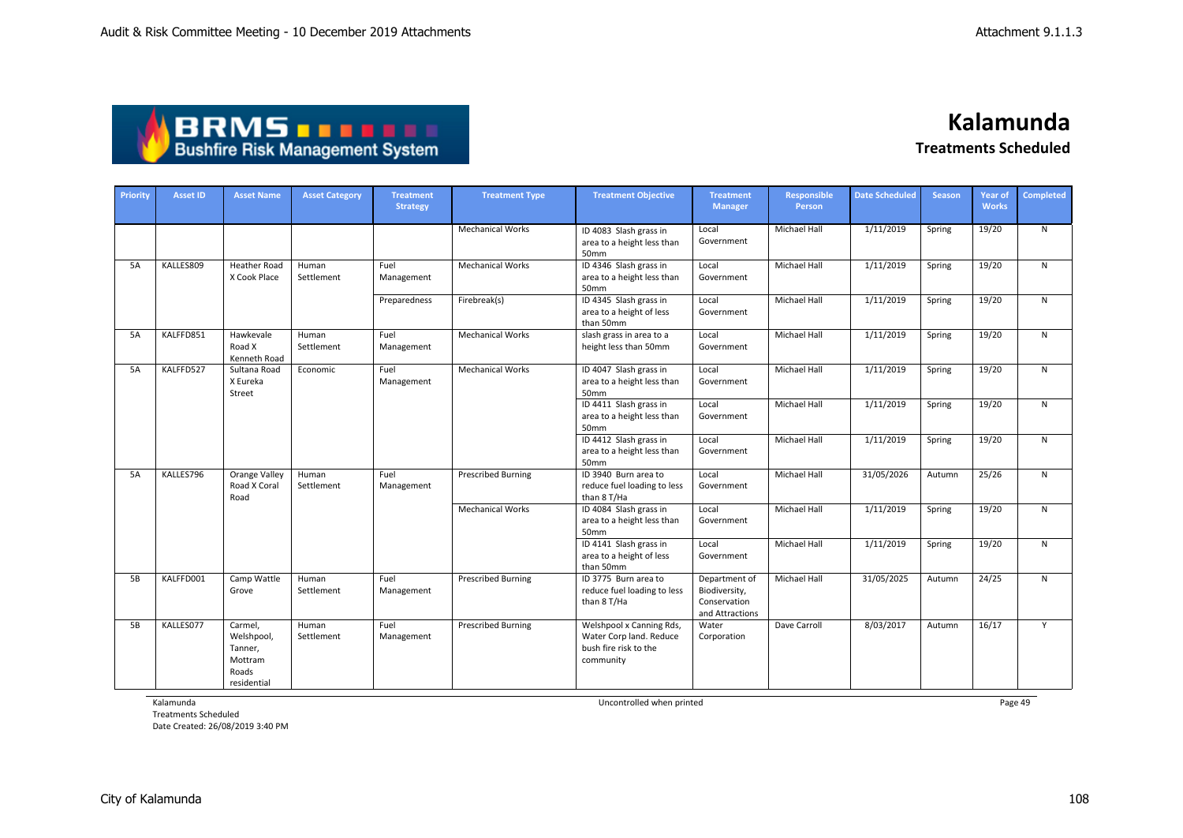| <b>ABRMS THEFT</b>                     |
|----------------------------------------|
| <b>Bushfire Risk Management System</b> |

| Priority | <b>Asset ID</b> | <b>Asset Name</b>                                                   | <b>Asset Category</b> | <b>Treatment</b><br><b>Strategy</b> | <b>Treatment Type</b>     | <b>Treatment Objective</b>                                                                | <b>Treatment</b><br><b>Manager</b>                                | <b>Responsible</b><br>Person | <b>Date Scheduled</b> | <b>Season</b> | <b>Year of</b><br><b>Works</b> | <b>Completed</b> |
|----------|-----------------|---------------------------------------------------------------------|-----------------------|-------------------------------------|---------------------------|-------------------------------------------------------------------------------------------|-------------------------------------------------------------------|------------------------------|-----------------------|---------------|--------------------------------|------------------|
|          |                 |                                                                     |                       |                                     | <b>Mechanical Works</b>   | ID 4083 Slash grass in<br>area to a height less than<br>50mm                              | Local<br>Government                                               | Michael Hall                 | 1/11/2019             | Spring        | 19/20                          | $\overline{N}$   |
| 5A       | KALLES809       | Heather Road<br>X Cook Place                                        | Human<br>Settlement   | Fuel<br>Management                  | <b>Mechanical Works</b>   | ID 4346 Slash grass in<br>area to a height less than<br>50mm                              | Local<br>Government                                               | Michael Hall                 | 1/11/2019             | Spring        | 19/20                          | N                |
|          |                 |                                                                     |                       | Preparedness                        | Firebreak(s)              | ID 4345 Slash grass in<br>area to a height of less<br>than 50mm                           | Local<br>Government                                               | <b>Michael Hall</b>          | 1/11/2019             | Spring        | 19/20                          | N                |
| 5A       | KALFFD851       | Hawkevale<br>Road X<br>Kenneth Road                                 | Human<br>Settlement   | Fuel<br>Management                  | <b>Mechanical Works</b>   | slash grass in area to a<br>height less than 50mm                                         | Local<br>Government                                               | <b>Michael Hall</b>          | 1/11/2019             | Spring        | 19/20                          | $\mathsf{N}$     |
| 5A       | KALFFD527       | Sultana Road<br>X Eureka<br>Street                                  | Economic              | Fuel<br>Management                  | <b>Mechanical Works</b>   | ID 4047 Slash grass in<br>area to a height less than<br>50mm                              | Local<br>Government                                               | Michael Hall                 | 1/11/2019             | Spring        | 19/20                          | N                |
|          |                 |                                                                     |                       |                                     |                           | ID 4411 Slash grass in<br>area to a height less than<br>50mm                              | Local<br>Government                                               | <b>Michael Hall</b>          | 1/11/2019             | Spring        | 19/20                          | $\mathsf{N}$     |
|          |                 |                                                                     |                       |                                     |                           | ID 4412 Slash grass in<br>area to a height less than<br>50mm                              | Local<br>Government                                               | <b>Michael Hall</b>          | 1/11/2019             | Spring        | 19/20                          | $\mathsf{N}$     |
| 5A       | KALLES796       | Orange Valley<br>Road X Coral<br>Road                               | Human<br>Settlement   | Fuel<br>Management                  | <b>Prescribed Burning</b> | ID 3940 Burn area to<br>reduce fuel loading to less<br>than 8 T/Ha                        | Local<br>Government                                               | Michael Hall                 | 31/05/2026            | Autumn        | 25/26                          | $\mathsf{N}$     |
|          |                 |                                                                     |                       |                                     | <b>Mechanical Works</b>   | ID 4084 Slash grass in<br>area to a height less than<br>50mm                              | Local<br>Government                                               | <b>Michael Hall</b>          | 1/11/2019             | Spring        | 19/20                          | N                |
|          |                 |                                                                     |                       |                                     |                           | ID 4141 Slash grass in<br>area to a height of less<br>than 50mm                           | Local<br>Government                                               | <b>Michael Hall</b>          | 1/11/2019             | Spring        | 19/20                          | N                |
| 5B       | KALFFD001       | Camp Wattle<br>Grove                                                | Human<br>Settlement   | Fuel<br>Management                  | <b>Prescribed Burning</b> | ID 3775 Burn area to<br>reduce fuel loading to less<br>than 8 T/Ha                        | Department of<br>Biodiversity,<br>Conservation<br>and Attractions | <b>Michael Hall</b>          | 31/05/2025            | Autumn        | 24/25                          | N                |
| 5B       | KALLES077       | Carmel,<br>Welshpool,<br>Tanner,<br>Mottram<br>Roads<br>residential | Human<br>Settlement   | Fuel<br>Management                  | <b>Prescribed Burning</b> | Welshpool x Canning Rds,<br>Water Corp land. Reduce<br>bush fire risk to the<br>community | Water<br>Corporation                                              | Dave Carroll                 | 8/03/2017             | Autumn        | 16/17                          | Y                |

Kalamunda

Treatments Scheduled Date Created: 26/08/2019 3:40 PM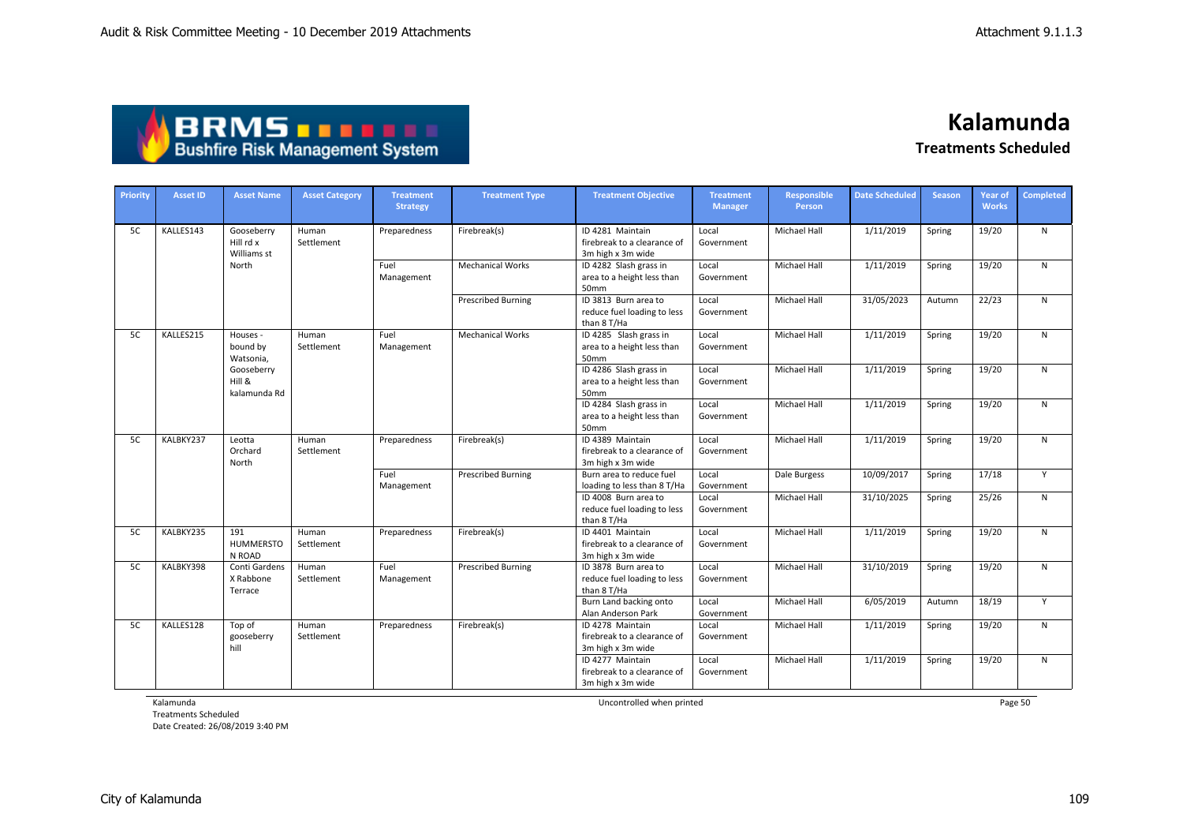| <b>ABRMS TELLE</b>                     |  |
|----------------------------------------|--|
| <b>Bushfire Risk Management System</b> |  |

| Priority  | <b>Asset ID</b> | <b>Asset Name</b>                      | <b>Asset Category</b> | <b>Treatment</b>   | <b>Treatment Type</b>     | <b>Treatment Objective</b>                                           | <b>Treatment</b>    | <b>Responsible</b>  | <b>Date Scheduled</b> | <b>Season</b> | <b>Year of</b>                                                                                                           | <b>Completed</b> |
|-----------|-----------------|----------------------------------------|-----------------------|--------------------|---------------------------|----------------------------------------------------------------------|---------------------|---------------------|-----------------------|---------------|--------------------------------------------------------------------------------------------------------------------------|------------------|
|           |                 |                                        |                       | <b>Strategy</b>    |                           |                                                                      | <b>Manager</b>      | Person              |                       |               |                                                                                                                          |                  |
| <b>5C</b> | KALLES143       | Gooseberry<br>Hill rd x<br>Williams st | Human<br>Settlement   | Preparedness       | Firebreak(s)              | ID 4281 Maintain<br>firebreak to a clearance of<br>3m high x 3m wide | Local<br>Government | <b>Michael Hall</b> | 1/11/2019             | Spring        | 19/20                                                                                                                    | $\mathsf{N}$     |
|           |                 | North                                  |                       | Fuel<br>Management | <b>Mechanical Works</b>   | ID 4282 Slash grass in<br>area to a height less than<br>50mm         | Local<br>Government | <b>Michael Hall</b> | 1/11/2019             | Spring        | 19/20                                                                                                                    | $\mathsf{N}$     |
|           |                 |                                        |                       |                    | <b>Prescribed Burning</b> | ID 3813 Burn area to<br>reduce fuel loading to less<br>than 8 T/Ha   | Local<br>Government | <b>Michael Hall</b> | 31/05/2023            | Autumn        | <b>Works</b><br>22/23<br>19/20<br>19/20<br>19/20<br>19/20<br>17/18<br>25/26<br>19/20<br>19/20<br>18/19<br>19/20<br>19/20 | $\mathsf{N}$     |
| 5C        | KALLES215       | Houses -<br>bound by<br>Watsonia,      | Human<br>Settlement   | Fuel<br>Management | <b>Mechanical Works</b>   | ID 4285 Slash grass in<br>area to a height less than<br>50mm         | Local<br>Government | Michael Hall        | 1/11/2019             | Spring        |                                                                                                                          | $\mathsf{N}$     |
|           |                 | Gooseberry<br>Hill &<br>kalamunda Rd   |                       |                    |                           | ID 4286 Slash grass in<br>area to a height less than<br>50mm         | Local<br>Government | <b>Michael Hall</b> | 1/11/2019             | Spring        |                                                                                                                          | $\mathsf{N}$     |
|           |                 |                                        |                       |                    |                           | ID 4284 Slash grass in<br>area to a height less than<br>50mm         | Local<br>Government | <b>Michael Hall</b> | 1/11/2019             | Spring        |                                                                                                                          | $\mathsf{N}$     |
| 5C        | KALBKY237       | Leotta<br>Orchard<br>North             | Human<br>Settlement   | Preparedness       | Firebreak(s)              | ID 4389 Maintain<br>firebreak to a clearance of<br>3m high x 3m wide | Local<br>Government | <b>Michael Hall</b> | 1/11/2019             | Spring        |                                                                                                                          | $\mathsf{N}$     |
|           |                 |                                        |                       | Fuel<br>Management | <b>Prescribed Burning</b> | Burn area to reduce fuel<br>loading to less than 8 T/Ha              | Local<br>Government | Dale Burgess        | 10/09/2017            | Spring        | Y                                                                                                                        |                  |
|           |                 |                                        |                       |                    |                           | ID 4008 Burn area to<br>reduce fuel loading to less<br>than 8 T/Ha   | Local<br>Government | Michael Hall        | 31/10/2025            | Spring        |                                                                                                                          | $\mathsf{N}$     |
| 5C        | KALBKY235       | 191<br><b>HUMMERSTO</b><br>N ROAD      | Human<br>Settlement   | Preparedness       | Firebreak(s)              | ID 4401 Maintain<br>firebreak to a clearance of<br>3m high x 3m wide | Local<br>Government | <b>Michael Hall</b> | 1/11/2019             | Spring        |                                                                                                                          | $\mathsf{N}$     |
| 5C        | KALBKY398       | Conti Gardens<br>X Rabbone<br>Terrace  | Human<br>Settlement   | Fuel<br>Management | <b>Prescribed Burning</b> | ID 3878 Burn area to<br>reduce fuel loading to less<br>than 8 T/Ha   | Local<br>Government | <b>Michael Hall</b> | 31/10/2019            | Spring        |                                                                                                                          | $\mathsf{N}$     |
|           |                 |                                        |                       |                    |                           | Burn Land backing onto<br>Alan Anderson Park                         | Local<br>Government | <b>Michael Hall</b> | 6/05/2019             | Autumn        |                                                                                                                          | Y                |
| 5C        | KALLES128       | Top of<br>gooseberry<br>hill           | Human<br>Settlement   | Preparedness       | Firebreak(s)              | ID 4278 Maintain<br>firebreak to a clearance of<br>3m high x 3m wide | Local<br>Government | Michael Hall        | 1/11/2019             | Spring        |                                                                                                                          | $\mathsf{N}$     |
|           |                 |                                        |                       |                    |                           | ID 4277 Maintain<br>firebreak to a clearance of<br>3m high x 3m wide | Local<br>Government | <b>Michael Hall</b> | 1/11/2019             | Spring        |                                                                                                                          | $\mathsf{N}$     |

Kalamunda

Treatments Scheduled Date Created: 26/08/2019 3:40 PM